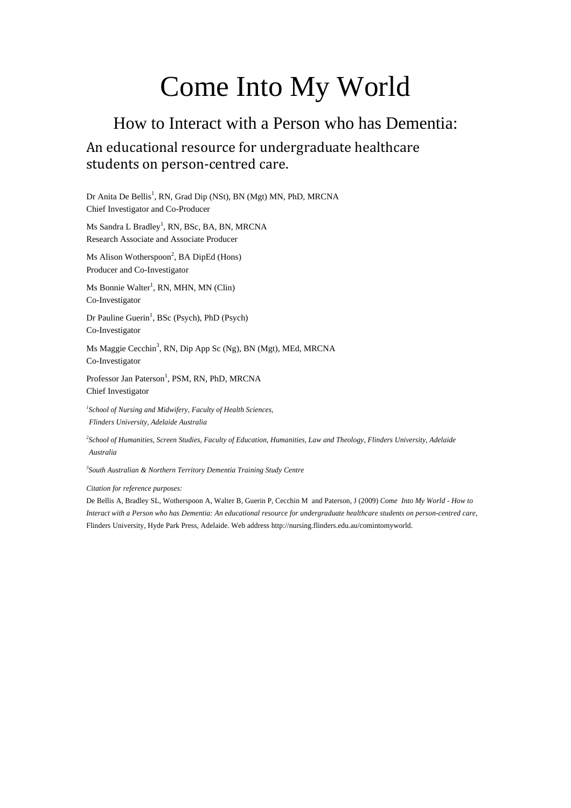# Come Into My World

## How to Interact with a Person who has Dementia: An educational resource for undergraduate healthcare students on person-centred care.

Dr Anita De Bellis<sup>1</sup>, RN, Grad Dip (NSt), BN (Mgt) MN, PhD, MRCNA Chief Investigator and Co-Producer

Ms Sandra L Bradley<sup>1</sup>, RN, BSc, BA, BN, MRCNA Research Associate and Associate Producer

Ms Alison Wotherspoon<sup>2</sup>, BA DipEd (Hons) Producer and Co-Investigator

Ms Bonnie Walter<sup>1</sup>, RN, MHN, MN (Clin) Co-Investigator

Dr Pauline Guerin<sup>1</sup>, BSc (Psych), PhD (Psych) Co-Investigator

Ms Maggie Cecchin<sup>3</sup>, RN, Dip App Sc (Ng), BN (Mgt), MEd, MRCNA Co-Investigator

Professor Jan Paterson<sup>1</sup>, PSM, RN, PhD, MRCNA Chief Investigator

*1 School of Nursing and Midwifery, Faculty of Health Sciences, Flinders University, Adelaide Australia*

*2 School of Humanities, Screen Studies, Faculty of Education, Humanities, Law and Theology, Flinders University, Adelaide Australia*

*3 South Australian & Northern Territory Dementia Training Study Centre*

*Citation for reference purposes:* 

De Bellis A, Bradley SL, Wotherspoon A, Walter B, Guerin P, Cecchin M and Paterson, J (2009) *Come Into My World - How to Interact with a Person who has Dementia: An educational resource for undergraduate healthcare students on person-centred care,* Flinders University, Hyde Park Press, Adelaide. Web address http://nursing.flinders.edu.au/comintomyworld.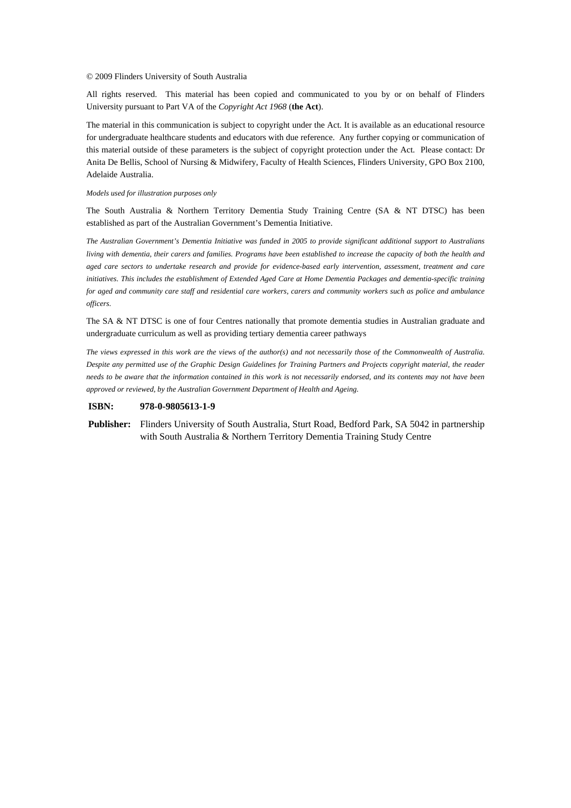#### © 2009 Flinders University of South Australia

All rights reserved. This material has been copied and communicated to you by or on behalf of Flinders University pursuant to Part VA of the *Copyright Act 1968* (**the Act**).

The material in this communication is subject to copyright under the Act. It is available as an educational resource for undergraduate healthcare students and educators with due reference. Any further copying or communication of this material outside of these parameters is the subject of copyright protection under the Act. Please contact: Dr Anita De Bellis, School of Nursing & Midwifery, Faculty of Health Sciences, Flinders University, GPO Box 2100, Adelaide Australia.

#### *Models used for illustration purposes only*

The South Australia & Northern Territory Dementia Study Training Centre (SA & NT DTSC) has been established as part of the Australian Government's Dementia Initiative.

*The Australian Government's Dementia Initiative was funded in 2005 to provide significant additional support to Australians living with dementia, their carers and families. Programs have been established to increase the capacity of both the health and aged care sectors to undertake research and provide for evidence-based early intervention, assessment, treatment and care initiatives. This includes the establishment of Extended Aged Care at Home Dementia Packages and dementia-specific training for aged and community care staff and residential care workers, carers and community workers such as police and ambulance officers.* 

The SA & NT DTSC is one of four Centres nationally that promote dementia studies in Australian graduate and undergraduate curriculum as well as providing tertiary dementia career pathways

*The views expressed in this work are the views of the author(s) and not necessarily those of the Commonwealth of Australia. Despite any permitted use of the Graphic Design Guidelines for Training Partners and Projects copyright material, the reader needs to be aware that the information contained in this work is not necessarily endorsed, and its contents may not have been approved or reviewed, by the Australian Government Department of Health and Ageing.*

#### **ISBN: 978-0-9805613-1-9**

**Publisher:** Flinders University of South Australia, Sturt Road, Bedford Park, SA 5042 in partnership with South Australia & Northern Territory Dementia Training Study Centre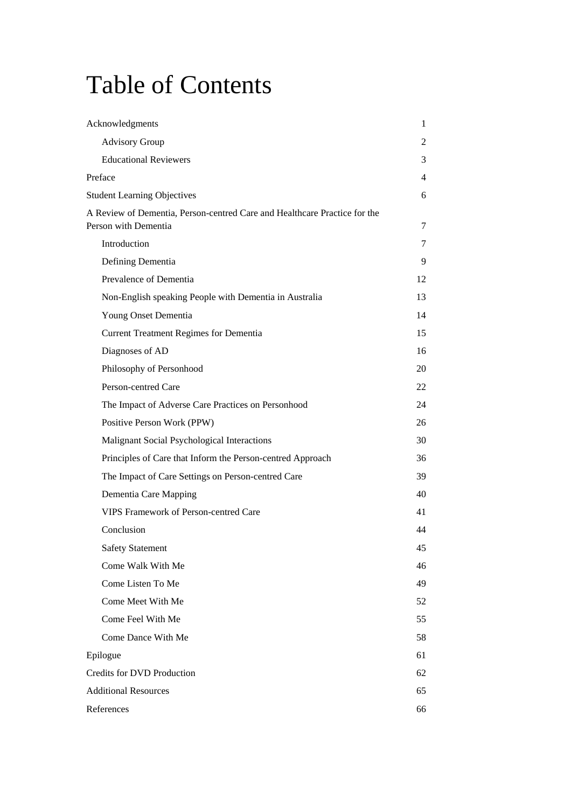# Table of Contents

| Acknowledgments                                                                                   | 1  |
|---------------------------------------------------------------------------------------------------|----|
| <b>Advisory Group</b>                                                                             | 2  |
| <b>Educational Reviewers</b>                                                                      | 3  |
| Preface                                                                                           | 4  |
| <b>Student Learning Objectives</b>                                                                | 6  |
| A Review of Dementia, Person-centred Care and Healthcare Practice for the<br>Person with Dementia | 7  |
| Introduction                                                                                      | 7  |
| Defining Dementia                                                                                 | 9  |
| Prevalence of Dementia                                                                            | 12 |
| Non-English speaking People with Dementia in Australia                                            | 13 |
| Young Onset Dementia                                                                              | 14 |
| <b>Current Treatment Regimes for Dementia</b>                                                     | 15 |
| Diagnoses of AD                                                                                   | 16 |
| Philosophy of Personhood                                                                          | 20 |
| Person-centred Care                                                                               | 22 |
| The Impact of Adverse Care Practices on Personhood                                                | 24 |
| Positive Person Work (PPW)                                                                        | 26 |
| Malignant Social Psychological Interactions                                                       | 30 |
| Principles of Care that Inform the Person-centred Approach                                        | 36 |
| The Impact of Care Settings on Person-centred Care                                                | 39 |
| Dementia Care Mapping                                                                             | 40 |
| <b>VIPS Framework of Person-centred Care</b>                                                      | 41 |
| Conclusion                                                                                        | 44 |
| <b>Safety Statement</b>                                                                           | 45 |
| Come Walk With Me                                                                                 | 46 |
| Come Listen To Me                                                                                 | 49 |
| Come Meet With Me                                                                                 | 52 |
| Come Feel With Me                                                                                 | 55 |
| Come Dance With Me                                                                                | 58 |
| Epilogue                                                                                          | 61 |
| Credits for DVD Production                                                                        | 62 |
| <b>Additional Resources</b>                                                                       | 65 |
| References                                                                                        | 66 |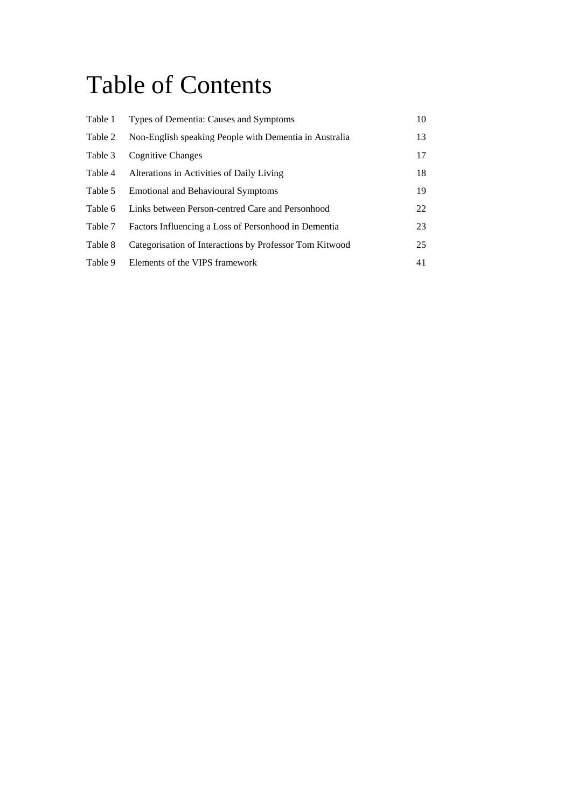# Table of Contents

| Table 1 | Types of Dementia: Causes and Symptoms                  | 10 |
|---------|---------------------------------------------------------|----|
| Table 2 | Non-English speaking People with Dementia in Australia  | 13 |
| Table 3 | <b>Cognitive Changes</b>                                | 17 |
| Table 4 | Alterations in Activities of Daily Living               | 18 |
| Table 5 | <b>Emotional and Behavioural Symptoms</b>               | 19 |
| Table 6 | Links between Person-centred Care and Personhood        | 22 |
| Table 7 | Factors Influencing a Loss of Personhood in Dementia    | 23 |
| Table 8 | Categorisation of Interactions by Professor Tom Kitwood | 25 |
| Table 9 | Elements of the VIPS framework                          | 41 |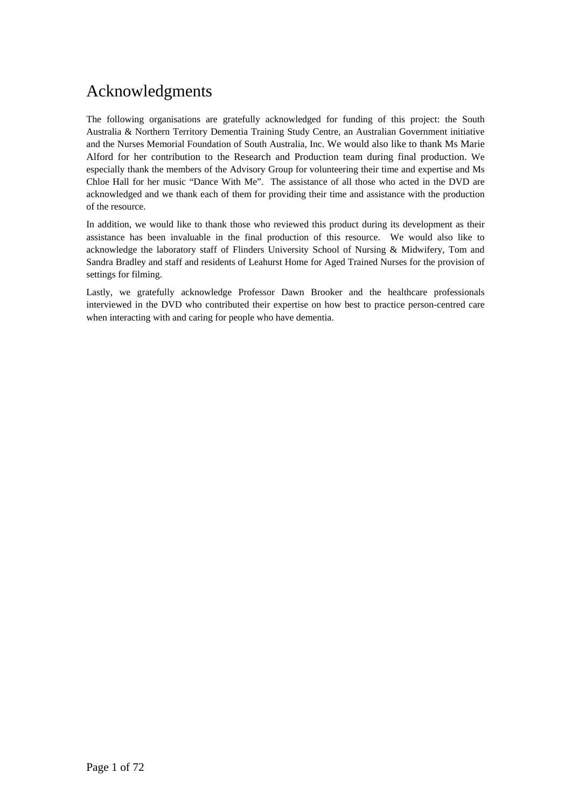## Acknowledgments

The following organisations are gratefully acknowledged for funding of this project: the South Australia & Northern Territory Dementia Training Study Centre, an Australian Government initiative and the Nurses Memorial Foundation of South Australia, Inc. We would also like to thank Ms Marie Alford for her contribution to the Research and Production team during final production. We especially thank the members of the Advisory Group for volunteering their time and expertise and Ms Chloe Hall for her music "Dance With Me". The assistance of all those who acted in the DVD are acknowledged and we thank each of them for providing their time and assistance with the production of the resource.

In addition, we would like to thank those who reviewed this product during its development as their assistance has been invaluable in the final production of this resource. We would also like to acknowledge the laboratory staff of Flinders University School of Nursing & Midwifery, Tom and Sandra Bradley and staff and residents of Leahurst Home for Aged Trained Nurses for the provision of settings for filming.

Lastly, we gratefully acknowledge Professor Dawn Brooker and the healthcare professionals interviewed in the DVD who contributed their expertise on how best to practice person-centred care when interacting with and caring for people who have dementia.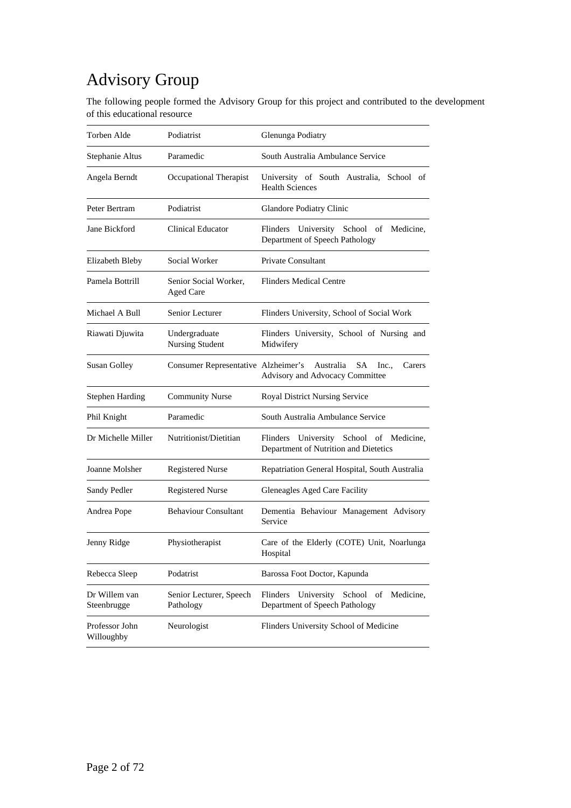## Advisory Group

The following people formed the Advisory Group for this project and contributed to the development of this educational resource

| Torben Alde                  | Podiatrist                                | Glenunga Podiatry                                                                     |
|------------------------------|-------------------------------------------|---------------------------------------------------------------------------------------|
| Stephanie Altus              | Paramedic                                 | South Australia Ambulance Service                                                     |
| Angela Berndt                | Occupational Therapist                    | University of South Australia, School of<br><b>Health Sciences</b>                    |
| Peter Bertram                | Podiatrist                                | Glandore Podiatry Clinic                                                              |
| Jane Bickford                | <b>Clinical Educator</b>                  | University School of Medicine,<br>Flinders<br>Department of Speech Pathology          |
| Elizabeth Bleby              | Social Worker                             | Private Consultant                                                                    |
| Pamela Bottrill              | Senior Social Worker,<br><b>Aged Care</b> | <b>Flinders Medical Centre</b>                                                        |
| Michael A Bull               | Senior Lecturer                           | Flinders University, School of Social Work                                            |
| Riawati Djuwita              | Undergraduate<br>Nursing Student          | Flinders University, School of Nursing and<br>Midwifery                               |
| <b>Susan Golley</b>          | Consumer Representative Alzheimer's       | Australia<br>SA<br>Inc.,<br>Carers<br>Advisory and Advocacy Committee                 |
| <b>Stephen Harding</b>       | <b>Community Nurse</b>                    | Royal District Nursing Service                                                        |
| Phil Knight                  | Paramedic                                 | South Australia Ambulance Service                                                     |
| Dr Michelle Miller           | Nutritionist/Dietitian                    | Flinders<br>University School of Medicine,<br>Department of Nutrition and Dietetics   |
| Joanne Molsher               | <b>Registered Nurse</b>                   | Repatriation General Hospital, South Australia                                        |
| Sandy Pedler                 | <b>Registered Nurse</b>                   | Gleneagles Aged Care Facility                                                         |
| Andrea Pope                  | <b>Behaviour Consultant</b>               | Dementia Behaviour Management Advisory<br>Service                                     |
| Jenny Ridge                  | Physiotherapist                           | Care of the Elderly (COTE) Unit, Noarlunga<br>Hospital                                |
| Rebecca Sleep                | Podatrist                                 | Barossa Foot Doctor, Kapunda                                                          |
| Dr Willem van<br>Steenbrugge | Senior Lecturer, Speech<br>Pathology      | Flinders<br>University<br>School<br>Medicine,<br>of<br>Department of Speech Pathology |
| Professor John<br>Willoughby | Neurologist                               | Flinders University School of Medicine                                                |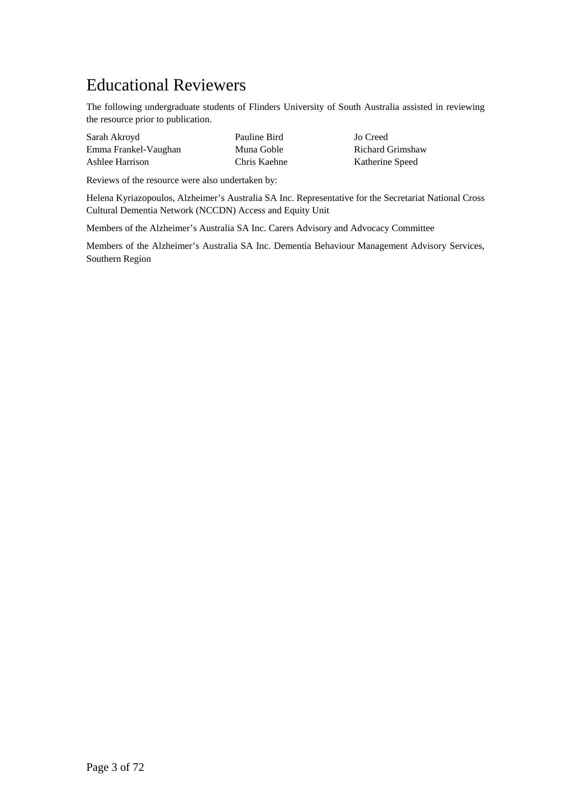## Educational Reviewers

The following undergraduate students of Flinders University of South Australia assisted in reviewing the resource prior to publication.

| Sarah Akroyd         | Pauline Bird |
|----------------------|--------------|
| Emma Frankel-Vaughan | Muna Goble   |
| Ashlee Harrison      | Chris Kaehne |

Jo Creed Richard Grimshaw e Katherine Speed

Reviews of the resource were also undertaken by:

Helena Kyriazopoulos, Alzheimer's Australia SA Inc. Representative for the Secretariat National Cross Cultural Dementia Network (NCCDN) Access and Equity Unit

Members of the Alzheimer's Australia SA Inc. Carers Advisory and Advocacy Committee

Members of the Alzheimer's Australia SA Inc. Dementia Behaviour Management Advisory Services, Southern Region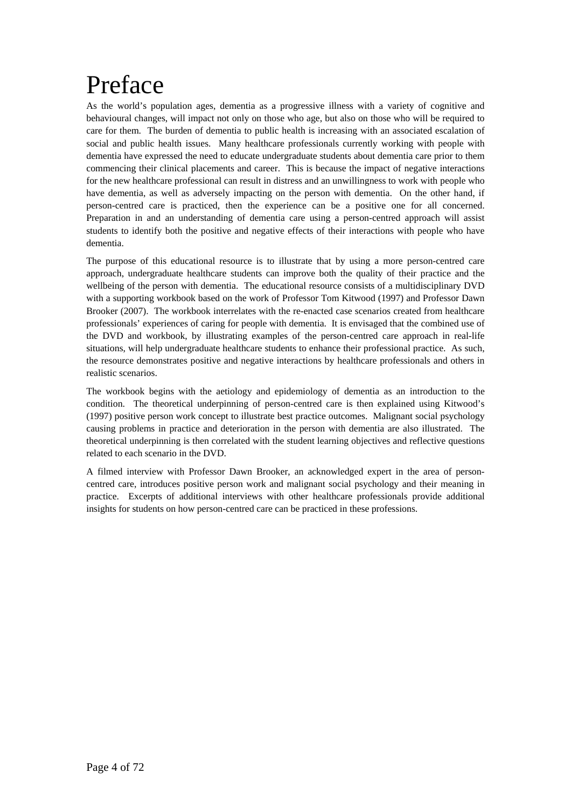# Preface

As the world's population ages, dementia as a progressive illness with a variety of cognitive and behavioural changes, will impact not only on those who age, but also on those who will be required to care for them. The burden of dementia to public health is increasing with an associated escalation of social and public health issues. Many healthcare professionals currently working with people with dementia have expressed the need to educate undergraduate students about dementia care prior to them commencing their clinical placements and career. This is because the impact of negative interactions for the new healthcare professional can result in distress and an unwillingness to work with people who have dementia, as well as adversely impacting on the person with dementia. On the other hand, if person-centred care is practiced, then the experience can be a positive one for all concerned. Preparation in and an understanding of dementia care using a person-centred approach will assist students to identify both the positive and negative effects of their interactions with people who have dementia.

The purpose of this educational resource is to illustrate that by using a more person-centred care approach, undergraduate healthcare students can improve both the quality of their practice and the wellbeing of the person with dementia. The educational resource consists of a multidisciplinary DVD with a supporting workbook based on the work of Professor Tom Kitwood (1997) and Professor Dawn Brooker (2007). The workbook interrelates with the re-enacted case scenarios created from healthcare professionals' experiences of caring for people with dementia. It is envisaged that the combined use of the DVD and workbook, by illustrating examples of the person-centred care approach in real-life situations, will help undergraduate healthcare students to enhance their professional practice. As such, the resource demonstrates positive and negative interactions by healthcare professionals and others in realistic scenarios.

The workbook begins with the aetiology and epidemiology of dementia as an introduction to the condition. The theoretical underpinning of person-centred care is then explained using Kitwood's (1997) positive person work concept to illustrate best practice outcomes. Malignant social psychology causing problems in practice and deterioration in the person with dementia are also illustrated. The theoretical underpinning is then correlated with the student learning objectives and reflective questions related to each scenario in the DVD.

A filmed interview with Professor Dawn Brooker, an acknowledged expert in the area of personcentred care, introduces positive person work and malignant social psychology and their meaning in practice. Excerpts of additional interviews with other healthcare professionals provide additional insights for students on how person-centred care can be practiced in these professions.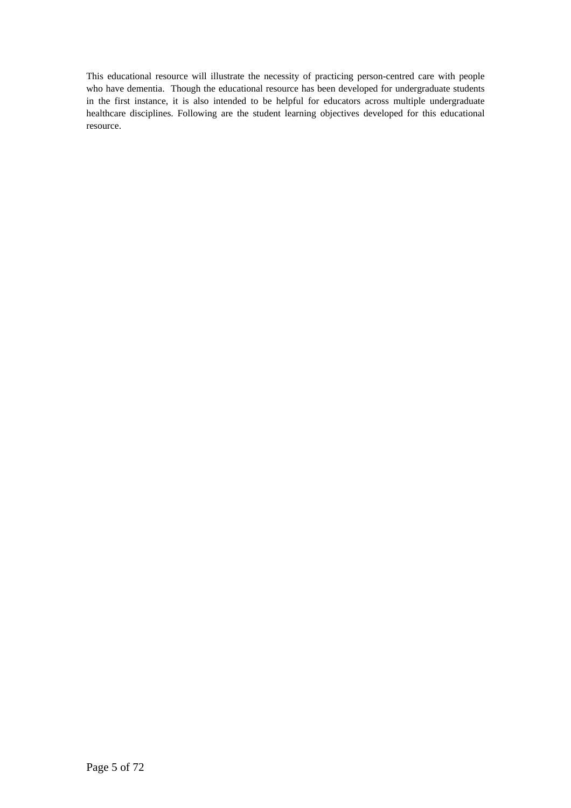This educational resource will illustrate the necessity of practicing person-centred care with people who have dementia. Though the educational resource has been developed for undergraduate students in the first instance, it is also intended to be helpful for educators across multiple undergraduate healthcare disciplines. Following are the student learning objectives developed for this educational resource.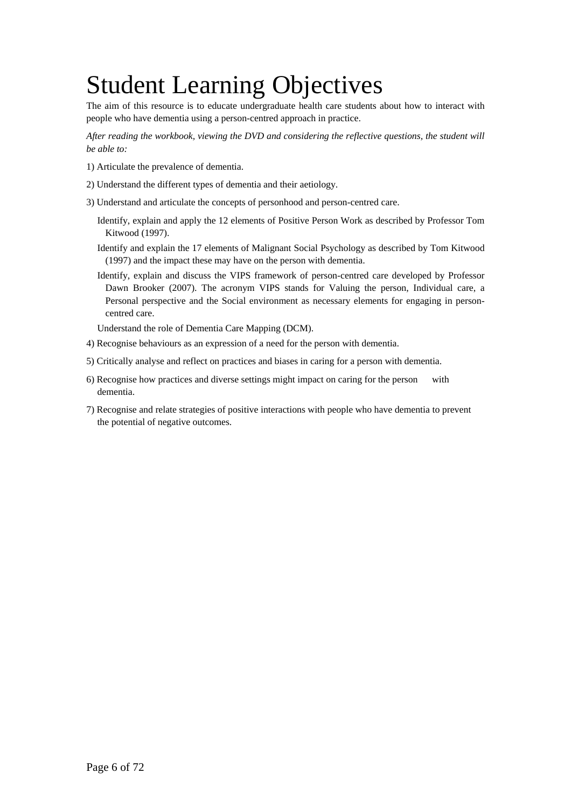# Student Learning Objectives

The aim of this resource is to educate undergraduate health care students about how to interact with people who have dementia using a person-centred approach in practice.

*After reading the workbook, viewing the DVD and considering the reflective questions, the student will be able to:* 

- 1) Articulate the prevalence of dementia.
- 2) Understand the different types of dementia and their aetiology.
- 3) Understand and articulate the concepts of personhood and person-centred care.
	- Identify, explain and apply the 12 elements of Positive Person Work as described by Professor Tom Kitwood (1997).
	- Identify and explain the 17 elements of Malignant Social Psychology as described by Tom Kitwood (1997) and the impact these may have on the person with dementia.
	- Identify, explain and discuss the VIPS framework of person-centred care developed by Professor Dawn Brooker (2007). The acronym VIPS stands for Valuing the person, Individual care, a Personal perspective and the Social environment as necessary elements for engaging in personcentred care.

Understand the role of Dementia Care Mapping (DCM).

- 4) Recognise behaviours as an expression of a need for the person with dementia.
- 5) Critically analyse and reflect on practices and biases in caring for a person with dementia.
- 6) Recognise how practices and diverse settings might impact on caring for the person with dementia.
- 7) Recognise and relate strategies of positive interactions with people who have dementia to prevent the potential of negative outcomes.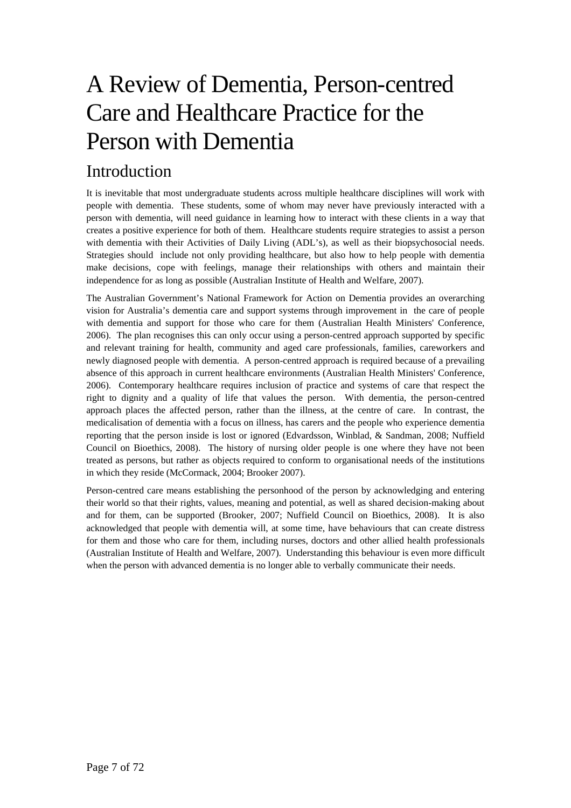# A Review of Dementia, Person-centred Care and Healthcare Practice for the Person with Dementia

## Introduction

It is inevitable that most undergraduate students across multiple healthcare disciplines will work with people with dementia. These students, some of whom may never have previously interacted with a person with dementia, will need guidance in learning how to interact with these clients in a way that creates a positive experience for both of them. Healthcare students require strategies to assist a person with dementia with their Activities of Daily Living (ADL's), as well as their biopsychosocial needs. Strategies should include not only providing healthcare, but also how to help people with dementia make decisions, cope with feelings, manage their relationships with others and maintain their independence for as long as possible (Australian Institute of Health and Welfare, 2007).

The Australian Government's National Framework for Action on Dementia provides an overarching vision for Australia's dementia care and support systems through improvement in the care of people with dementia and support for those who care for them (Australian Health Ministers' Conference, 2006). The plan recognises this can only occur using a person-centred approach supported by specific and relevant training for health, community and aged care professionals, families, careworkers and newly diagnosed people with dementia. A person-centred approach is required because of a prevailing absence of this approach in current healthcare environments (Australian Health Ministers' Conference, 2006). Contemporary healthcare requires inclusion of practice and systems of care that respect the right to dignity and a quality of life that values the person. With dementia, the person-centred approach places the affected person, rather than the illness, at the centre of care. In contrast, the medicalisation of dementia with a focus on illness, has carers and the people who experience dementia reporting that the person inside is lost or ignored (Edvardsson, Winblad, & Sandman, 2008; Nuffield Council on Bioethics, 2008). The history of nursing older people is one where they have not been treated as persons, but rather as objects required to conform to organisational needs of the institutions in which they reside (McCormack, 2004; Brooker 2007).

Person-centred care means establishing the personhood of the person by acknowledging and entering their world so that their rights, values, meaning and potential, as well as shared decision-making about and for them, can be supported (Brooker, 2007; Nuffield Council on Bioethics, 2008). It is also acknowledged that people with dementia will, at some time, have behaviours that can create distress for them and those who care for them, including nurses, doctors and other allied health professionals (Australian Institute of Health and Welfare, 2007). Understanding this behaviour is even more difficult when the person with advanced dementia is no longer able to verbally communicate their needs.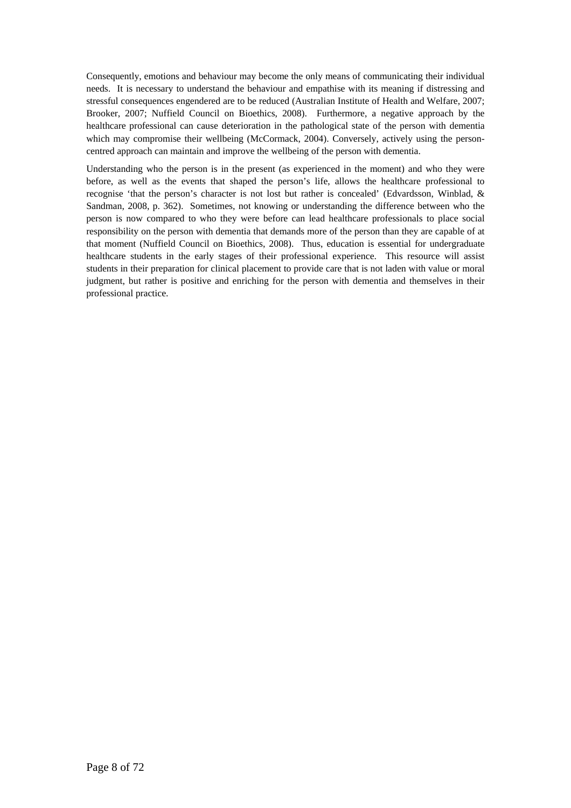Consequently, emotions and behaviour may become the only means of communicating their individual needs. It is necessary to understand the behaviour and empathise with its meaning if distressing and stressful consequences engendered are to be reduced (Australian Institute of Health and Welfare, 2007; Brooker, 2007; Nuffield Council on Bioethics, 2008). Furthermore, a negative approach by the healthcare professional can cause deterioration in the pathological state of the person with dementia which may compromise their wellbeing (McCormack, 2004). Conversely, actively using the personcentred approach can maintain and improve the wellbeing of the person with dementia.

Understanding who the person is in the present (as experienced in the moment) and who they were before, as well as the events that shaped the person's life, allows the healthcare professional to recognise 'that the person's character is not lost but rather is concealed' (Edvardsson, Winblad, & Sandman, 2008, p. 362). Sometimes, not knowing or understanding the difference between who the person is now compared to who they were before can lead healthcare professionals to place social responsibility on the person with dementia that demands more of the person than they are capable of at that moment (Nuffield Council on Bioethics, 2008). Thus, education is essential for undergraduate healthcare students in the early stages of their professional experience. This resource will assist students in their preparation for clinical placement to provide care that is not laden with value or moral judgment, but rather is positive and enriching for the person with dementia and themselves in their professional practice.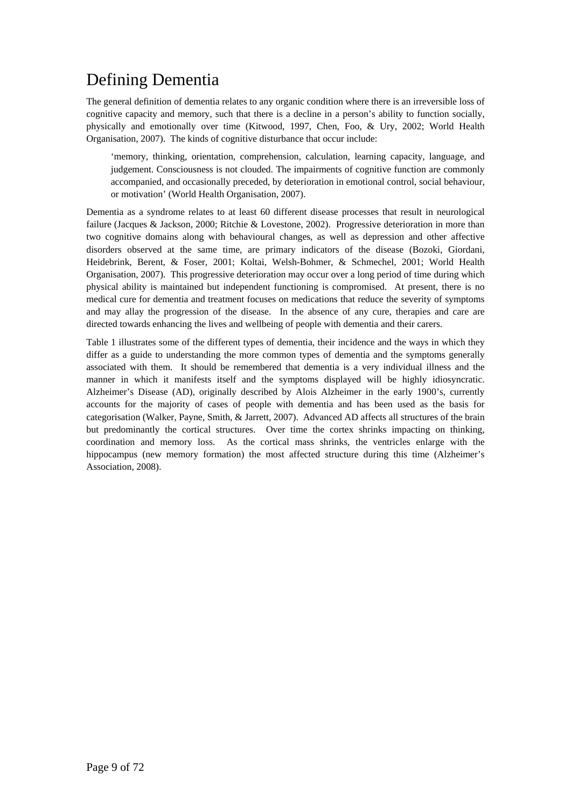## Defining Dementia

The general definition of dementia relates to any organic condition where there is an irreversible loss of cognitive capacity and memory, such that there is a decline in a person's ability to function socially, physically and emotionally over time (Kitwood, 1997, Chen, Foo, & Ury, 2002; World Health Organisation, 2007). The kinds of cognitive disturbance that occur include:

'memory, thinking, orientation, comprehension, calculation, learning capacity, language, and judgement. Consciousness is not clouded. The impairments of cognitive function are commonly accompanied, and occasionally preceded, by deterioration in emotional control, social behaviour, or motivation' (World Health Organisation, 2007).

Dementia as a syndrome relates to at least 60 different disease processes that result in neurological failure (Jacques & Jackson, 2000; Ritchie & Lovestone, 2002). Progressive deterioration in more than two cognitive domains along with behavioural changes, as well as depression and other affective disorders observed at the same time, are primary indicators of the disease (Bozoki, Giordani, Heidebrink, Berent, & Foser, 2001; Koltai, Welsh-Bohmer, & Schmechel, 2001; World Health Organisation, 2007). This progressive deterioration may occur over a long period of time during which physical ability is maintained but independent functioning is compromised. At present, there is no medical cure for dementia and treatment focuses on medications that reduce the severity of symptoms and may allay the progression of the disease. In the absence of any cure, therapies and care are directed towards enhancing the lives and wellbeing of people with dementia and their carers.

Table 1 illustrates some of the different types of dementia, their incidence and the ways in which they differ as a guide to understanding the more common types of dementia and the symptoms generally associated with them. It should be remembered that dementia is a very individual illness and the manner in which it manifests itself and the symptoms displayed will be highly idiosyncratic. Alzheimer's Disease (AD), originally described by Alois Alzheimer in the early 1900's, currently accounts for the majority of cases of people with dementia and has been used as the basis for categorisation (Walker, Payne, Smith, & Jarrett, 2007). Advanced AD affects all structures of the brain but predominantly the cortical structures. Over time the cortex shrinks impacting on thinking, coordination and memory loss. As the cortical mass shrinks, the ventricles enlarge with the hippocampus (new memory formation) the most affected structure during this time (Alzheimer's Association, 2008).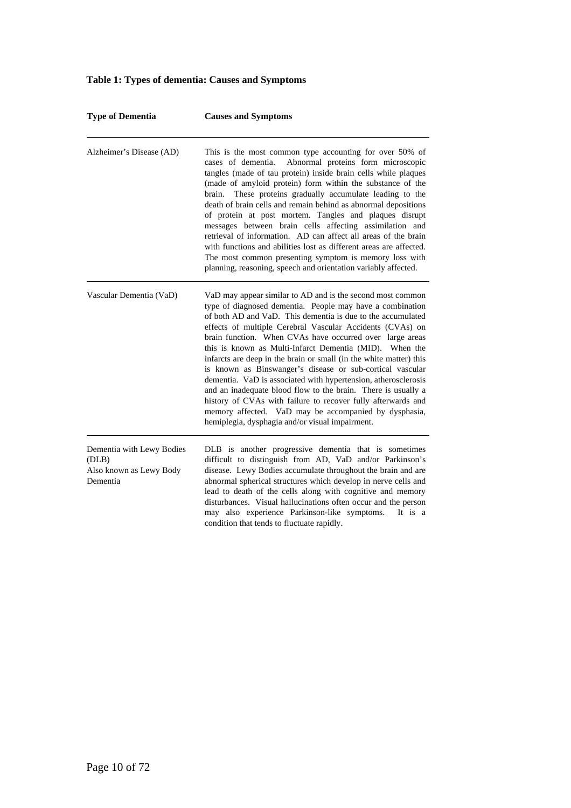#### **Type of Dementia Causes and Symptoms**  Alzheimer's Disease (AD) This is the most common type accounting for over 50% of cases of dementia. Abnormal proteins form microscopic tangles (made of tau protein) inside brain cells while plaques (made of amyloid protein) form within the substance of the brain. These proteins gradually accumulate leading to the death of brain cells and remain behind as abnormal depositions of protein at post mortem. Tangles and plaques disrupt messages between brain cells affecting assimilation and retrieval of information. AD can affect all areas of the brain with functions and abilities lost as different areas are affected. The most common presenting symptom is memory loss with planning, reasoning, speech and orientation variably affected. Vascular Dementia (VaD) VaD may appear similar to AD and is the second most common type of diagnosed dementia. People may have a combination of both AD and VaD. This dementia is due to the accumulated effects of multiple Cerebral Vascular Accidents (CVAs) on brain function. When CVAs have occurred over large areas this is known as Multi-Infarct Dementia (MID). When the infarcts are deep in the brain or small (in the white matter) this is known as Binswanger's disease or sub-cortical vascular dementia. VaD is associated with hypertension, atherosclerosis and an inadequate blood flow to the brain. There is usually a history of CVAs with failure to recover fully afterwards and memory affected. VaD may be accompanied by dysphasia, hemiplegia, dysphagia and/or visual impairment. Dementia with Lewy Bodies (DLB) Also known as Lewy Body Dementia DLB is another progressive dementia that is sometimes difficult to distinguish from AD, VaD and/or Parkinson's disease. Lewy Bodies accumulate throughout the brain and are abnormal spherical structures which develop in nerve cells and lead to death of the cells along with cognitive and memory disturbances. Visual hallucinations often occur and the person may also experience Parkinson-like symptoms. It is a condition that tends to fluctuate rapidly.

#### **Table 1: Types of dementia: Causes and Symptoms**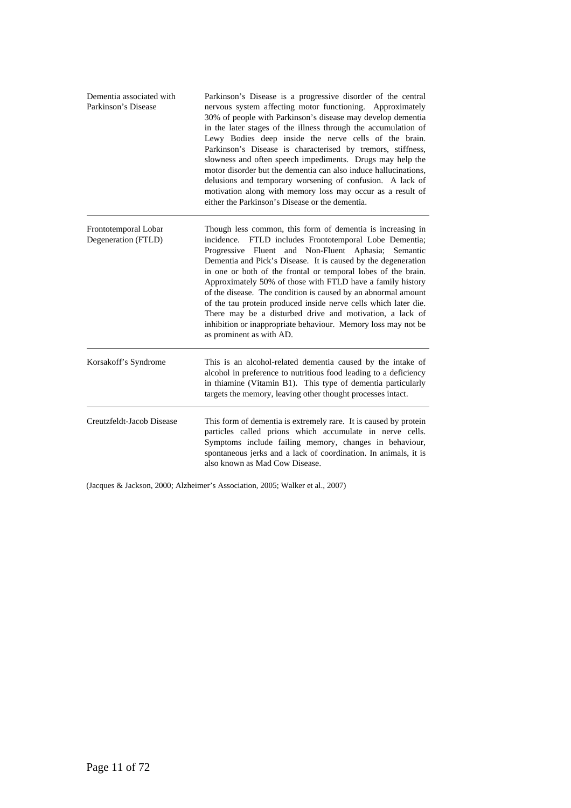| Dementia associated with<br>Parkinson's Disease | Parkinson's Disease is a progressive disorder of the central<br>nervous system affecting motor functioning. Approximately<br>30% of people with Parkinson's disease may develop dementia<br>in the later stages of the illness through the accumulation of<br>Lewy Bodies deep inside the nerve cells of the brain.<br>Parkinson's Disease is characterised by tremors, stiffness,<br>slowness and often speech impediments. Drugs may help the<br>motor disorder but the dementia can also induce hallucinations,<br>delusions and temporary worsening of confusion. A lack of<br>motivation along with memory loss may occur as a result of<br>either the Parkinson's Disease or the dementia. |
|-------------------------------------------------|--------------------------------------------------------------------------------------------------------------------------------------------------------------------------------------------------------------------------------------------------------------------------------------------------------------------------------------------------------------------------------------------------------------------------------------------------------------------------------------------------------------------------------------------------------------------------------------------------------------------------------------------------------------------------------------------------|
| Frontotemporal Lobar<br>Degeneration (FTLD)     | Though less common, this form of dementia is increasing in<br>incidence. FTLD includes Frontotemporal Lobe Dementia;<br>Progressive Fluent and Non-Fluent Aphasia; Semantic<br>Dementia and Pick's Disease. It is caused by the degeneration<br>in one or both of the frontal or temporal lobes of the brain.<br>Approximately 50% of those with FTLD have a family history<br>of the disease. The condition is caused by an abnormal amount<br>of the tau protein produced inside nerve cells which later die.<br>There may be a disturbed drive and motivation, a lack of<br>inhibition or inappropriate behaviour. Memory loss may not be<br>as prominent as with AD.                         |
| Korsakoff's Syndrome                            | This is an alcohol-related dementia caused by the intake of<br>alcohol in preference to nutritious food leading to a deficiency<br>in thiamine (Vitamin B1). This type of dementia particularly<br>targets the memory, leaving other thought processes intact.                                                                                                                                                                                                                                                                                                                                                                                                                                   |
| Creutzfeldt-Jacob Disease                       | This form of dementia is extremely rare. It is caused by protein<br>particles called prions which accumulate in nerve cells.<br>Symptoms include failing memory, changes in behaviour,<br>spontaneous jerks and a lack of coordination. In animals, it is<br>also known as Mad Cow Disease.                                                                                                                                                                                                                                                                                                                                                                                                      |

(Jacques & Jackson, 2000; Alzheimer's Association, 2005; Walker et al., 2007)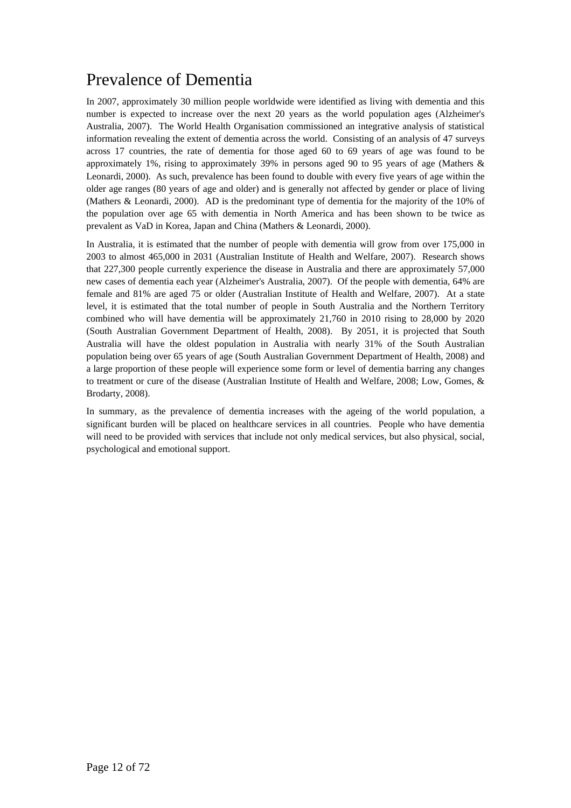## Prevalence of Dementia

In 2007, approximately 30 million people worldwide were identified as living with dementia and this number is expected to increase over the next 20 years as the world population ages (Alzheimer's Australia, 2007). The World Health Organisation commissioned an integrative analysis of statistical information revealing the extent of dementia across the world. Consisting of an analysis of 47 surveys across 17 countries, the rate of dementia for those aged 60 to 69 years of age was found to be approximately 1%, rising to approximately 39% in persons aged 90 to 95 years of age (Mathers & Leonardi, 2000). As such, prevalence has been found to double with every five years of age within the older age ranges (80 years of age and older) and is generally not affected by gender or place of living (Mathers & Leonardi, 2000). AD is the predominant type of dementia for the majority of the 10% of the population over age 65 with dementia in North America and has been shown to be twice as prevalent as VaD in Korea, Japan and China (Mathers & Leonardi, 2000).

In Australia, it is estimated that the number of people with dementia will grow from over 175,000 in 2003 to almost 465,000 in 2031 (Australian Institute of Health and Welfare, 2007). Research shows that 227,300 people currently experience the disease in Australia and there are approximately 57,000 new cases of dementia each year (Alzheimer's Australia, 2007). Of the people with dementia, 64% are female and 81% are aged 75 or older (Australian Institute of Health and Welfare, 2007). At a state level, it is estimated that the total number of people in South Australia and the Northern Territory combined who will have dementia will be approximately 21,760 in 2010 rising to 28,000 by 2020 (South Australian Government Department of Health, 2008). By 2051, it is projected that South Australia will have the oldest population in Australia with nearly 31% of the South Australian population being over 65 years of age (South Australian Government Department of Health, 2008) and a large proportion of these people will experience some form or level of dementia barring any changes to treatment or cure of the disease (Australian Institute of Health and Welfare, 2008; Low, Gomes, & Brodarty, 2008).

In summary, as the prevalence of dementia increases with the ageing of the world population, a significant burden will be placed on healthcare services in all countries. People who have dementia will need to be provided with services that include not only medical services, but also physical, social, psychological and emotional support.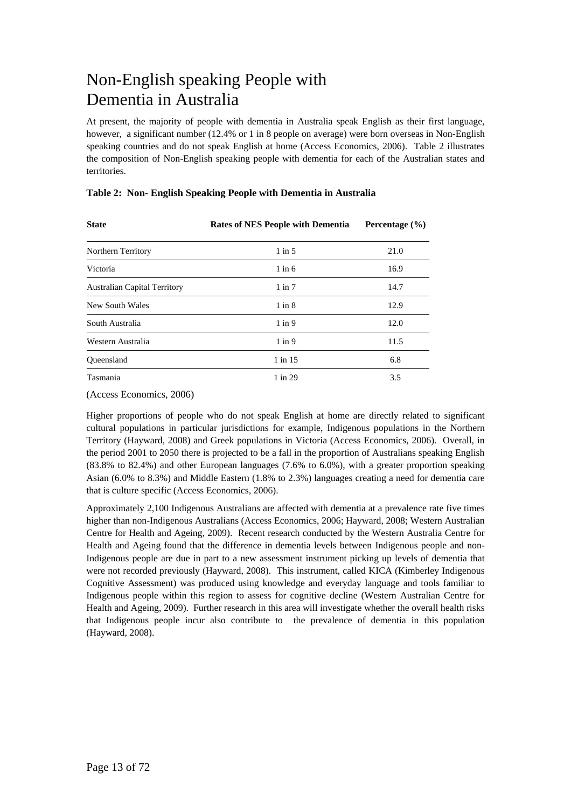## Non-English speaking People with Dementia in Australia

At present, the majority of people with dementia in Australia speak English as their first language, however, a significant number (12.4% or 1 in 8 people on average) were born overseas in Non-English speaking countries and do not speak English at home (Access Economics, 2006). Table 2 illustrates the composition of Non-English speaking people with dementia for each of the Australian states and territories.

| <b>State</b>                        | <b>Rates of NES People with Dementia</b> | Percentage $(\% )$ |
|-------------------------------------|------------------------------------------|--------------------|
| Northern Territory                  | $1$ in $5$                               | 21.0               |
| Victoria                            | $1$ in $6$                               | 16.9               |
| <b>Australian Capital Territory</b> | $1$ in $7$                               | 14.7               |
| New South Wales                     | $1$ in $8$                               | 12.9               |
| South Australia                     | $1$ in $9$                               | 12.0               |
| Western Australia                   | $1$ in $9$                               | 11.5               |
| Oueensland                          | $1$ in $15$                              | 6.8                |
| Tasmania                            | 1 in 29                                  | 3.5                |

### **Table 2: Non- English Speaking People with Dementia in Australia**

(Access Economics, 2006)

Higher proportions of people who do not speak English at home are directly related to significant cultural populations in particular jurisdictions for example, Indigenous populations in the Northern Territory (Hayward, 2008) and Greek populations in Victoria (Access Economics, 2006). Overall, in the period 2001 to 2050 there is projected to be a fall in the proportion of Australians speaking English (83.8% to 82.4%) and other European languages (7.6% to 6.0%), with a greater proportion speaking Asian (6.0% to 8.3%) and Middle Eastern (1.8% to 2.3%) languages creating a need for dementia care that is culture specific (Access Economics, 2006).

Approximately 2,100 Indigenous Australians are affected with dementia at a prevalence rate five times higher than non-Indigenous Australians (Access Economics, 2006; Hayward, 2008; Western Australian Centre for Health and Ageing, 2009). Recent research conducted by the Western Australia Centre for Health and Ageing found that the difference in dementia levels between Indigenous people and non-Indigenous people are due in part to a new assessment instrument picking up levels of dementia that were not recorded previously (Hayward, 2008). This instrument, called KICA (Kimberley Indigenous Cognitive Assessment) was produced using knowledge and everyday language and tools familiar to Indigenous people within this region to assess for cognitive decline (Western Australian Centre for Health and Ageing, 2009). Further research in this area will investigate whether the overall health risks that Indigenous people incur also contribute to the prevalence of dementia in this population (Hayward, 2008).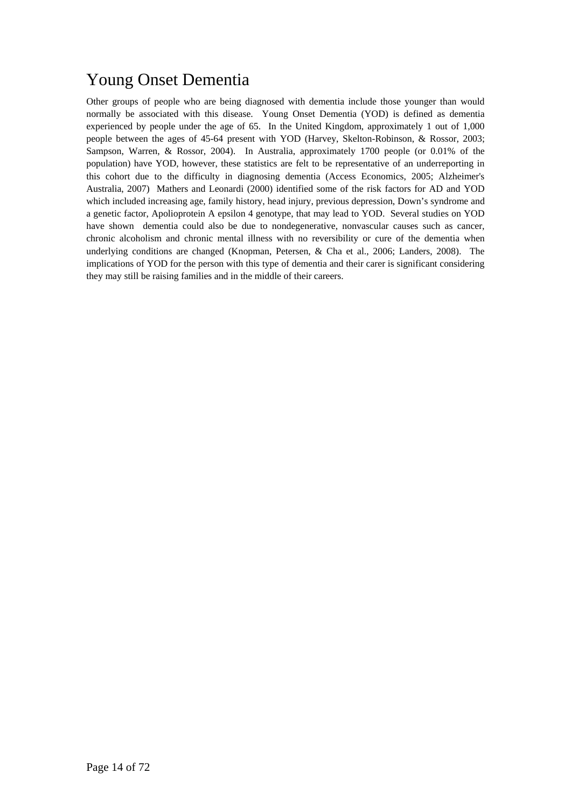## Young Onset Dementia

Other groups of people who are being diagnosed with dementia include those younger than would normally be associated with this disease. Young Onset Dementia (YOD) is defined as dementia experienced by people under the age of 65. In the United Kingdom, approximately 1 out of 1,000 people between the ages of 45-64 present with YOD (Harvey, Skelton-Robinson, & Rossor, 2003; Sampson, Warren, & Rossor, 2004). In Australia, approximately 1700 people (or 0.01% of the population) have YOD, however, these statistics are felt to be representative of an underreporting in this cohort due to the difficulty in diagnosing dementia (Access Economics, 2005; Alzheimer's Australia, 2007) Mathers and Leonardi (2000) identified some of the risk factors for AD and YOD which included increasing age, family history, head injury, previous depression, Down's syndrome and a genetic factor, Apolioprotein A epsilon 4 genotype, that may lead to YOD. Several studies on YOD have shown dementia could also be due to nondegenerative, nonvascular causes such as cancer, chronic alcoholism and chronic mental illness with no reversibility or cure of the dementia when underlying conditions are changed (Knopman, Petersen, & Cha et al., 2006; Landers, 2008). The implications of YOD for the person with this type of dementia and their carer is significant considering they may still be raising families and in the middle of their careers.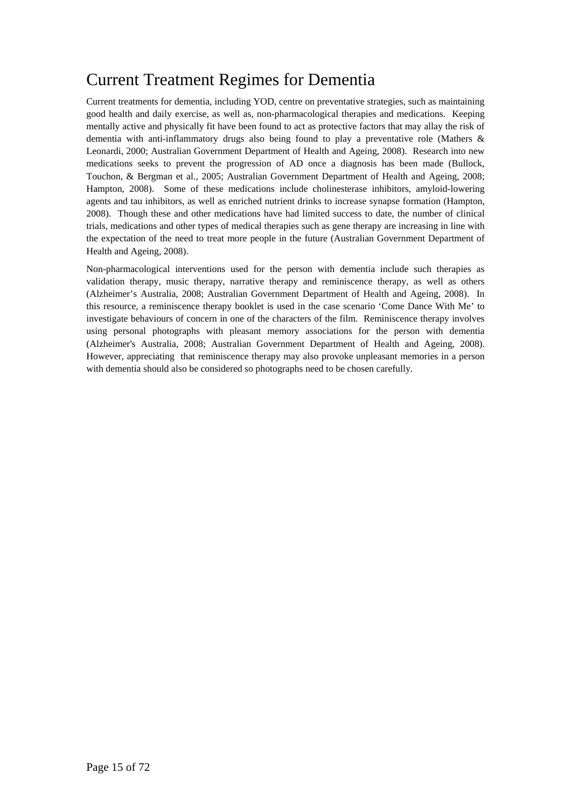## Current Treatment Regimes for Dementia

Current treatments for dementia, including YOD, centre on preventative strategies, such as maintaining good health and daily exercise, as well as, non-pharmacological therapies and medications. Keeping mentally active and physically fit have been found to act as protective factors that may allay the risk of dementia with anti-inflammatory drugs also being found to play a preventative role (Mathers & Leonardi, 2000; Australian Government Department of Health and Ageing, 2008). Research into new medications seeks to prevent the progression of AD once a diagnosis has been made (Bullock, Touchon, & Bergman et al., 2005; Australian Government Department of Health and Ageing, 2008; Hampton, 2008). Some of these medications include cholinesterase inhibitors, amyloid-lowering agents and tau inhibitors, as well as enriched nutrient drinks to increase synapse formation (Hampton, 2008). Though these and other medications have had limited success to date, the number of clinical trials, medications and other types of medical therapies such as gene therapy are increasing in line with the expectation of the need to treat more people in the future (Australian Government Department of Health and Ageing, 2008).

Non-pharmacological interventions used for the person with dementia include such therapies as validation therapy, music therapy, narrative therapy and reminiscence therapy, as well as others (Alzheimer's Australia, 2008; Australian Government Department of Health and Ageing, 2008). In this resource, a reminiscence therapy booklet is used in the case scenario 'Come Dance With Me' to investigate behaviours of concern in one of the characters of the film. Reminiscence therapy involves using personal photographs with pleasant memory associations for the person with dementia (Alzheimer's Australia, 2008; Australian Government Department of Health and Ageing, 2008). However, appreciating that reminiscence therapy may also provoke unpleasant memories in a person with dementia should also be considered so photographs need to be chosen carefully.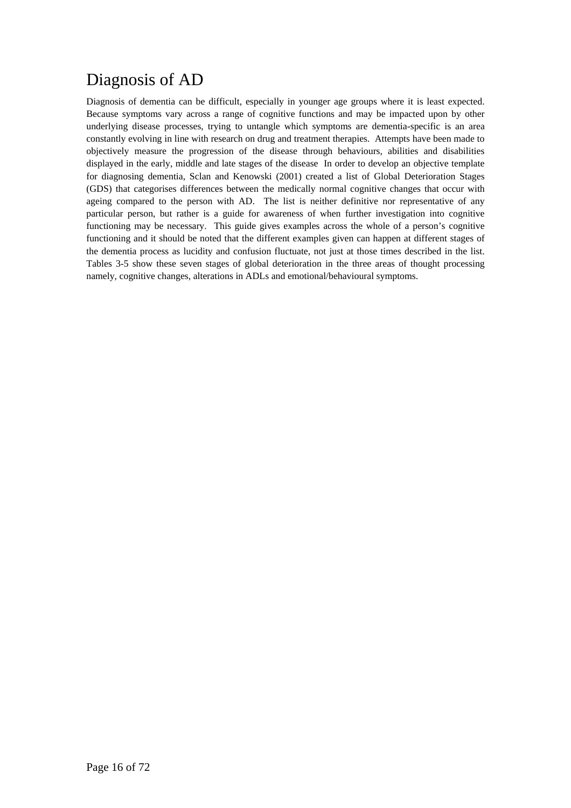## Diagnosis of AD

Diagnosis of dementia can be difficult, especially in younger age groups where it is least expected. Because symptoms vary across a range of cognitive functions and may be impacted upon by other underlying disease processes, trying to untangle which symptoms are dementia-specific is an area constantly evolving in line with research on drug and treatment therapies. Attempts have been made to objectively measure the progression of the disease through behaviours, abilities and disabilities displayed in the early, middle and late stages of the disease In order to develop an objective template for diagnosing dementia, Sclan and Kenowski (2001) created a list of Global Deterioration Stages (GDS) that categorises differences between the medically normal cognitive changes that occur with ageing compared to the person with AD. The list is neither definitive nor representative of any particular person, but rather is a guide for awareness of when further investigation into cognitive functioning may be necessary. This guide gives examples across the whole of a person's cognitive functioning and it should be noted that the different examples given can happen at different stages of the dementia process as lucidity and confusion fluctuate, not just at those times described in the list. Tables 3-5 show these seven stages of global deterioration in the three areas of thought processing namely, cognitive changes, alterations in ADLs and emotional/behavioural symptoms.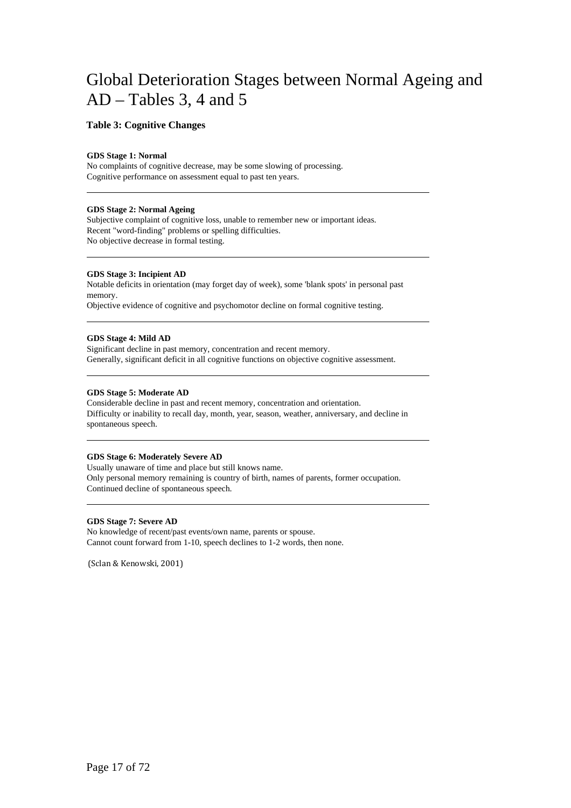## Global Deterioration Stages between Normal Ageing and AD – Tables 3, 4 and 5

### **Table 3: Cognitive Changes**

#### **GDS Stage 1: Normal**

No complaints of cognitive decrease, may be some slowing of processing. Cognitive performance on assessment equal to past ten years.

#### **GDS Stage 2: Normal Ageing**

Subjective complaint of cognitive loss, unable to remember new or important ideas. Recent "word-finding" problems or spelling difficulties. No objective decrease in formal testing.

#### **GDS Stage 3: Incipient AD**

Notable deficits in orientation (may forget day of week), some 'blank spots' in personal past memory.

Objective evidence of cognitive and psychomotor decline on formal cognitive testing.

#### **GDS Stage 4: Mild AD**

Significant decline in past memory, concentration and recent memory. Generally, significant deficit in all cognitive functions on objective cognitive assessment.

#### **GDS Stage 5: Moderate AD**

Considerable decline in past and recent memory, concentration and orientation. Difficulty or inability to recall day, month, year, season, weather, anniversary, and decline in spontaneous speech.

#### **GDS Stage 6: Moderately Severe AD**

Usually unaware of time and place but still knows name. Only personal memory remaining is country of birth, names of parents, former occupation. Continued decline of spontaneous speech.

#### **GDS Stage 7: Severe AD**

No knowledge of recent/past events/own name, parents or spouse. Cannot count forward from 1-10, speech declines to 1-2 words, then none.

(Sclan & Kenowski, 2001)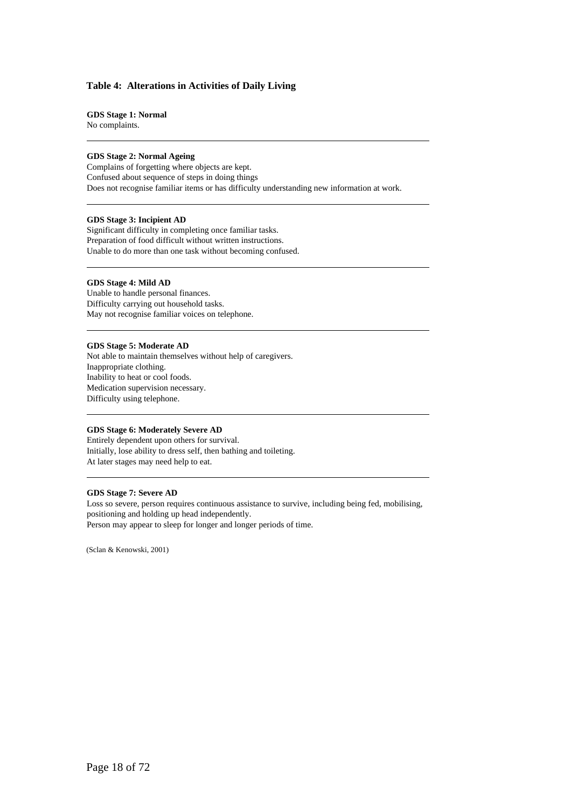#### **Table 4: Alterations in Activities of Daily Living**

#### **GDS Stage 1: Normal**

No complaints.

#### **GDS Stage 2: Normal Ageing**

Complains of forgetting where objects are kept. Confused about sequence of steps in doing things Does not recognise familiar items or has difficulty understanding new information at work.

#### **GDS Stage 3: Incipient AD**

Significant difficulty in completing once familiar tasks. Preparation of food difficult without written instructions. Unable to do more than one task without becoming confused.

#### **GDS Stage 4: Mild AD**

Unable to handle personal finances. Difficulty carrying out household tasks. May not recognise familiar voices on telephone.

#### **GDS Stage 5: Moderate AD**

Not able to maintain themselves without help of caregivers. Inappropriate clothing. Inability to heat or cool foods. Medication supervision necessary. Difficulty using telephone.

#### **GDS Stage 6: Moderately Severe AD**

Entirely dependent upon others for survival. Initially, lose ability to dress self, then bathing and toileting. At later stages may need help to eat.

#### **GDS Stage 7: Severe AD**

Loss so severe, person requires continuous assistance to survive, including being fed, mobilising, positioning and holding up head independently. Person may appear to sleep for longer and longer periods of time.

(Sclan & Kenowski, 2001)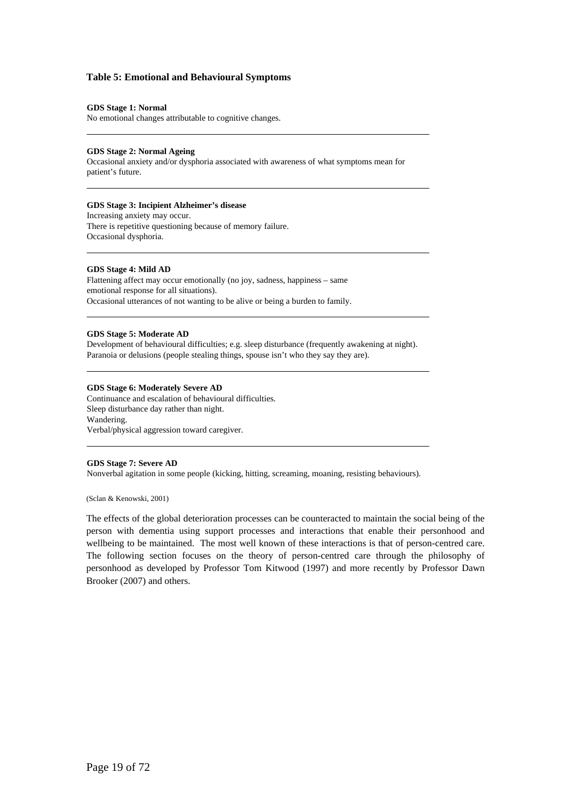#### **Table 5: Emotional and Behavioural Symptoms**

#### **GDS Stage 1: Normal**

No emotional changes attributable to cognitive changes.

#### **GDS Stage 2: Normal Ageing**

Occasional anxiety and/or dysphoria associated with awareness of what symptoms mean for patient's future.

#### **GDS Stage 3: Incipient Alzheimer's disease**

Increasing anxiety may occur. There is repetitive questioning because of memory failure. Occasional dysphoria.

#### **GDS Stage 4: Mild AD**

Flattening affect may occur emotionally (no joy, sadness, happiness – same emotional response for all situations). Occasional utterances of not wanting to be alive or being a burden to family.

#### **GDS Stage 5: Moderate AD**

Development of behavioural difficulties; e.g. sleep disturbance (frequently awakening at night). Paranoia or delusions (people stealing things, spouse isn't who they say they are).

#### **GDS Stage 6: Moderately Severe AD**

Continuance and escalation of behavioural difficulties. Sleep disturbance day rather than night. Wandering. Verbal/physical aggression toward caregiver.

#### **GDS Stage 7: Severe AD**

Nonverbal agitation in some people (kicking, hitting, screaming, moaning, resisting behaviours).

(Sclan & Kenowski, 2001)

The effects of the global deterioration processes can be counteracted to maintain the social being of the person with dementia using support processes and interactions that enable their personhood and wellbeing to be maintained. The most well known of these interactions is that of person-centred care. The following section focuses on the theory of person-centred care through the philosophy of personhood as developed by Professor Tom Kitwood (1997) and more recently by Professor Dawn Brooker (2007) and others.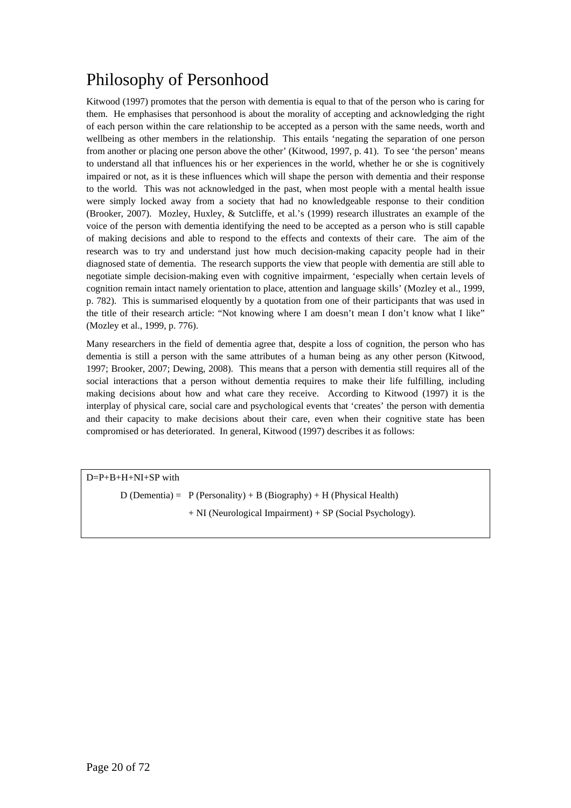## Philosophy of Personhood

Kitwood (1997) promotes that the person with dementia is equal to that of the person who is caring for them. He emphasises that personhood is about the morality of accepting and acknowledging the right of each person within the care relationship to be accepted as a person with the same needs, worth and wellbeing as other members in the relationship. This entails 'negating the separation of one person from another or placing one person above the other' (Kitwood, 1997, p. 41). To see 'the person' means to understand all that influences his or her experiences in the world, whether he or she is cognitively impaired or not, as it is these influences which will shape the person with dementia and their response to the world. This was not acknowledged in the past, when most people with a mental health issue were simply locked away from a society that had no knowledgeable response to their condition (Brooker, 2007). Mozley, Huxley, & Sutcliffe, et al.'s (1999) research illustrates an example of the voice of the person with dementia identifying the need to be accepted as a person who is still capable of making decisions and able to respond to the effects and contexts of their care. The aim of the research was to try and understand just how much decision-making capacity people had in their diagnosed state of dementia. The research supports the view that people with dementia are still able to negotiate simple decision-making even with cognitive impairment, 'especially when certain levels of cognition remain intact namely orientation to place, attention and language skills' (Mozley et al., 1999, p. 782). This is summarised eloquently by a quotation from one of their participants that was used in the title of their research article: "Not knowing where I am doesn't mean I don't know what I like" (Mozley et al., 1999, p. 776).

Many researchers in the field of dementia agree that, despite a loss of cognition, the person who has dementia is still a person with the same attributes of a human being as any other person (Kitwood, 1997; Brooker, 2007; Dewing, 2008). This means that a person with dementia still requires all of the social interactions that a person without dementia requires to make their life fulfilling, including making decisions about how and what care they receive. According to Kitwood (1997) it is the interplay of physical care, social care and psychological events that 'creates' the person with dementia and their capacity to make decisions about their care, even when their cognitive state has been compromised or has deteriorated. In general, Kitwood (1997) describes it as follows:

D=P+B+H+NI+SP with

D (Dementia) =  $P$  (Personality) + B (Biography) + H (Physical Health)

+ NI (Neurological Impairment) + SP (Social Psychology).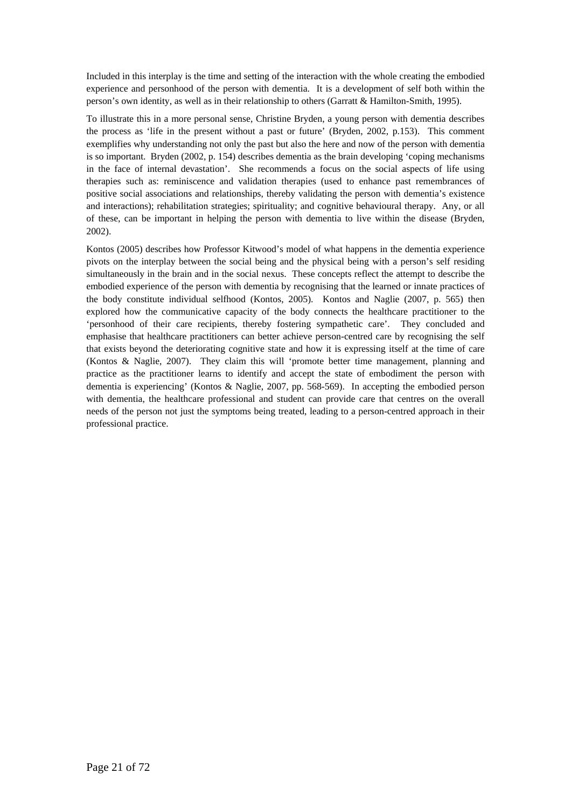Included in this interplay is the time and setting of the interaction with the whole creating the embodied experience and personhood of the person with dementia. It is a development of self both within the person's own identity, as well as in their relationship to others (Garratt & Hamilton-Smith, 1995).

To illustrate this in a more personal sense, Christine Bryden, a young person with dementia describes the process as 'life in the present without a past or future' (Bryden, 2002, p.153). This comment exemplifies why understanding not only the past but also the here and now of the person with dementia is so important. Bryden (2002, p. 154) describes dementia as the brain developing 'coping mechanisms in the face of internal devastation'. She recommends a focus on the social aspects of life using therapies such as: reminiscence and validation therapies (used to enhance past remembrances of positive social associations and relationships, thereby validating the person with dementia's existence and interactions); rehabilitation strategies; spirituality; and cognitive behavioural therapy. Any, or all of these, can be important in helping the person with dementia to live within the disease (Bryden, 2002).

Kontos (2005) describes how Professor Kitwood's model of what happens in the dementia experience pivots on the interplay between the social being and the physical being with a person's self residing simultaneously in the brain and in the social nexus. These concepts reflect the attempt to describe the embodied experience of the person with dementia by recognising that the learned or innate practices of the body constitute individual selfhood (Kontos, 2005). Kontos and Naglie (2007, p. 565) then explored how the communicative capacity of the body connects the healthcare practitioner to the 'personhood of their care recipients, thereby fostering sympathetic care'. They concluded and emphasise that healthcare practitioners can better achieve person-centred care by recognising the self that exists beyond the deteriorating cognitive state and how it is expressing itself at the time of care (Kontos & Naglie, 2007). They claim this will 'promote better time management, planning and practice as the practitioner learns to identify and accept the state of embodiment the person with dementia is experiencing' (Kontos & Naglie, 2007, pp. 568-569). In accepting the embodied person with dementia, the healthcare professional and student can provide care that centres on the overall needs of the person not just the symptoms being treated, leading to a person-centred approach in their professional practice.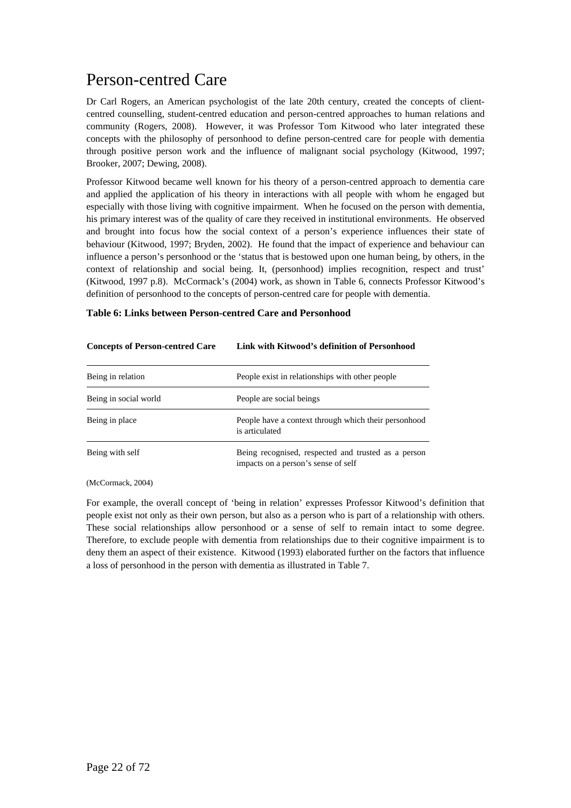## Person-centred Care

Dr Carl Rogers, an American psychologist of the late 20th century, created the concepts of clientcentred counselling, student-centred education and person-centred approaches to human relations and community (Rogers, 2008). However, it was Professor Tom Kitwood who later integrated these concepts with the philosophy of personhood to define person-centred care for people with dementia through positive person work and the influence of malignant social psychology (Kitwood, 1997; Brooker, 2007; Dewing, 2008).

Professor Kitwood became well known for his theory of a person-centred approach to dementia care and applied the application of his theory in interactions with all people with whom he engaged but especially with those living with cognitive impairment. When he focused on the person with dementia, his primary interest was of the quality of care they received in institutional environments. He observed and brought into focus how the social context of a person's experience influences their state of behaviour (Kitwood, 1997; Bryden, 2002). He found that the impact of experience and behaviour can influence a person's personhood or the 'status that is bestowed upon one human being, by others, in the context of relationship and social being. It, (personhood) implies recognition, respect and trust' (Kitwood, 1997 p.8). McCormack's (2004) work, as shown in Table 6, connects Professor Kitwood's definition of personhood to the concepts of person-centred care for people with dementia.

#### **Table 6: Links between Person-centred Care and Personhood**

| Being in relation     | People exist in relationships with other people                                            |
|-----------------------|--------------------------------------------------------------------------------------------|
| Being in social world | People are social beings                                                                   |
| Being in place        | People have a context through which their personhood<br>is articulated                     |
| Being with self       | Being recognised, respected and trusted as a person<br>impacts on a person's sense of self |

#### **Concepts of Person-centred Care Link with Kitwood's definition of Personhood**

(McCormack, 2004)

For example, the overall concept of 'being in relation' expresses Professor Kitwood's definition that people exist not only as their own person, but also as a person who is part of a relationship with others. These social relationships allow personhood or a sense of self to remain intact to some degree. Therefore, to exclude people with dementia from relationships due to their cognitive impairment is to deny them an aspect of their existence. Kitwood (1993) elaborated further on the factors that influence a loss of personhood in the person with dementia as illustrated in Table 7.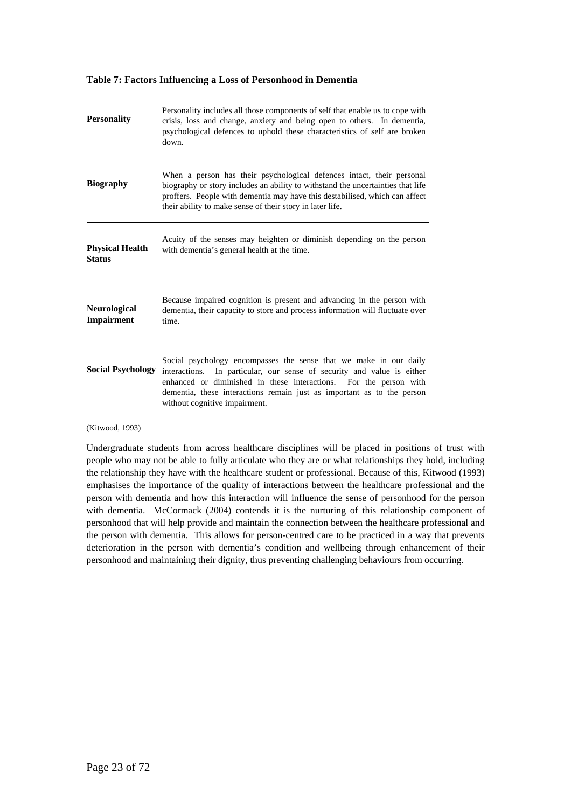#### **Table 7: Factors Influencing a Loss of Personhood in Dementia**

| <b>Personality</b>                       | Personality includes all those components of self that enable us to cope with<br>crisis, loss and change, anxiety and being open to others. In dementia,<br>psychological defences to uphold these characteristics of self are broken<br>down.                                                                                 |
|------------------------------------------|--------------------------------------------------------------------------------------------------------------------------------------------------------------------------------------------------------------------------------------------------------------------------------------------------------------------------------|
| <b>Biography</b>                         | When a person has their psychological defences intact, their personal<br>biography or story includes an ability to withstand the uncertainties that life<br>proffers. People with dementia may have this destabilised, which can affect<br>their ability to make sense of their story in later life.                           |
| <b>Physical Health</b><br><b>Status</b>  | Acuity of the senses may heighten or diminish depending on the person<br>with dementia's general health at the time.                                                                                                                                                                                                           |
| <b>Neurological</b><br><b>Impairment</b> | Because impaired cognition is present and advancing in the person with<br>dementia, their capacity to store and process information will fluctuate over<br>time.                                                                                                                                                               |
| <b>Social Psychology</b>                 | Social psychology encompasses the sense that we make in our daily<br>In particular, our sense of security and value is either<br>interactions.<br>enhanced or diminished in these interactions. For the person with<br>dementia, these interactions remain just as important as to the person<br>without cognitive impairment. |

(Kitwood, 1993)

Undergraduate students from across healthcare disciplines will be placed in positions of trust with people who may not be able to fully articulate who they are or what relationships they hold, including the relationship they have with the healthcare student or professional. Because of this, Kitwood (1993) emphasises the importance of the quality of interactions between the healthcare professional and the person with dementia and how this interaction will influence the sense of personhood for the person with dementia. McCormack (2004) contends it is the nurturing of this relationship component of personhood that will help provide and maintain the connection between the healthcare professional and the person with dementia. This allows for person-centred care to be practiced in a way that prevents deterioration in the person with dementia's condition and wellbeing through enhancement of their personhood and maintaining their dignity, thus preventing challenging behaviours from occurring.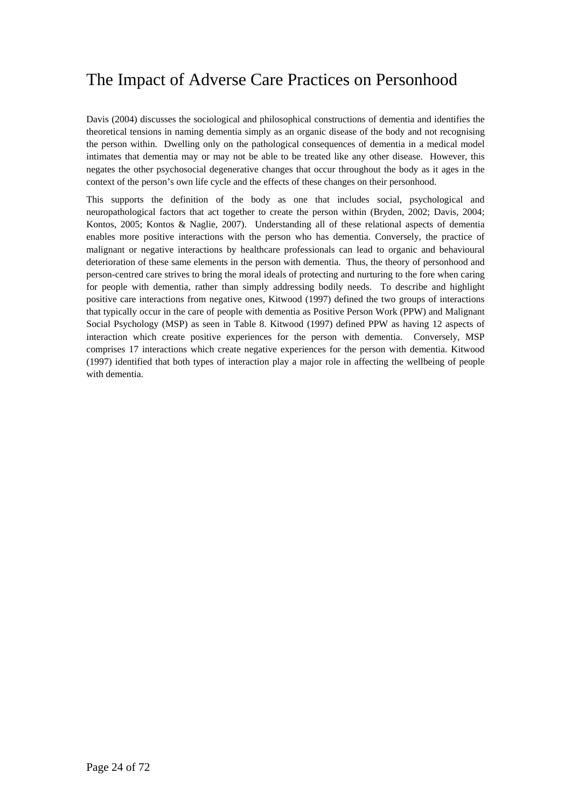## The Impact of Adverse Care Practices on Personhood

Davis (2004) discusses the sociological and philosophical constructions of dementia and identifies the theoretical tensions in naming dementia simply as an organic disease of the body and not recognising the person within. Dwelling only on the pathological consequences of dementia in a medical model intimates that dementia may or may not be able to be treated like any other disease. However, this negates the other psychosocial degenerative changes that occur throughout the body as it ages in the context of the person's own life cycle and the effects of these changes on their personhood.

This supports the definition of the body as one that includes social, psychological and neuropathological factors that act together to create the person within (Bryden, 2002; Davis, 2004; Kontos, 2005; Kontos & Naglie, 2007). Understanding all of these relational aspects of dementia enables more positive interactions with the person who has dementia. Conversely, the practice of malignant or negative interactions by healthcare professionals can lead to organic and behavioural deterioration of these same elements in the person with dementia. Thus, the theory of personhood and person-centred care strives to bring the moral ideals of protecting and nurturing to the fore when caring for people with dementia, rather than simply addressing bodily needs. To describe and highlight positive care interactions from negative ones, Kitwood (1997) defined the two groups of interactions that typically occur in the care of people with dementia as Positive Person Work (PPW) and Malignant Social Psychology (MSP) as seen in Table 8. Kitwood (1997) defined PPW as having 12 aspects of interaction which create positive experiences for the person with dementia. Conversely, MSP comprises 17 interactions which create negative experiences for the person with dementia. Kitwood (1997) identified that both types of interaction play a major role in affecting the wellbeing of people with dementia.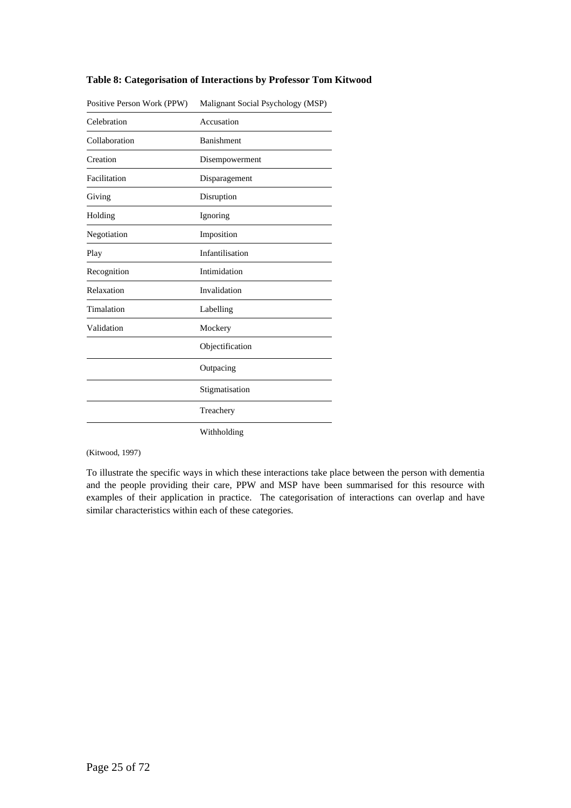| Positive Person Work (PPW) | Malignant Social Psychology (MSP) |
|----------------------------|-----------------------------------|
| Celebration                | Accusation                        |
| Collaboration              | Banishment                        |
| Creation                   | Disempowerment                    |
| Facilitation               | Disparagement                     |
| Giving                     | Disruption                        |
| Holding                    | Ignoring                          |
| Negotiation                | Imposition                        |
| Play                       | Infantilisation                   |
| Recognition                | Intimidation                      |
| Relaxation                 | Invalidation                      |
| Timalation                 | Labelling                         |
| Validation                 | Mockery                           |
|                            | Objectification                   |
|                            | Outpacing                         |
|                            | Stigmatisation                    |
|                            | Treachery                         |
|                            | Withholding                       |

#### **Table 8: Categorisation of Interactions by Professor Tom Kitwood**

(Kitwood, 1997)

To illustrate the specific ways in which these interactions take place between the person with dementia and the people providing their care, PPW and MSP have been summarised for this resource with examples of their application in practice. The categorisation of interactions can overlap and have similar characteristics within each of these categories.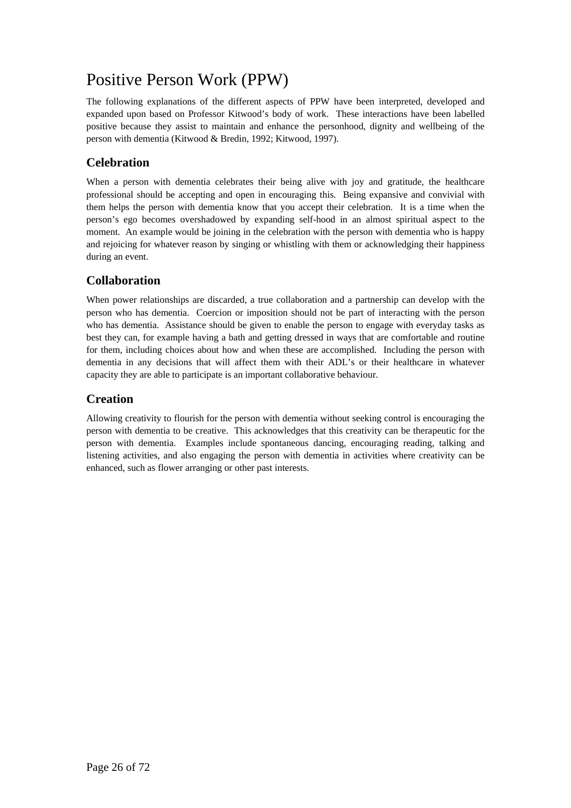## Positive Person Work (PPW)

The following explanations of the different aspects of PPW have been interpreted, developed and expanded upon based on Professor Kitwood's body of work. These interactions have been labelled positive because they assist to maintain and enhance the personhood, dignity and wellbeing of the person with dementia (Kitwood & Bredin, 1992; Kitwood, 1997).

## **Celebration**

When a person with dementia celebrates their being alive with joy and gratitude, the healthcare professional should be accepting and open in encouraging this. Being expansive and convivial with them helps the person with dementia know that you accept their celebration. It is a time when the person's ego becomes overshadowed by expanding self-hood in an almost spiritual aspect to the moment. An example would be joining in the celebration with the person with dementia who is happy and rejoicing for whatever reason by singing or whistling with them or acknowledging their happiness during an event.

## **Collaboration**

When power relationships are discarded, a true collaboration and a partnership can develop with the person who has dementia. Coercion or imposition should not be part of interacting with the person who has dementia. Assistance should be given to enable the person to engage with everyday tasks as best they can, for example having a bath and getting dressed in ways that are comfortable and routine for them, including choices about how and when these are accomplished. Including the person with dementia in any decisions that will affect them with their ADL's or their healthcare in whatever capacity they are able to participate is an important collaborative behaviour.

## **Creation**

Allowing creativity to flourish for the person with dementia without seeking control is encouraging the person with dementia to be creative. This acknowledges that this creativity can be therapeutic for the person with dementia. Examples include spontaneous dancing, encouraging reading, talking and listening activities, and also engaging the person with dementia in activities where creativity can be enhanced, such as flower arranging or other past interests.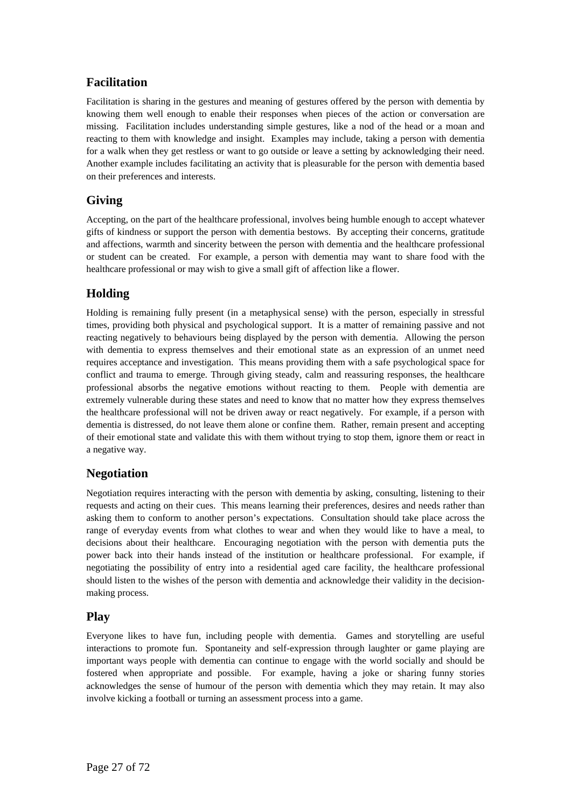### **Facilitation**

Facilitation is sharing in the gestures and meaning of gestures offered by the person with dementia by knowing them well enough to enable their responses when pieces of the action or conversation are missing. Facilitation includes understanding simple gestures, like a nod of the head or a moan and reacting to them with knowledge and insight. Examples may include, taking a person with dementia for a walk when they get restless or want to go outside or leave a setting by acknowledging their need. Another example includes facilitating an activity that is pleasurable for the person with dementia based on their preferences and interests.

### **Giving**

Accepting, on the part of the healthcare professional, involves being humble enough to accept whatever gifts of kindness or support the person with dementia bestows. By accepting their concerns, gratitude and affections, warmth and sincerity between the person with dementia and the healthcare professional or student can be created. For example, a person with dementia may want to share food with the healthcare professional or may wish to give a small gift of affection like a flower.

### **Holding**

Holding is remaining fully present (in a metaphysical sense) with the person, especially in stressful times, providing both physical and psychological support. It is a matter of remaining passive and not reacting negatively to behaviours being displayed by the person with dementia. Allowing the person with dementia to express themselves and their emotional state as an expression of an unmet need requires acceptance and investigation. This means providing them with a safe psychological space for conflict and trauma to emerge. Through giving steady, calm and reassuring responses, the healthcare professional absorbs the negative emotions without reacting to them. People with dementia are extremely vulnerable during these states and need to know that no matter how they express themselves the healthcare professional will not be driven away or react negatively. For example, if a person with dementia is distressed, do not leave them alone or confine them. Rather, remain present and accepting of their emotional state and validate this with them without trying to stop them, ignore them or react in a negative way.

### **Negotiation**

Negotiation requires interacting with the person with dementia by asking, consulting, listening to their requests and acting on their cues. This means learning their preferences, desires and needs rather than asking them to conform to another person's expectations. Consultation should take place across the range of everyday events from what clothes to wear and when they would like to have a meal, to decisions about their healthcare. Encouraging negotiation with the person with dementia puts the power back into their hands instead of the institution or healthcare professional. For example, if negotiating the possibility of entry into a residential aged care facility, the healthcare professional should listen to the wishes of the person with dementia and acknowledge their validity in the decisionmaking process.

### **Play**

Everyone likes to have fun, including people with dementia. Games and storytelling are useful interactions to promote fun. Spontaneity and self-expression through laughter or game playing are important ways people with dementia can continue to engage with the world socially and should be fostered when appropriate and possible. For example, having a joke or sharing funny stories acknowledges the sense of humour of the person with dementia which they may retain. It may also involve kicking a football or turning an assessment process into a game.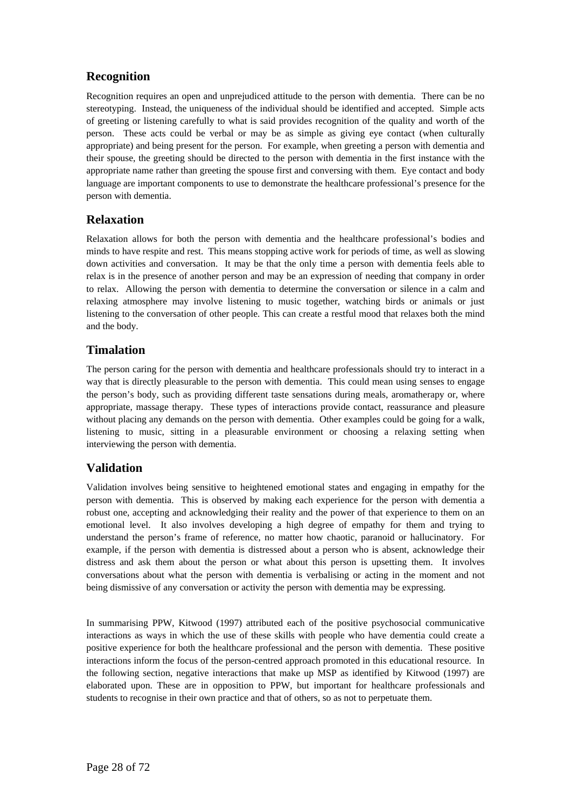## **Recognition**

Recognition requires an open and unprejudiced attitude to the person with dementia. There can be no stereotyping. Instead, the uniqueness of the individual should be identified and accepted. Simple acts of greeting or listening carefully to what is said provides recognition of the quality and worth of the person. These acts could be verbal or may be as simple as giving eye contact (when culturally appropriate) and being present for the person. For example, when greeting a person with dementia and their spouse, the greeting should be directed to the person with dementia in the first instance with the appropriate name rather than greeting the spouse first and conversing with them. Eye contact and body language are important components to use to demonstrate the healthcare professional's presence for the person with dementia.

### **Relaxation**

Relaxation allows for both the person with dementia and the healthcare professional's bodies and minds to have respite and rest. This means stopping active work for periods of time, as well as slowing down activities and conversation. It may be that the only time a person with dementia feels able to relax is in the presence of another person and may be an expression of needing that company in order to relax. Allowing the person with dementia to determine the conversation or silence in a calm and relaxing atmosphere may involve listening to music together, watching birds or animals or just listening to the conversation of other people. This can create a restful mood that relaxes both the mind and the body.

### **Timalation**

The person caring for the person with dementia and healthcare professionals should try to interact in a way that is directly pleasurable to the person with dementia. This could mean using senses to engage the person's body, such as providing different taste sensations during meals, aromatherapy or, where appropriate, massage therapy. These types of interactions provide contact, reassurance and pleasure without placing any demands on the person with dementia. Other examples could be going for a walk, listening to music, sitting in a pleasurable environment or choosing a relaxing setting when interviewing the person with dementia.

### **Validation**

Validation involves being sensitive to heightened emotional states and engaging in empathy for the person with dementia. This is observed by making each experience for the person with dementia a robust one, accepting and acknowledging their reality and the power of that experience to them on an emotional level. It also involves developing a high degree of empathy for them and trying to understand the person's frame of reference, no matter how chaotic, paranoid or hallucinatory. For example, if the person with dementia is distressed about a person who is absent, acknowledge their distress and ask them about the person or what about this person is upsetting them. It involves conversations about what the person with dementia is verbalising or acting in the moment and not being dismissive of any conversation or activity the person with dementia may be expressing.

In summarising PPW, Kitwood (1997) attributed each of the positive psychosocial communicative interactions as ways in which the use of these skills with people who have dementia could create a positive experience for both the healthcare professional and the person with dementia. These positive interactions inform the focus of the person-centred approach promoted in this educational resource. In the following section, negative interactions that make up MSP as identified by Kitwood (1997) are elaborated upon. These are in opposition to PPW, but important for healthcare professionals and students to recognise in their own practice and that of others, so as not to perpetuate them.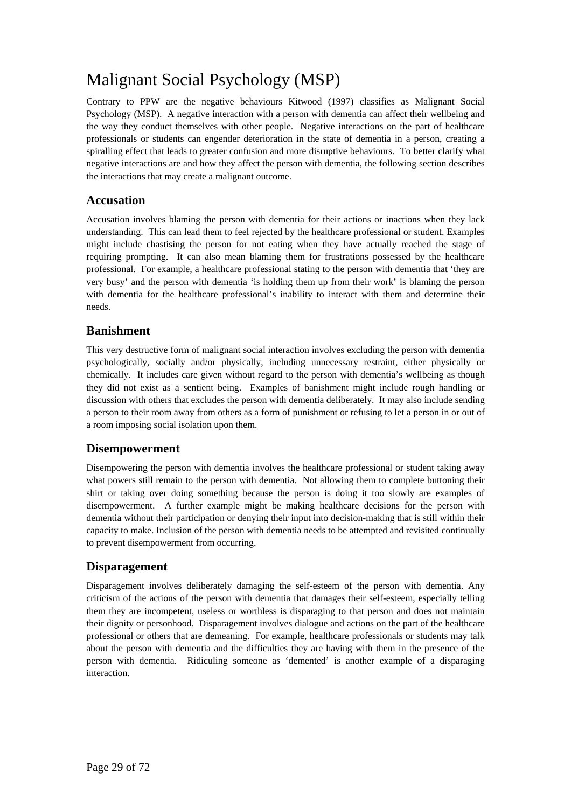## Malignant Social Psychology (MSP)

Contrary to PPW are the negative behaviours Kitwood (1997) classifies as Malignant Social Psychology (MSP). A negative interaction with a person with dementia can affect their wellbeing and the way they conduct themselves with other people. Negative interactions on the part of healthcare professionals or students can engender deterioration in the state of dementia in a person, creating a spiralling effect that leads to greater confusion and more disruptive behaviours. To better clarify what negative interactions are and how they affect the person with dementia, the following section describes the interactions that may create a malignant outcome.

### **Accusation**

Accusation involves blaming the person with dementia for their actions or inactions when they lack understanding. This can lead them to feel rejected by the healthcare professional or student. Examples might include chastising the person for not eating when they have actually reached the stage of requiring prompting. It can also mean blaming them for frustrations possessed by the healthcare professional. For example, a healthcare professional stating to the person with dementia that 'they are very busy' and the person with dementia 'is holding them up from their work' is blaming the person with dementia for the healthcare professional's inability to interact with them and determine their needs.

### **Banishment**

This very destructive form of malignant social interaction involves excluding the person with dementia psychologically, socially and/or physically, including unnecessary restraint, either physically or chemically. It includes care given without regard to the person with dementia's wellbeing as though they did not exist as a sentient being. Examples of banishment might include rough handling or discussion with others that excludes the person with dementia deliberately. It may also include sending a person to their room away from others as a form of punishment or refusing to let a person in or out of a room imposing social isolation upon them.

### **Disempowerment**

Disempowering the person with dementia involves the healthcare professional or student taking away what powers still remain to the person with dementia. Not allowing them to complete buttoning their shirt or taking over doing something because the person is doing it too slowly are examples of disempowerment. A further example might be making healthcare decisions for the person with dementia without their participation or denying their input into decision-making that is still within their capacity to make. Inclusion of the person with dementia needs to be attempted and revisited continually to prevent disempowerment from occurring.

### **Disparagement**

Disparagement involves deliberately damaging the self-esteem of the person with dementia. Any criticism of the actions of the person with dementia that damages their self-esteem, especially telling them they are incompetent, useless or worthless is disparaging to that person and does not maintain their dignity or personhood. Disparagement involves dialogue and actions on the part of the healthcare professional or others that are demeaning. For example, healthcare professionals or students may talk about the person with dementia and the difficulties they are having with them in the presence of the person with dementia. Ridiculing someone as 'demented' is another example of a disparaging interaction.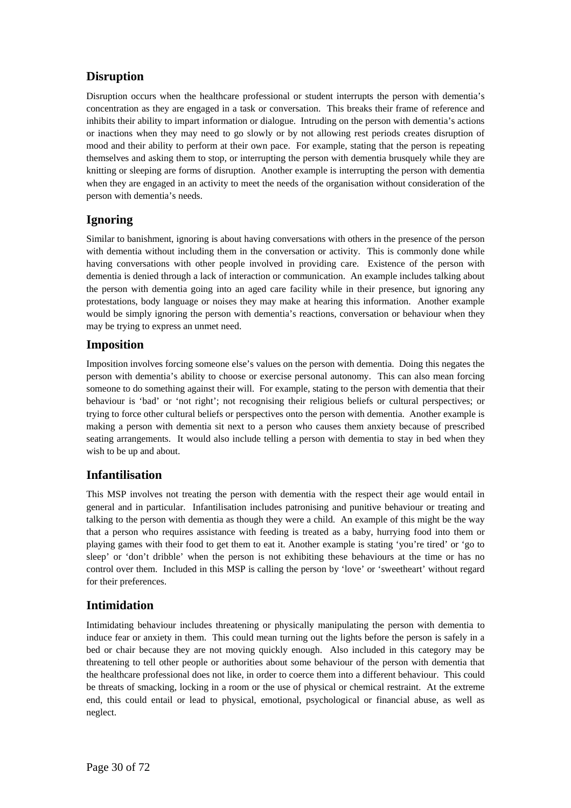## **Disruption**

Disruption occurs when the healthcare professional or student interrupts the person with dementia's concentration as they are engaged in a task or conversation. This breaks their frame of reference and inhibits their ability to impart information or dialogue. Intruding on the person with dementia's actions or inactions when they may need to go slowly or by not allowing rest periods creates disruption of mood and their ability to perform at their own pace. For example, stating that the person is repeating themselves and asking them to stop, or interrupting the person with dementia brusquely while they are knitting or sleeping are forms of disruption. Another example is interrupting the person with dementia when they are engaged in an activity to meet the needs of the organisation without consideration of the person with dementia's needs.

## **Ignoring**

Similar to banishment, ignoring is about having conversations with others in the presence of the person with dementia without including them in the conversation or activity. This is commonly done while having conversations with other people involved in providing care. Existence of the person with dementia is denied through a lack of interaction or communication. An example includes talking about the person with dementia going into an aged care facility while in their presence, but ignoring any protestations, body language or noises they may make at hearing this information. Another example would be simply ignoring the person with dementia's reactions, conversation or behaviour when they may be trying to express an unmet need.

## **Imposition**

Imposition involves forcing someone else's values on the person with dementia. Doing this negates the person with dementia's ability to choose or exercise personal autonomy. This can also mean forcing someone to do something against their will. For example, stating to the person with dementia that their behaviour is 'bad' or 'not right'; not recognising their religious beliefs or cultural perspectives; or trying to force other cultural beliefs or perspectives onto the person with dementia. Another example is making a person with dementia sit next to a person who causes them anxiety because of prescribed seating arrangements. It would also include telling a person with dementia to stay in bed when they wish to be up and about.

## **Infantilisation**

This MSP involves not treating the person with dementia with the respect their age would entail in general and in particular. Infantilisation includes patronising and punitive behaviour or treating and talking to the person with dementia as though they were a child. An example of this might be the way that a person who requires assistance with feeding is treated as a baby, hurrying food into them or playing games with their food to get them to eat it. Another example is stating 'you're tired' or 'go to sleep' or 'don't dribble' when the person is not exhibiting these behaviours at the time or has no control over them. Included in this MSP is calling the person by 'love' or 'sweetheart' without regard for their preferences.

### **Intimidation**

Intimidating behaviour includes threatening or physically manipulating the person with dementia to induce fear or anxiety in them. This could mean turning out the lights before the person is safely in a bed or chair because they are not moving quickly enough. Also included in this category may be threatening to tell other people or authorities about some behaviour of the person with dementia that the healthcare professional does not like, in order to coerce them into a different behaviour. This could be threats of smacking, locking in a room or the use of physical or chemical restraint. At the extreme end, this could entail or lead to physical, emotional, psychological or financial abuse, as well as neglect.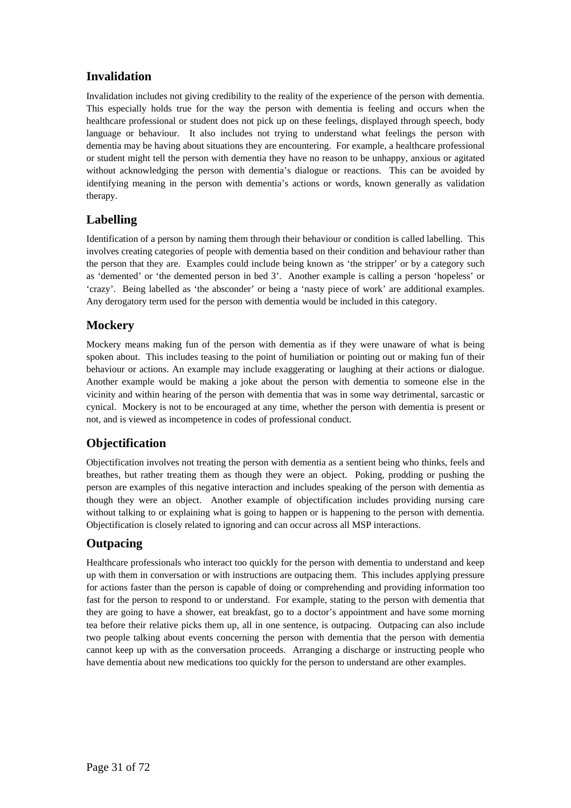## **Invalidation**

Invalidation includes not giving credibility to the reality of the experience of the person with dementia. This especially holds true for the way the person with dementia is feeling and occurs when the healthcare professional or student does not pick up on these feelings, displayed through speech, body language or behaviour. It also includes not trying to understand what feelings the person with dementia may be having about situations they are encountering. For example, a healthcare professional or student might tell the person with dementia they have no reason to be unhappy, anxious or agitated without acknowledging the person with dementia's dialogue or reactions. This can be avoided by identifying meaning in the person with dementia's actions or words, known generally as validation therapy.

## **Labelling**

Identification of a person by naming them through their behaviour or condition is called labelling. This involves creating categories of people with dementia based on their condition and behaviour rather than the person that they are. Examples could include being known as 'the stripper' or by a category such as 'demented' or 'the demented person in bed 3'. Another example is calling a person 'hopeless' or 'crazy'. Being labelled as 'the absconder' or being a 'nasty piece of work' are additional examples. Any derogatory term used for the person with dementia would be included in this category.

## **Mockery**

Mockery means making fun of the person with dementia as if they were unaware of what is being spoken about. This includes teasing to the point of humiliation or pointing out or making fun of their behaviour or actions. An example may include exaggerating or laughing at their actions or dialogue. Another example would be making a joke about the person with dementia to someone else in the vicinity and within hearing of the person with dementia that was in some way detrimental, sarcastic or cynical. Mockery is not to be encouraged at any time, whether the person with dementia is present or not, and is viewed as incompetence in codes of professional conduct.

## **Objectification**

Objectification involves not treating the person with dementia as a sentient being who thinks, feels and breathes, but rather treating them as though they were an object. Poking, prodding or pushing the person are examples of this negative interaction and includes speaking of the person with dementia as though they were an object. Another example of objectification includes providing nursing care without talking to or explaining what is going to happen or is happening to the person with dementia. Objectification is closely related to ignoring and can occur across all MSP interactions.

## **Outpacing**

Healthcare professionals who interact too quickly for the person with dementia to understand and keep up with them in conversation or with instructions are outpacing them. This includes applying pressure for actions faster than the person is capable of doing or comprehending and providing information too fast for the person to respond to or understand. For example, stating to the person with dementia that they are going to have a shower, eat breakfast, go to a doctor's appointment and have some morning tea before their relative picks them up, all in one sentence, is outpacing. Outpacing can also include two people talking about events concerning the person with dementia that the person with dementia cannot keep up with as the conversation proceeds. Arranging a discharge or instructing people who have dementia about new medications too quickly for the person to understand are other examples.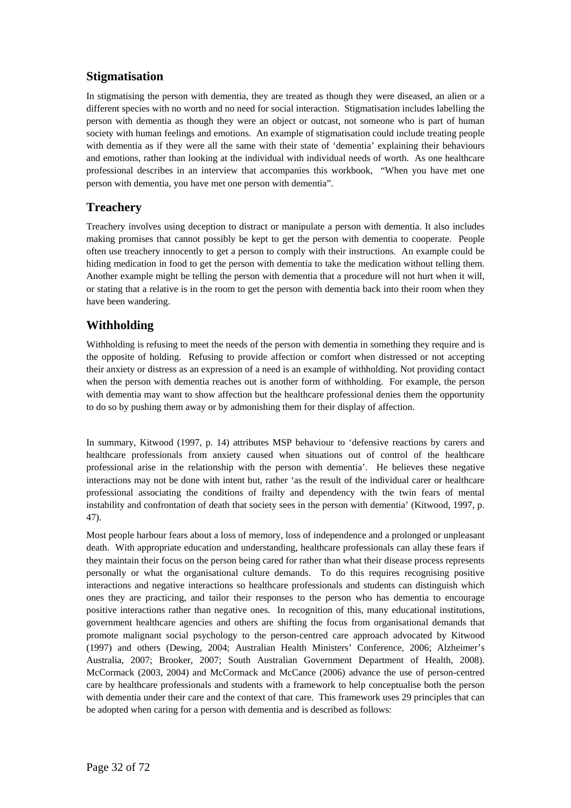## **Stigmatisation**

In stigmatising the person with dementia, they are treated as though they were diseased, an alien or a different species with no worth and no need for social interaction. Stigmatisation includes labelling the person with dementia as though they were an object or outcast, not someone who is part of human society with human feelings and emotions. An example of stigmatisation could include treating people with dementia as if they were all the same with their state of 'dementia' explaining their behaviours and emotions, rather than looking at the individual with individual needs of worth. As one healthcare professional describes in an interview that accompanies this workbook, "When you have met one person with dementia, you have met one person with dementia".

### **Treachery**

Treachery involves using deception to distract or manipulate a person with dementia. It also includes making promises that cannot possibly be kept to get the person with dementia to cooperate. People often use treachery innocently to get a person to comply with their instructions. An example could be hiding medication in food to get the person with dementia to take the medication without telling them. Another example might be telling the person with dementia that a procedure will not hurt when it will, or stating that a relative is in the room to get the person with dementia back into their room when they have been wandering.

## **Withholding**

Withholding is refusing to meet the needs of the person with dementia in something they require and is the opposite of holding. Refusing to provide affection or comfort when distressed or not accepting their anxiety or distress as an expression of a need is an example of withholding. Not providing contact when the person with dementia reaches out is another form of withholding. For example, the person with dementia may want to show affection but the healthcare professional denies them the opportunity to do so by pushing them away or by admonishing them for their display of affection.

In summary, Kitwood (1997, p. 14) attributes MSP behaviour to 'defensive reactions by carers and healthcare professionals from anxiety caused when situations out of control of the healthcare professional arise in the relationship with the person with dementia'. He believes these negative interactions may not be done with intent but, rather 'as the result of the individual carer or healthcare professional associating the conditions of frailty and dependency with the twin fears of mental instability and confrontation of death that society sees in the person with dementia' (Kitwood, 1997, p. 47).

Most people harbour fears about a loss of memory, loss of independence and a prolonged or unpleasant death. With appropriate education and understanding, healthcare professionals can allay these fears if they maintain their focus on the person being cared for rather than what their disease process represents personally or what the organisational culture demands. To do this requires recognising positive interactions and negative interactions so healthcare professionals and students can distinguish which ones they are practicing, and tailor their responses to the person who has dementia to encourage positive interactions rather than negative ones. In recognition of this, many educational institutions, government healthcare agencies and others are shifting the focus from organisational demands that promote malignant social psychology to the person-centred care approach advocated by Kitwood (1997) and others (Dewing, 2004; Australian Health Ministers' Conference, 2006; Alzheimer's Australia, 2007; Brooker, 2007; South Australian Government Department of Health, 2008). McCormack (2003, 2004) and McCormack and McCance (2006) advance the use of person-centred care by healthcare professionals and students with a framework to help conceptualise both the person with dementia under their care and the context of that care. This framework uses 29 principles that can be adopted when caring for a person with dementia and is described as follows: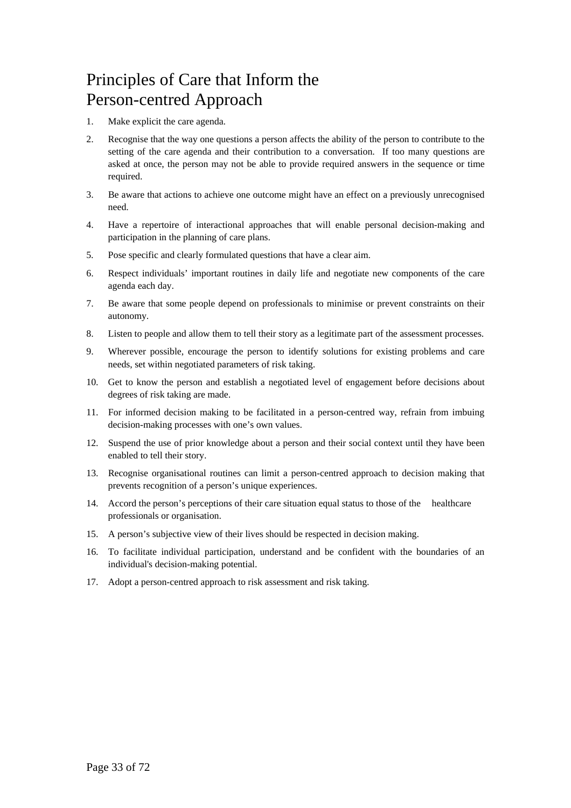# Principles of Care that Inform the Person-centred Approach

- 1. Make explicit the care agenda.
- 2. Recognise that the way one questions a person affects the ability of the person to contribute to the setting of the care agenda and their contribution to a conversation. If too many questions are asked at once, the person may not be able to provide required answers in the sequence or time required.
- 3. Be aware that actions to achieve one outcome might have an effect on a previously unrecognised need.
- 4. Have a repertoire of interactional approaches that will enable personal decision-making and participation in the planning of care plans.
- 5. Pose specific and clearly formulated questions that have a clear aim.
- 6. Respect individuals' important routines in daily life and negotiate new components of the care agenda each day.
- 7. Be aware that some people depend on professionals to minimise or prevent constraints on their autonomy.
- 8. Listen to people and allow them to tell their story as a legitimate part of the assessment processes.
- 9. Wherever possible, encourage the person to identify solutions for existing problems and care needs, set within negotiated parameters of risk taking.
- 10. Get to know the person and establish a negotiated level of engagement before decisions about degrees of risk taking are made.
- 11. For informed decision making to be facilitated in a person-centred way, refrain from imbuing decision-making processes with one's own values.
- 12. Suspend the use of prior knowledge about a person and their social context until they have been enabled to tell their story.
- 13. Recognise organisational routines can limit a person-centred approach to decision making that prevents recognition of a person's unique experiences.
- 14. Accord the person's perceptions of their care situation equal status to those of the healthcare professionals or organisation.
- 15. A person's subjective view of their lives should be respected in decision making.
- 16. To facilitate individual participation, understand and be confident with the boundaries of an individual's decision-making potential.
- 17. Adopt a person-centred approach to risk assessment and risk taking.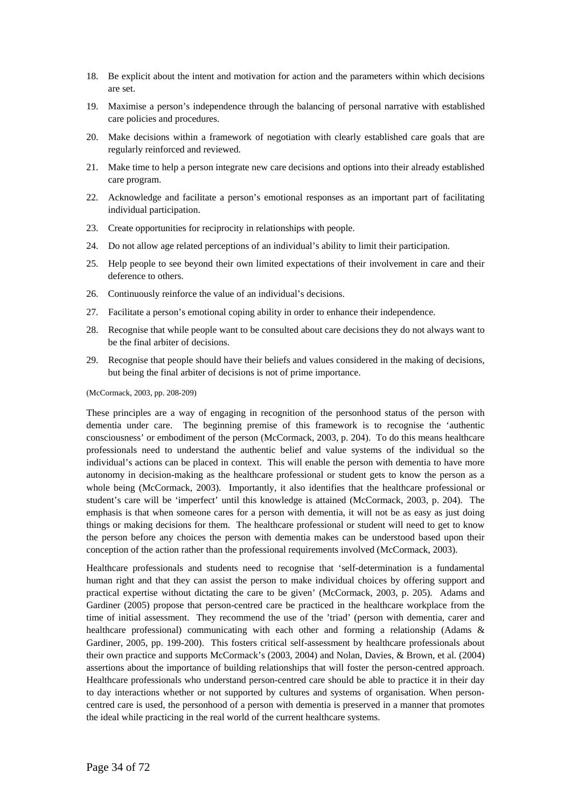- 18. Be explicit about the intent and motivation for action and the parameters within which decisions are set.
- 19. Maximise a person's independence through the balancing of personal narrative with established care policies and procedures.
- 20. Make decisions within a framework of negotiation with clearly established care goals that are regularly reinforced and reviewed.
- 21. Make time to help a person integrate new care decisions and options into their already established care program.
- 22. Acknowledge and facilitate a person's emotional responses as an important part of facilitating individual participation.
- 23. Create opportunities for reciprocity in relationships with people.
- 24. Do not allow age related perceptions of an individual's ability to limit their participation.
- 25. Help people to see beyond their own limited expectations of their involvement in care and their deference to others.
- 26. Continuously reinforce the value of an individual's decisions.
- 27. Facilitate a person's emotional coping ability in order to enhance their independence.
- 28. Recognise that while people want to be consulted about care decisions they do not always want to be the final arbiter of decisions.
- 29. Recognise that people should have their beliefs and values considered in the making of decisions, but being the final arbiter of decisions is not of prime importance.

(McCormack, 2003, pp. 208-209)

These principles are a way of engaging in recognition of the personhood status of the person with dementia under care. The beginning premise of this framework is to recognise the 'authentic consciousness' or embodiment of the person (McCormack, 2003, p. 204). To do this means healthcare professionals need to understand the authentic belief and value systems of the individual so the individual's actions can be placed in context. This will enable the person with dementia to have more autonomy in decision-making as the healthcare professional or student gets to know the person as a whole being (McCormack, 2003). Importantly, it also identifies that the healthcare professional or student's care will be 'imperfect' until this knowledge is attained (McCormack, 2003, p. 204). The emphasis is that when someone cares for a person with dementia, it will not be as easy as just doing things or making decisions for them. The healthcare professional or student will need to get to know the person before any choices the person with dementia makes can be understood based upon their conception of the action rather than the professional requirements involved (McCormack, 2003).

Healthcare professionals and students need to recognise that 'self-determination is a fundamental human right and that they can assist the person to make individual choices by offering support and practical expertise without dictating the care to be given' (McCormack, 2003, p. 205). Adams and Gardiner (2005) propose that person-centred care be practiced in the healthcare workplace from the time of initial assessment. They recommend the use of the 'triad' (person with dementia, carer and healthcare professional) communicating with each other and forming a relationship (Adams & Gardiner, 2005, pp. 199-200). This fosters critical self-assessment by healthcare professionals about their own practice and supports McCormack's (2003, 2004) and Nolan, Davies, & Brown, et al. (2004) assertions about the importance of building relationships that will foster the person-centred approach. Healthcare professionals who understand person-centred care should be able to practice it in their day to day interactions whether or not supported by cultures and systems of organisation. When personcentred care is used, the personhood of a person with dementia is preserved in a manner that promotes the ideal while practicing in the real world of the current healthcare systems.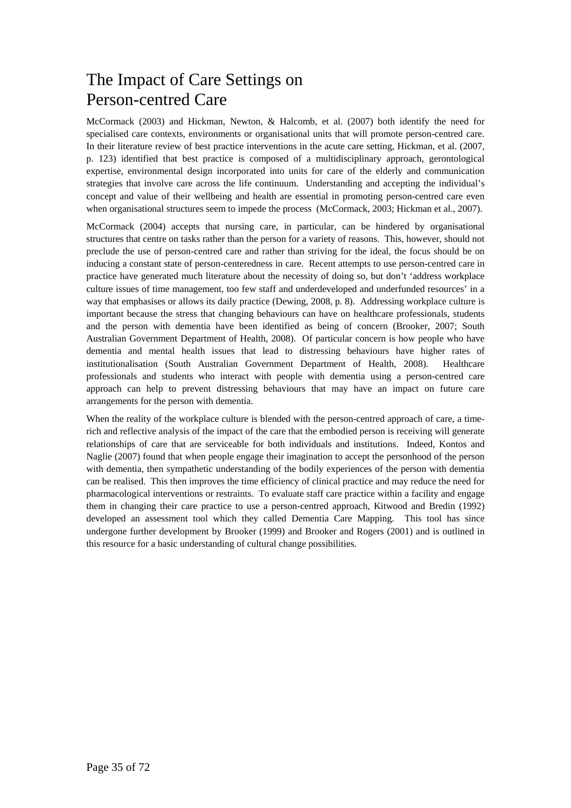# The Impact of Care Settings on Person-centred Care

McCormack (2003) and Hickman, Newton, & Halcomb, et al. (2007) both identify the need for specialised care contexts, environments or organisational units that will promote person-centred care. In their literature review of best practice interventions in the acute care setting, Hickman, et al. (2007, p. 123) identified that best practice is composed of a multidisciplinary approach, gerontological expertise, environmental design incorporated into units for care of the elderly and communication strategies that involve care across the life continuum. Understanding and accepting the individual's concept and value of their wellbeing and health are essential in promoting person-centred care even when organisational structures seem to impede the process (McCormack, 2003; Hickman et al., 2007).

McCormack (2004) accepts that nursing care, in particular, can be hindered by organisational structures that centre on tasks rather than the person for a variety of reasons. This, however, should not preclude the use of person-centred care and rather than striving for the ideal, the focus should be on inducing a constant state of person-centeredness in care. Recent attempts to use person-centred care in practice have generated much literature about the necessity of doing so, but don't 'address workplace culture issues of time management, too few staff and underdeveloped and underfunded resources' in a way that emphasises or allows its daily practice (Dewing, 2008, p. 8). Addressing workplace culture is important because the stress that changing behaviours can have on healthcare professionals, students and the person with dementia have been identified as being of concern (Brooker, 2007; South Australian Government Department of Health, 2008). Of particular concern is how people who have dementia and mental health issues that lead to distressing behaviours have higher rates of institutionalisation (South Australian Government Department of Health, 2008). Healthcare professionals and students who interact with people with dementia using a person-centred care approach can help to prevent distressing behaviours that may have an impact on future care arrangements for the person with dementia.

When the reality of the workplace culture is blended with the person-centred approach of care, a timerich and reflective analysis of the impact of the care that the embodied person is receiving will generate relationships of care that are serviceable for both individuals and institutions. Indeed, Kontos and Naglie (2007) found that when people engage their imagination to accept the personhood of the person with dementia, then sympathetic understanding of the bodily experiences of the person with dementia can be realised. This then improves the time efficiency of clinical practice and may reduce the need for pharmacological interventions or restraints. To evaluate staff care practice within a facility and engage them in changing their care practice to use a person-centred approach, Kitwood and Bredin (1992) developed an assessment tool which they called Dementia Care Mapping. This tool has since undergone further development by Brooker (1999) and Brooker and Rogers (2001) and is outlined in this resource for a basic understanding of cultural change possibilities.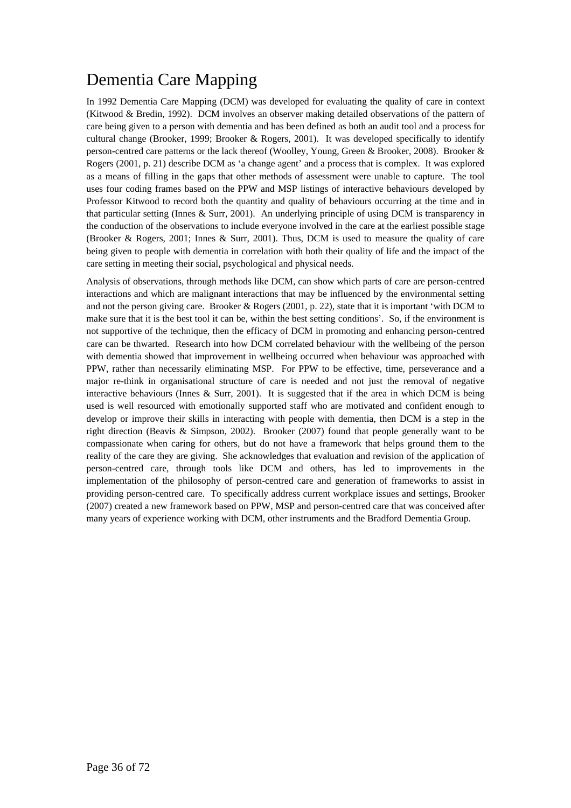# Dementia Care Mapping

In 1992 Dementia Care Mapping (DCM) was developed for evaluating the quality of care in context (Kitwood & Bredin, 1992). DCM involves an observer making detailed observations of the pattern of care being given to a person with dementia and has been defined as both an audit tool and a process for cultural change (Brooker, 1999; Brooker & Rogers, 2001). It was developed specifically to identify person-centred care patterns or the lack thereof (Woolley, Young, Green & Brooker, 2008). Brooker & Rogers (2001, p. 21) describe DCM as 'a change agent' and a process that is complex. It was explored as a means of filling in the gaps that other methods of assessment were unable to capture. The tool uses four coding frames based on the PPW and MSP listings of interactive behaviours developed by Professor Kitwood to record both the quantity and quality of behaviours occurring at the time and in that particular setting (Innes & Surr, 2001). An underlying principle of using DCM is transparency in the conduction of the observations to include everyone involved in the care at the earliest possible stage (Brooker & Rogers, 2001; Innes & Surr, 2001). Thus, DCM is used to measure the quality of care being given to people with dementia in correlation with both their quality of life and the impact of the care setting in meeting their social, psychological and physical needs.

Analysis of observations, through methods like DCM, can show which parts of care are person-centred interactions and which are malignant interactions that may be influenced by the environmental setting and not the person giving care. Brooker & Rogers (2001, p. 22), state that it is important 'with DCM to make sure that it is the best tool it can be, within the best setting conditions'. So, if the environment is not supportive of the technique, then the efficacy of DCM in promoting and enhancing person-centred care can be thwarted. Research into how DCM correlated behaviour with the wellbeing of the person with dementia showed that improvement in wellbeing occurred when behaviour was approached with PPW, rather than necessarily eliminating MSP. For PPW to be effective, time, perseverance and a major re-think in organisational structure of care is needed and not just the removal of negative interactive behaviours (Innes  $\&$  Surr, 2001). It is suggested that if the area in which DCM is being used is well resourced with emotionally supported staff who are motivated and confident enough to develop or improve their skills in interacting with people with dementia, then DCM is a step in the right direction (Beavis & Simpson, 2002). Brooker (2007) found that people generally want to be compassionate when caring for others, but do not have a framework that helps ground them to the reality of the care they are giving. She acknowledges that evaluation and revision of the application of person-centred care, through tools like DCM and others, has led to improvements in the implementation of the philosophy of person-centred care and generation of frameworks to assist in providing person-centred care. To specifically address current workplace issues and settings, Brooker (2007) created a new framework based on PPW, MSP and person-centred care that was conceived after many years of experience working with DCM, other instruments and the Bradford Dementia Group.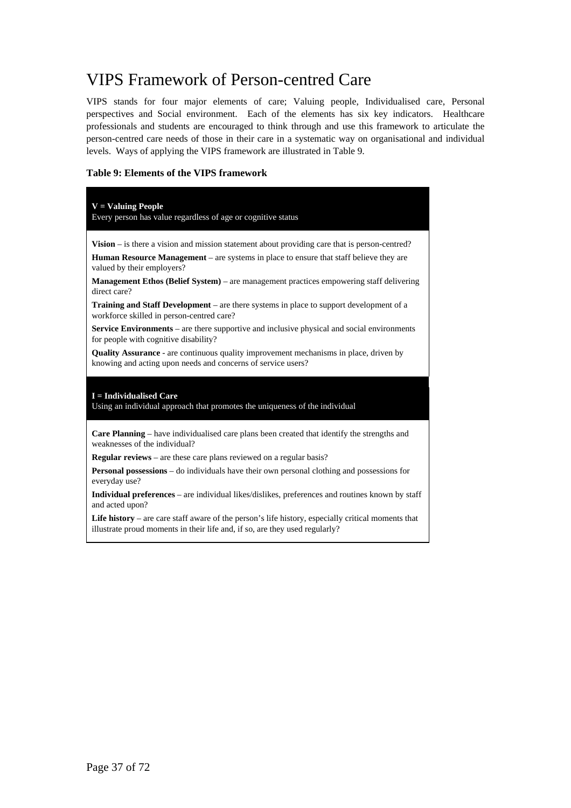# VIPS Framework of Person-centred Care

VIPS stands for four major elements of care; Valuing people, Individualised care, Personal perspectives and Social environment. Each of the elements has six key indicators. Healthcare professionals and students are encouraged to think through and use this framework to articulate the person-centred care needs of those in their care in a systematic way on organisational and individual levels. Ways of applying the VIPS framework are illustrated in Table 9.

#### **Table 9: Elements of the VIPS framework**

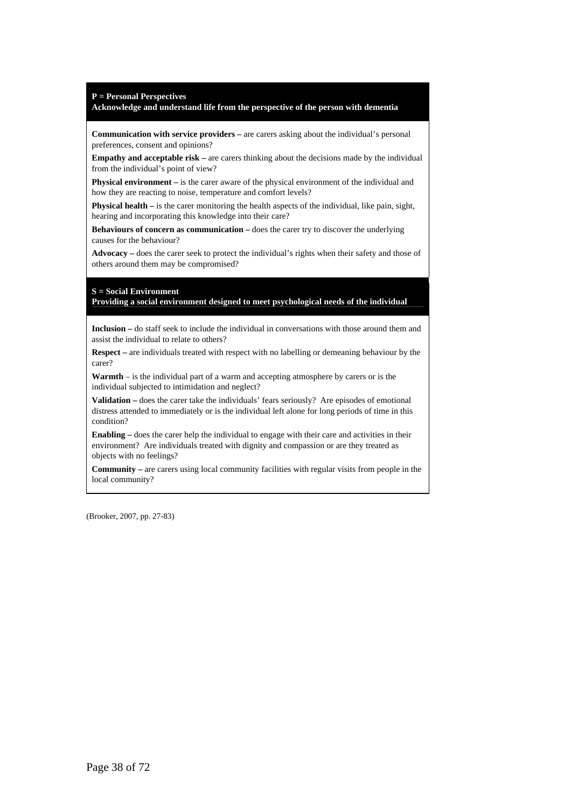**P = Personal Perspectives** 

#### **Acknowledge and understand life from the perspective of the person with dementia**

**Communication with service providers –** are carers asking about the individual's personal preferences, consent and opinions?

**Empathy and acceptable risk** – are carers thinking about the decisions made by the individual from the individual's point of view?

**Physical environment –** is the carer aware of the physical environment of the individual and how they are reacting to noise, temperature and comfort levels?

**Physical health –** is the carer monitoring the health aspects of the individual, like pain, sight, hearing and incorporating this knowledge into their care?

**Behaviours of concern as communication – does the carer try to discover the underlying** causes for the behaviour?

**Advocacy –** does the carer seek to protect the individual's rights when their safety and those of others around them may be compromised?

#### **S = Social Environment**

**Providing a social environment designed to meet psychological needs of the individual**

**Inclusion –** do staff seek to include the individual in conversations with those around them and assist the individual to relate to others?

**Respect –** are individuals treated with respect with no labelling or demeaning behaviour by the carer?

**Warmth** – is the individual part of a warm and accepting atmosphere by carers or is the individual subjected to intimidation and neglect?

**Validation –** does the carer take the individuals' fears seriously? Are episodes of emotional distress attended to immediately or is the individual left alone for long periods of time in this condition?

**Enabling –** does the carer help the individual to engage with their care and activities in their environment? Are individuals treated with dignity and compassion or are they treated as objects with no feelings?

**Community –** are carers using local community facilities with regular visits from people in the local community?

(Brooker, 2007, pp. 27-83)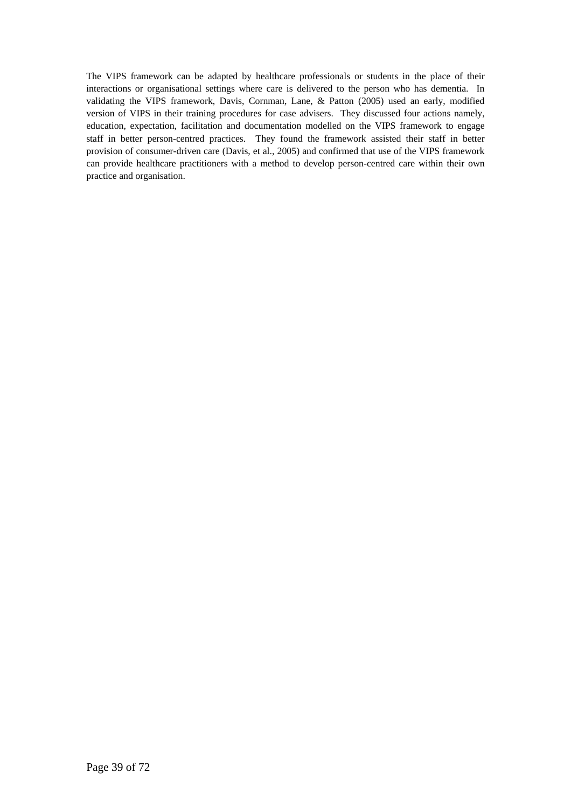The VIPS framework can be adapted by healthcare professionals or students in the place of their interactions or organisational settings where care is delivered to the person who has dementia. In validating the VIPS framework, Davis, Cornman, Lane, & Patton (2005) used an early, modified version of VIPS in their training procedures for case advisers. They discussed four actions namely, education, expectation, facilitation and documentation modelled on the VIPS framework to engage staff in better person-centred practices. They found the framework assisted their staff in better provision of consumer-driven care (Davis, et al., 2005) and confirmed that use of the VIPS framework can provide healthcare practitioners with a method to develop person-centred care within their own practice and organisation.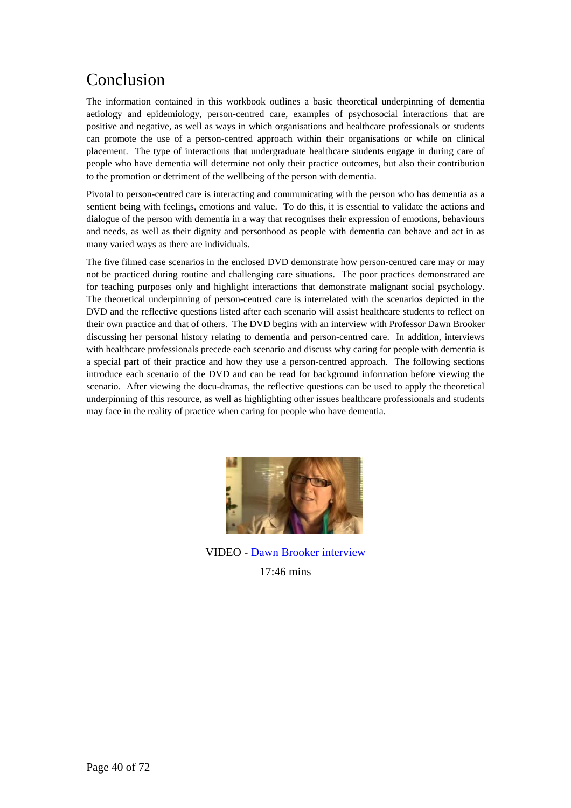# Conclusion

The information contained in this workbook outlines a basic theoretical underpinning of dementia aetiology and epidemiology, person-centred care, examples of psychosocial interactions that are positive and negative, as well as ways in which organisations and healthcare professionals or students can promote the use of a person-centred approach within their organisations or while on clinical placement. The type of interactions that undergraduate healthcare students engage in during care of people who have dementia will determine not only their practice outcomes, but also their contribution to the promotion or detriment of the wellbeing of the person with dementia.

Pivotal to person-centred care is interacting and communicating with the person who has dementia as a sentient being with feelings, emotions and value. To do this, it is essential to validate the actions and dialogue of the person with dementia in a way that recognises their expression of emotions, behaviours and needs, as well as their dignity and personhood as people with dementia can behave and act in as many varied ways as there are individuals.

The five filmed case scenarios in the enclosed DVD demonstrate how person-centred care may or may not be practiced during routine and challenging care situations. The poor practices demonstrated are for teaching purposes only and highlight interactions that demonstrate malignant social psychology. The theoretical underpinning of person-centred care is interrelated with the scenarios depicted in the DVD and the reflective questions listed after each scenario will assist healthcare students to reflect on their own practice and that of others. The DVD begins with an interview with Professor Dawn Brooker discussing her personal history relating to dementia and person-centred care. In addition, interviews with healthcare professionals precede each scenario and discuss why caring for people with dementia is a special part of their practice and how they use a person-centred approach. The following sections introduce each scenario of the DVD and can be read for background information before viewing the scenario. After viewing the docu-dramas, the reflective questions can be used to apply the theoretical underpinning of this resource, as well as highlighting other issues healthcare professionals and students may face in the reality of practice when caring for people who have dementia.



VIDEO - [Dawn Brooker interview](http://nursing.flinders.edu.au/comeintomyworld/media/video.php?video=8)  17:46 mins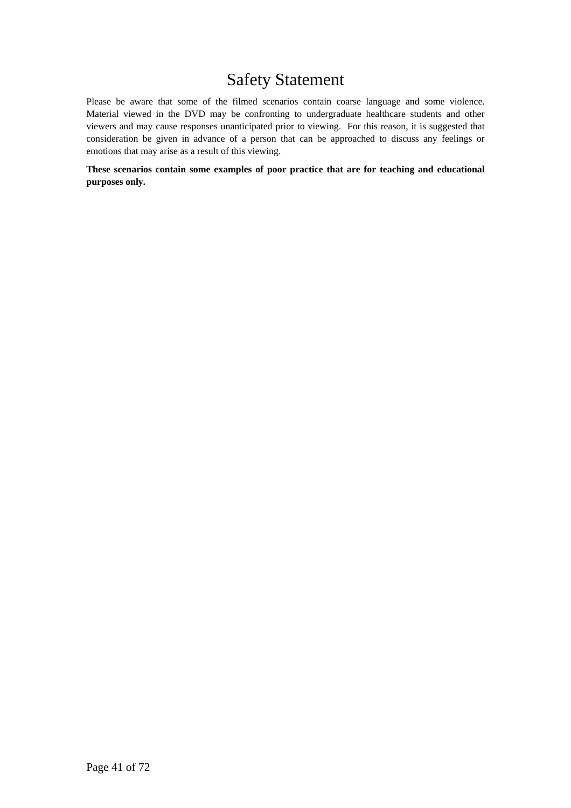# Safety Statement

Please be aware that some of the filmed scenarios contain coarse language and some violence. Material viewed in the DVD may be confronting to undergraduate healthcare students and other viewers and may cause responses unanticipated prior to viewing. For this reason, it is suggested that consideration be given in advance of a person that can be approached to discuss any feelings or emotions that may arise as a result of this viewing.

**These scenarios contain some examples of poor practice that are for teaching and educational purposes only.**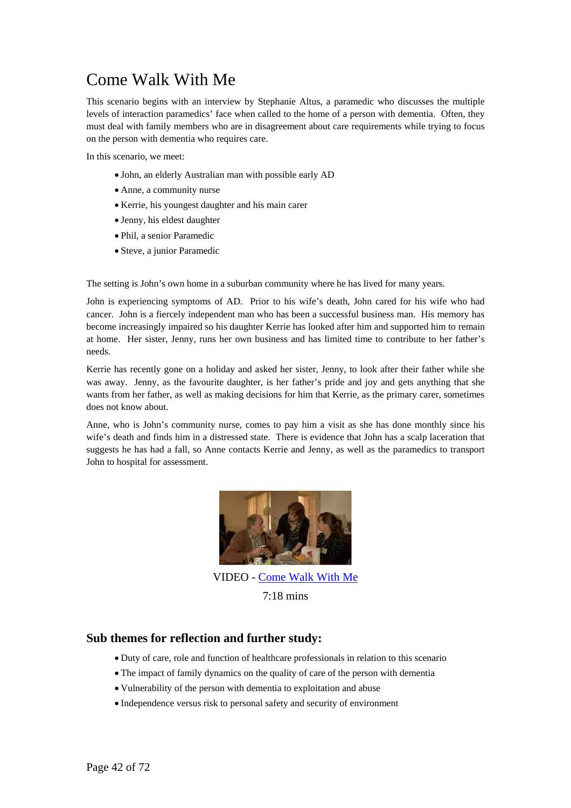# Come Walk With Me

This scenario begins with an interview by Stephanie Altus, a paramedic who discusses the multiple levels of interaction paramedics' face when called to the home of a person with dementia. Often, they must deal with family members who are in disagreement about care requirements while trying to focus on the person with dementia who requires care.

In this scenario, we meet:

- John, an elderly Australian man with possible early AD
- Anne, a community nurse
- Kerrie, his youngest daughter and his main carer
- Jenny, his eldest daughter
- Phil, a senior Paramedic
- Steve, a junior Paramedic

The setting is John's own home in a suburban community where he has lived for many years.

John is experiencing symptoms of AD. Prior to his wife's death, John cared for his wife who had cancer. John is a fiercely independent man who has been a successful business man. His memory has become increasingly impaired so his daughter Kerrie has looked after him and supported him to remain at home. Her sister, Jenny, runs her own business and has limited time to contribute to her father's needs.

Kerrie has recently gone on a holiday and asked her sister, Jenny, to look after their father while she was away. Jenny, as the favourite daughter, is her father's pride and joy and gets anything that she wants from her father, as well as making decisions for him that Kerrie, as the primary carer, sometimes does not know about.

Anne, who is John's community nurse, comes to pay him a visit as she has done monthly since his wife's death and finds him in a distressed state. There is evidence that John has a scalp laceration that suggests he has had a fall, so Anne contacts Kerrie and Jenny, as well as the paramedics to transport John to hospital for assessment.



VIDEO - [Come Walk With Me](http://nursing.flinders.edu.au/comeintomyworld/media/video.php?video=1)   $7.18 \text{ mins}$ 

#### **Sub themes for reflection and further study:**

- Duty of care, role and function of healthcare professionals in relation to this scenario
- The impact of family dynamics on the quality of care of the person with dementia
- Vulnerability of the person with dementia to exploitation and abuse
- Independence versus risk to personal safety and security of environment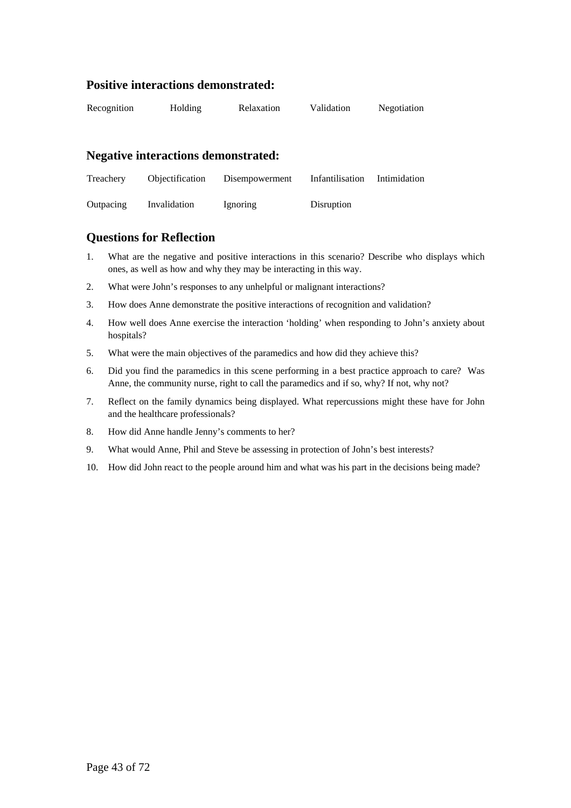## **Positive interactions demonstrated:**

| Recognition | Holding | Relaxation | Validation | Negotiation |
|-------------|---------|------------|------------|-------------|
|             |         |            |            |             |

#### **Negative interactions demonstrated:**

| Treachery | Objectification | Disempowerment | Infantilisation | Intimidation |
|-----------|-----------------|----------------|-----------------|--------------|
| Outpacing | Invalidation    | Ignoring       | Disruption      |              |

#### **Questions for Reflection**

- 1. What are the negative and positive interactions in this scenario? Describe who displays which ones, as well as how and why they may be interacting in this way.
- 2. What were John's responses to any unhelpful or malignant interactions?
- 3. How does Anne demonstrate the positive interactions of recognition and validation?
- 4. How well does Anne exercise the interaction 'holding' when responding to John's anxiety about hospitals?
- 5. What were the main objectives of the paramedics and how did they achieve this?
- 6. Did you find the paramedics in this scene performing in a best practice approach to care? Was Anne, the community nurse, right to call the paramedics and if so, why? If not, why not?
- 7. Reflect on the family dynamics being displayed. What repercussions might these have for John and the healthcare professionals?
- 8. How did Anne handle Jenny's comments to her?
- 9. What would Anne, Phil and Steve be assessing in protection of John's best interests?
- 10. How did John react to the people around him and what was his part in the decisions being made?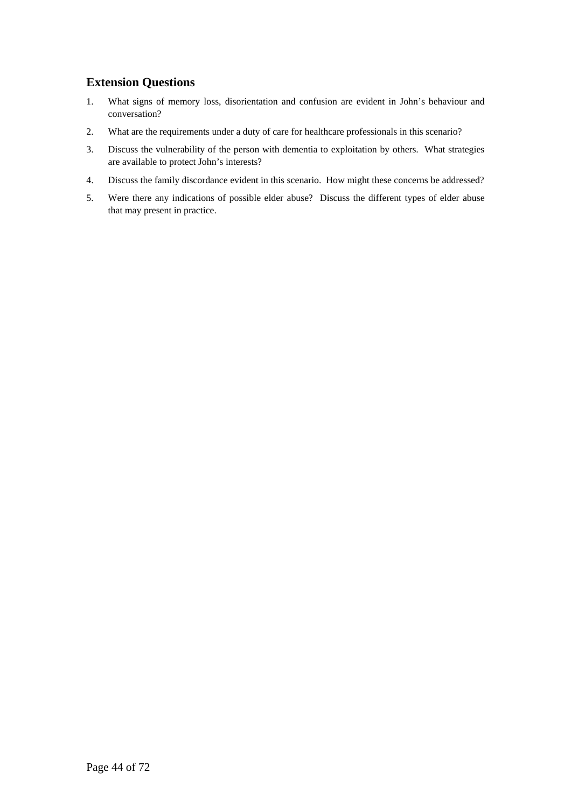## **Extension Questions**

- 1. What signs of memory loss, disorientation and confusion are evident in John's behaviour and conversation?
- 2. What are the requirements under a duty of care for healthcare professionals in this scenario?
- 3. Discuss the vulnerability of the person with dementia to exploitation by others. What strategies are available to protect John's interests?
- 4. Discuss the family discordance evident in this scenario. How might these concerns be addressed?
- 5. Were there any indications of possible elder abuse? Discuss the different types of elder abuse that may present in practice.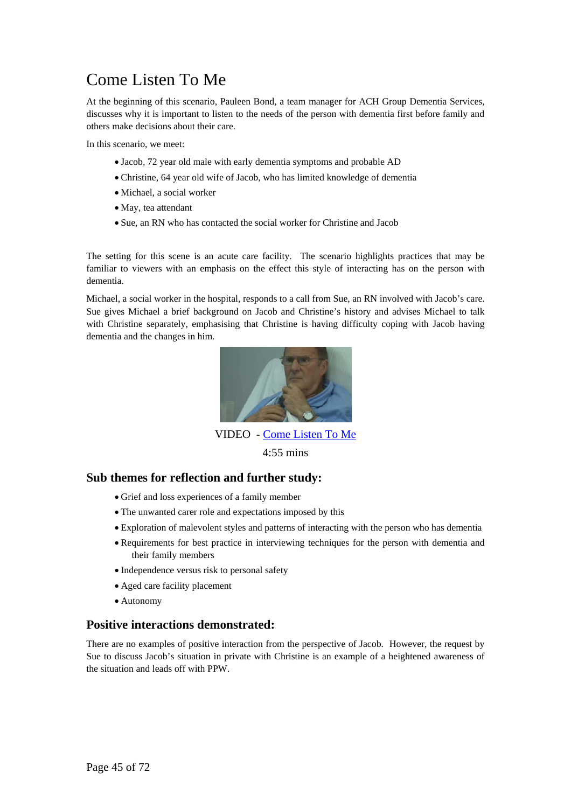# Come Listen To Me

At the beginning of this scenario, Pauleen Bond, a team manager for ACH Group Dementia Services, discusses why it is important to listen to the needs of the person with dementia first before family and others make decisions about their care.

In this scenario, we meet:

- Jacob, 72 year old male with early dementia symptoms and probable AD
- Christine, 64 year old wife of Jacob, who has limited knowledge of dementia
- Michael, a social worker
- May, tea attendant
- Sue, an RN who has contacted the social worker for Christine and Jacob

The setting for this scene is an acute care facility. The scenario highlights practices that may be familiar to viewers with an emphasis on the effect this style of interacting has on the person with dementia.

Michael, a social worker in the hospital, responds to a call from Sue, an RN involved with Jacob's care. Sue gives Michael a brief background on Jacob and Christine's history and advises Michael to talk with Christine separately, emphasising that Christine is having difficulty coping with Jacob having dementia and the changes in him.



VIDEO - [Come Listen To Me](http://nursing.flinders.edu.au/comeintomyworld/media/video.php?video=2)

4:55 mins

#### **Sub themes for reflection and further study:**

- Grief and loss experiences of a family member
- The unwanted carer role and expectations imposed by this
- Exploration of malevolent styles and patterns of interacting with the person who has dementia
- Requirements for best practice in interviewing techniques for the person with dementia and their family members
- Independence versus risk to personal safety
- Aged care facility placement
- Autonomy

#### **Positive interactions demonstrated:**

There are no examples of positive interaction from the perspective of Jacob. However, the request by Sue to discuss Jacob's situation in private with Christine is an example of a heightened awareness of the situation and leads off with PPW.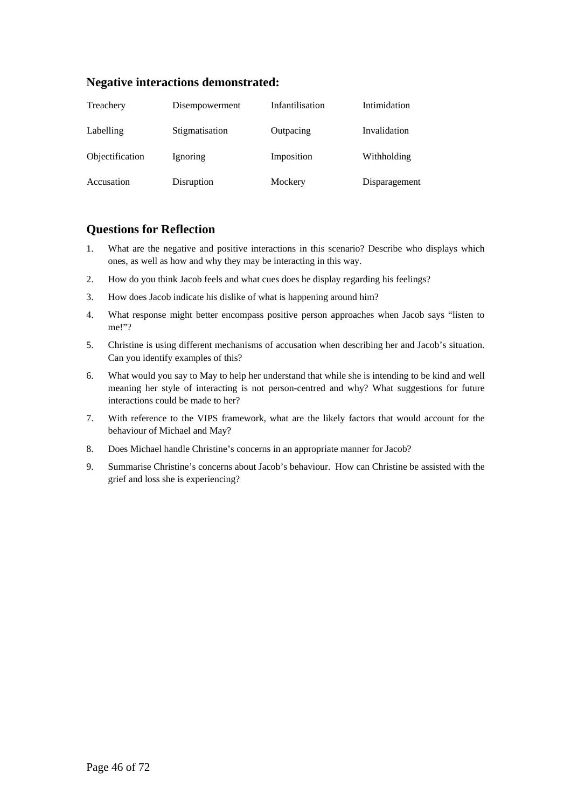#### **Negative interactions demonstrated:**

| Treachery       | Disempowerment | Infantilisation | Intimidation  |
|-----------------|----------------|-----------------|---------------|
| Labelling       | Stigmatisation | Outpacing       | Invalidation  |
| Objectification | Ignoring       | Imposition      | Withholding   |
| Accusation      | Disruption     | Mockery         | Disparagement |

## **Questions for Reflection**

- 1. What are the negative and positive interactions in this scenario? Describe who displays which ones, as well as how and why they may be interacting in this way.
- 2. How do you think Jacob feels and what cues does he display regarding his feelings?
- 3. How does Jacob indicate his dislike of what is happening around him?
- 4. What response might better encompass positive person approaches when Jacob says "listen to me!"?
- 5. Christine is using different mechanisms of accusation when describing her and Jacob's situation. Can you identify examples of this?
- 6. What would you say to May to help her understand that while she is intending to be kind and well meaning her style of interacting is not person-centred and why? What suggestions for future interactions could be made to her?
- 7. With reference to the VIPS framework, what are the likely factors that would account for the behaviour of Michael and May?
- 8. Does Michael handle Christine's concerns in an appropriate manner for Jacob?
- 9. Summarise Christine's concerns about Jacob's behaviour. How can Christine be assisted with the grief and loss she is experiencing?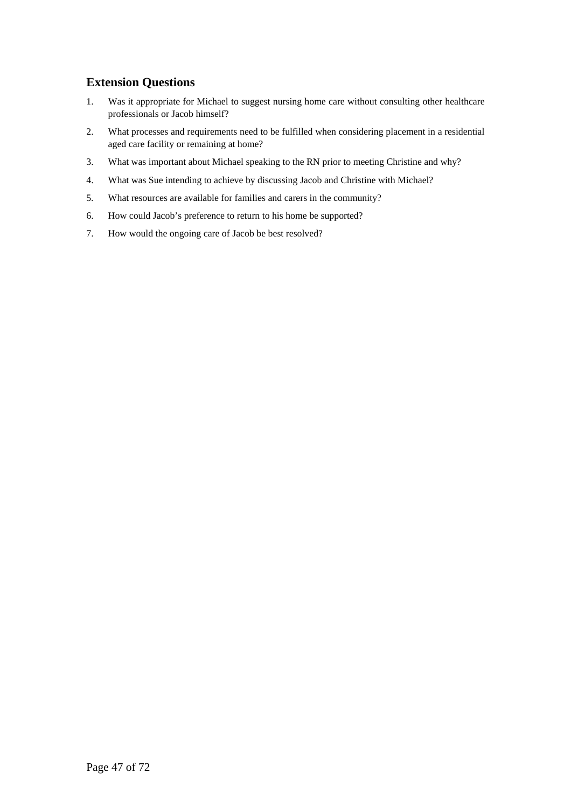## **Extension Questions**

- 1. Was it appropriate for Michael to suggest nursing home care without consulting other healthcare professionals or Jacob himself?
- 2. What processes and requirements need to be fulfilled when considering placement in a residential aged care facility or remaining at home?
- 3. What was important about Michael speaking to the RN prior to meeting Christine and why?
- 4. What was Sue intending to achieve by discussing Jacob and Christine with Michael?
- 5. What resources are available for families and carers in the community?
- 6. How could Jacob's preference to return to his home be supported?
- 7. How would the ongoing care of Jacob be best resolved?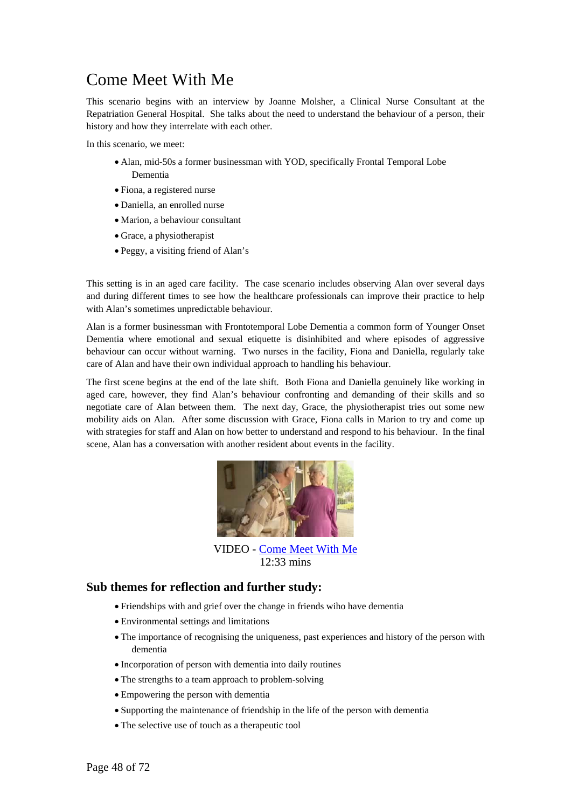# Come Meet With Me

This scenario begins with an interview by Joanne Molsher, a Clinical Nurse Consultant at the Repatriation General Hospital. She talks about the need to understand the behaviour of a person, their history and how they interrelate with each other.

In this scenario, we meet:

- Alan, mid-50s a former businessman with YOD, specifically Frontal Temporal Lobe Dementia
- Fiona, a registered nurse
- Daniella, an enrolled nurse
- Marion, a behaviour consultant
- Grace, a physiotherapist
- Peggy, a visiting friend of Alan's

This setting is in an aged care facility. The case scenario includes observing Alan over several days and during different times to see how the healthcare professionals can improve their practice to help with Alan's sometimes unpredictable behaviour.

Alan is a former businessman with Frontotemporal Lobe Dementia a common form of Younger Onset Dementia where emotional and sexual etiquette is disinhibited and where episodes of aggressive behaviour can occur without warning. Two nurses in the facility, Fiona and Daniella, regularly take care of Alan and have their own individual approach to handling his behaviour.

The first scene begins at the end of the late shift. Both Fiona and Daniella genuinely like working in aged care, however, they find Alan's behaviour confronting and demanding of their skills and so negotiate care of Alan between them. The next day, Grace, the physiotherapist tries out some new mobility aids on Alan. After some discussion with Grace, Fiona calls in Marion to try and come up with strategies for staff and Alan on how better to understand and respond to his behaviour. In the final scene, Alan has a conversation with another resident about events in the facility.



[VIDEO - Come Meet With Me](http://nursing.flinders.edu.au/comeintomyworld/media/video.php?video=3) 12:33 mins

#### **Sub themes for reflection and further study:**

- Friendships with and grief over the change in friends wiho have dementia
- Environmental settings and limitations
- The importance of recognising the uniqueness, past experiences and history of the person with dementia
- Incorporation of person with dementia into daily routines
- The strengths to a team approach to problem-solving
- Empowering the person with dementia
- Supporting the maintenance of friendship in the life of the person with dementia
- The selective use of touch as a therapeutic tool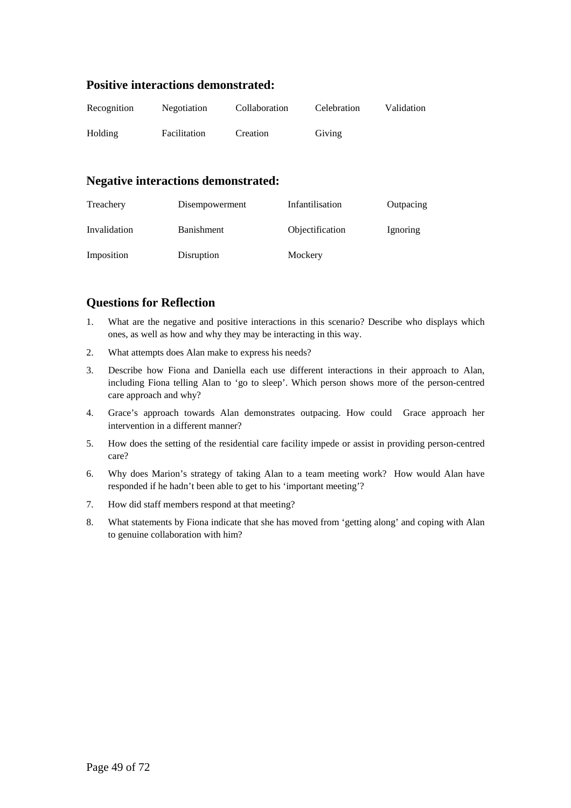## **Positive interactions demonstrated:**

| Recognition | Negotiation  | Collaboration | Celebration | Validation |
|-------------|--------------|---------------|-------------|------------|
| Holding     | Facilitation | Creation      | Giving      |            |

#### **Negative interactions demonstrated:**

| Treachery    | Disempowerment    | Infantilisation | Outpacing |
|--------------|-------------------|-----------------|-----------|
| Invalidation | <b>Banishment</b> | Objectification | Ignoring  |
| Imposition   | Disruption        | Mockery         |           |

## **Questions for Reflection**

- 1. What are the negative and positive interactions in this scenario? Describe who displays which ones, as well as how and why they may be interacting in this way.
- 2. What attempts does Alan make to express his needs?
- 3. Describe how Fiona and Daniella each use different interactions in their approach to Alan, including Fiona telling Alan to 'go to sleep'. Which person shows more of the person-centred care approach and why?
- 4. Grace's approach towards Alan demonstrates outpacing. How could Grace approach her intervention in a different manner?
- 5. How does the setting of the residential care facility impede or assist in providing person-centred care?
- 6. Why does Marion's strategy of taking Alan to a team meeting work? How would Alan have responded if he hadn't been able to get to his 'important meeting'?
- 7. How did staff members respond at that meeting?
- 8. What statements by Fiona indicate that she has moved from 'getting along' and coping with Alan to genuine collaboration with him?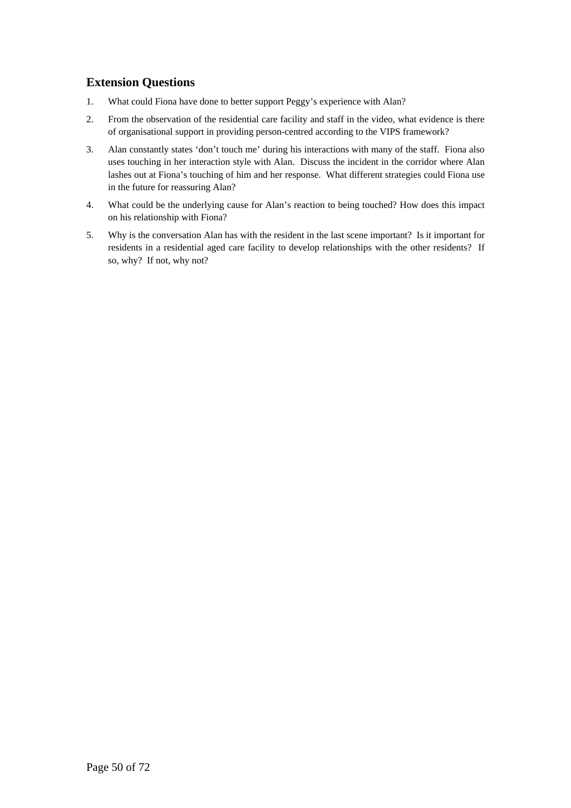## **Extension Questions**

- 1. What could Fiona have done to better support Peggy's experience with Alan?
- 2. From the observation of the residential care facility and staff in the video, what evidence is there of organisational support in providing person-centred according to the VIPS framework?
- 3. Alan constantly states 'don't touch me' during his interactions with many of the staff. Fiona also uses touching in her interaction style with Alan. Discuss the incident in the corridor where Alan lashes out at Fiona's touching of him and her response. What different strategies could Fiona use in the future for reassuring Alan?
- 4. What could be the underlying cause for Alan's reaction to being touched? How does this impact on his relationship with Fiona?
- 5. Why is the conversation Alan has with the resident in the last scene important? Is it important for residents in a residential aged care facility to develop relationships with the other residents? If so, why? If not, why not?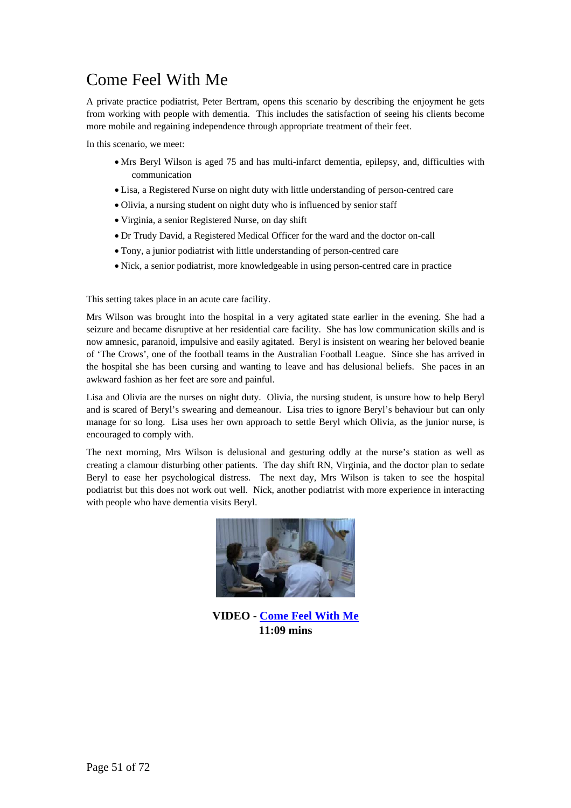# Come Feel With Me

A private practice podiatrist, Peter Bertram, opens this scenario by describing the enjoyment he gets from working with people with dementia. This includes the satisfaction of seeing his clients become more mobile and regaining independence through appropriate treatment of their feet.

In this scenario, we meet:

- Mrs Beryl Wilson is aged 75 and has multi-infarct dementia, epilepsy, and, difficulties with communication
- Lisa, a Registered Nurse on night duty with little understanding of person-centred care
- Olivia, a nursing student on night duty who is influenced by senior staff
- Virginia, a senior Registered Nurse, on day shift
- Dr Trudy David, a Registered Medical Officer for the ward and the doctor on-call
- Tony, a junior podiatrist with little understanding of person-centred care
- Nick, a senior podiatrist, more knowledgeable in using person-centred care in practice

This setting takes place in an acute care facility.

Mrs Wilson was brought into the hospital in a very agitated state earlier in the evening. She had a seizure and became disruptive at her residential care facility. She has low communication skills and is now amnesic, paranoid, impulsive and easily agitated. Beryl is insistent on wearing her beloved beanie of 'The Crows', one of the football teams in the Australian Football League. Since she has arrived in the hospital she has been cursing and wanting to leave and has delusional beliefs. She paces in an awkward fashion as her feet are sore and painful.

Lisa and Olivia are the nurses on night duty. Olivia, the nursing student, is unsure how to help Beryl and is scared of Beryl's swearing and demeanour. Lisa tries to ignore Beryl's behaviour but can only manage for so long. Lisa uses her own approach to settle Beryl which Olivia, as the junior nurse, is encouraged to comply with.

The next morning, Mrs Wilson is delusional and gesturing oddly at the nurse's station as well as creating a clamour disturbing other patients. The day shift RN, Virginia, and the doctor plan to sedate Beryl to ease her psychological distress. The next day, Mrs Wilson is taken to see the hospital podiatrist but this does not work out well. Nick, another podiatrist with more experience in interacting with people who have dementia visits Beryl.



**VIDEO - [Come Feel With Me](http://nursing.flinders.edu.au/comeintomyworld/media/video.php?video=4) 11:09 mins**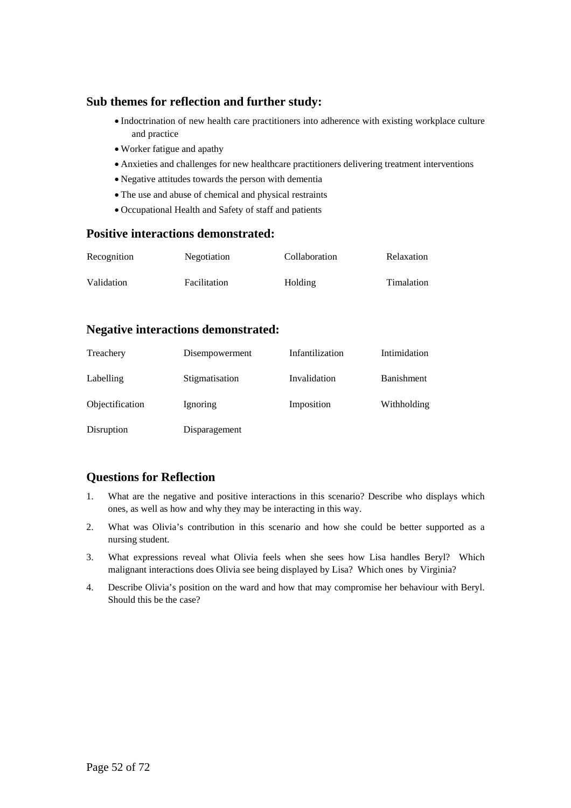## **Sub themes for reflection and further study:**

- Indoctrination of new health care practitioners into adherence with existing workplace culture and practice
- Worker fatigue and apathy
- Anxieties and challenges for new healthcare practitioners delivering treatment interventions
- Negative attitudes towards the person with dementia
- The use and abuse of chemical and physical restraints
- Occupational Health and Safety of staff and patients

#### **Positive interactions demonstrated:**

| Recognition | <b>Negotiation</b> | Collaboration | Relaxation |
|-------------|--------------------|---------------|------------|
| Validation  | Facilitation       | Holding       | Timalation |

#### **Negative interactions demonstrated:**

| Treachery       | Disempowerment | Infantilization | Intimidation      |
|-----------------|----------------|-----------------|-------------------|
| Labelling       | Stigmatisation | Invalidation    | <b>Banishment</b> |
| Objectification | Ignoring       | Imposition      | Withholding       |
| Disruption      | Disparagement  |                 |                   |

## **Questions for Reflection**

- 1. What are the negative and positive interactions in this scenario? Describe who displays which ones, as well as how and why they may be interacting in this way.
- 2. What was Olivia's contribution in this scenario and how she could be better supported as a nursing student.
- 3. What expressions reveal what Olivia feels when she sees how Lisa handles Beryl? Which malignant interactions does Olivia see being displayed by Lisa? Which ones by Virginia?
- 4. Describe Olivia's position on the ward and how that may compromise her behaviour with Beryl. Should this be the case?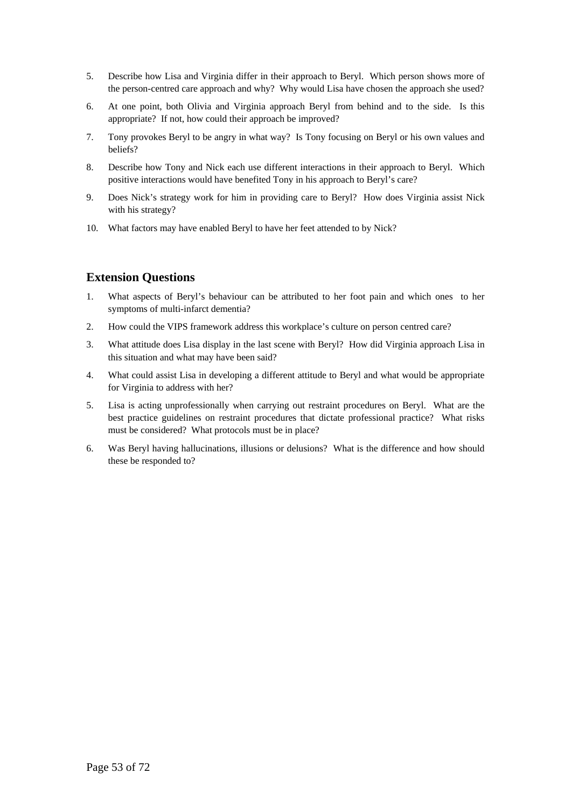- 5. Describe how Lisa and Virginia differ in their approach to Beryl. Which person shows more of the person-centred care approach and why? Why would Lisa have chosen the approach she used?
- 6. At one point, both Olivia and Virginia approach Beryl from behind and to the side. Is this appropriate? If not, how could their approach be improved?
- 7. Tony provokes Beryl to be angry in what way? Is Tony focusing on Beryl or his own values and beliefs?
- 8. Describe how Tony and Nick each use different interactions in their approach to Beryl. Which positive interactions would have benefited Tony in his approach to Beryl's care?
- 9. Does Nick's strategy work for him in providing care to Beryl? How does Virginia assist Nick with his strategy?
- 10. What factors may have enabled Beryl to have her feet attended to by Nick?

## **Extension Questions**

- 1. What aspects of Beryl's behaviour can be attributed to her foot pain and which ones to her symptoms of multi-infarct dementia?
- 2. How could the VIPS framework address this workplace's culture on person centred care?
- 3. What attitude does Lisa display in the last scene with Beryl? How did Virginia approach Lisa in this situation and what may have been said?
- 4. What could assist Lisa in developing a different attitude to Beryl and what would be appropriate for Virginia to address with her?
- 5. Lisa is acting unprofessionally when carrying out restraint procedures on Beryl. What are the best practice guidelines on restraint procedures that dictate professional practice? What risks must be considered? What protocols must be in place?
- 6. Was Beryl having hallucinations, illusions or delusions? What is the difference and how should these be responded to?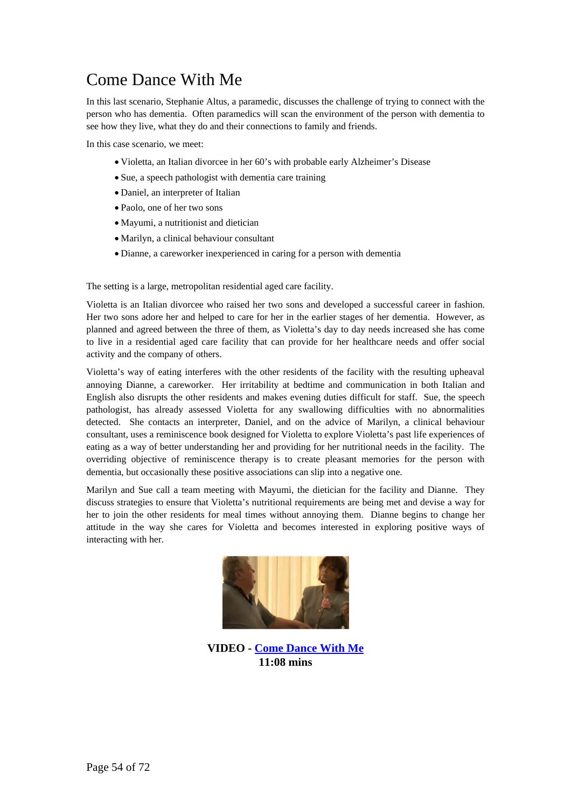# Come Dance With Me

In this last scenario, Stephanie Altus, a paramedic, discusses the challenge of trying to connect with the person who has dementia. Often paramedics will scan the environment of the person with dementia to see how they live, what they do and their connections to family and friends.

In this case scenario, we meet:

- Violetta, an Italian divorcee in her 60's with probable early Alzheimer's Disease
- Sue, a speech pathologist with dementia care training
- Daniel, an interpreter of Italian
- Paolo, one of her two sons
- Mayumi, a nutritionist and dietician
- Marilyn, a clinical behaviour consultant
- Dianne, a careworker inexperienced in caring for a person with dementia

The setting is a large, metropolitan residential aged care facility.

Violetta is an Italian divorcee who raised her two sons and developed a successful career in fashion. Her two sons adore her and helped to care for her in the earlier stages of her dementia. However, as planned and agreed between the three of them, as Violetta's day to day needs increased she has come to live in a residential aged care facility that can provide for her healthcare needs and offer social activity and the company of others.

Violetta's way of eating interferes with the other residents of the facility with the resulting upheaval annoying Dianne, a careworker. Her irritability at bedtime and communication in both Italian and English also disrupts the other residents and makes evening duties difficult for staff. Sue, the speech pathologist, has already assessed Violetta for any swallowing difficulties with no abnormalities detected. She contacts an interpreter, Daniel, and on the advice of Marilyn, a clinical behaviour consultant, uses a reminiscence book designed for Violetta to explore Violetta's past life experiences of eating as a way of better understanding her and providing for her nutritional needs in the facility. The overriding objective of reminiscence therapy is to create pleasant memories for the person with dementia, but occasionally these positive associations can slip into a negative one.

Marilyn and Sue call a team meeting with Mayumi, the dietician for the facility and Dianne. They discuss strategies to ensure that Violetta's nutritional requirements are being met and devise a way for her to join the other residents for meal times without annoying them. Dianne begins to change her attitude in the way she cares for Violetta and becomes interested in exploring positive ways of interacting with her.



**VIDEO - [Come Dance With Me](http://nursing.flinders.edu.au/comeintomyworld/media/video.php?video=5) 11:08 mins**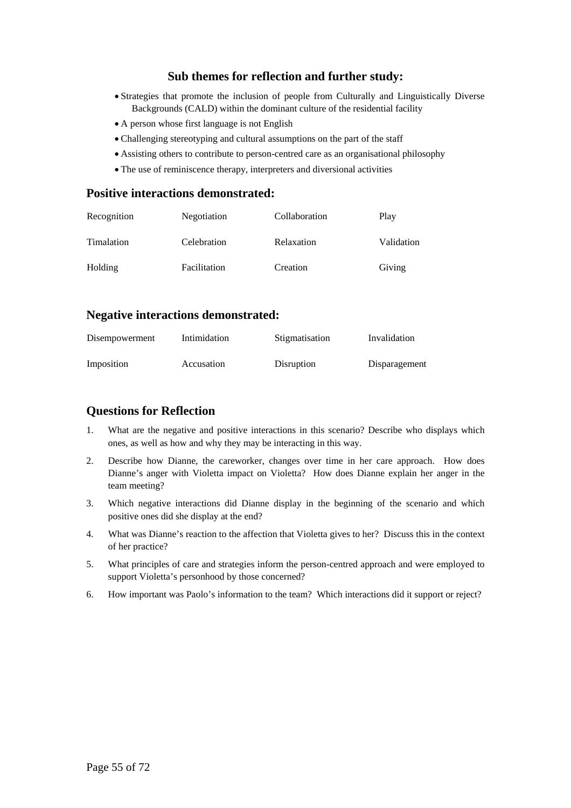# **Sub themes for reflection and further study:**

- Strategies that promote the inclusion of people from Culturally and Linguistically Diverse Backgrounds (CALD) within the dominant culture of the residential facility
- A person whose first language is not English
- Challenging stereotyping and cultural assumptions on the part of the staff
- Assisting others to contribute to person-centred care as an organisational philosophy
- The use of reminiscence therapy, interpreters and diversional activities

#### **Positive interactions demonstrated:**

| Recognition | Negotiation  | Collaboration | Play       |
|-------------|--------------|---------------|------------|
| Timalation  | Celebration  | Relaxation    | Validation |
| Holding     | Facilitation | Creation      | Giving     |

#### **Negative interactions demonstrated:**

| Disempowerment | Intimidation | Stigmatisation | Invalidation  |
|----------------|--------------|----------------|---------------|
| Imposition     | Accusation   | Disruption     | Disparagement |

## **Questions for Reflection**

- 1. What are the negative and positive interactions in this scenario? Describe who displays which ones, as well as how and why they may be interacting in this way.
- 2. Describe how Dianne, the careworker, changes over time in her care approach. How does Dianne's anger with Violetta impact on Violetta? How does Dianne explain her anger in the team meeting?
- 3. Which negative interactions did Dianne display in the beginning of the scenario and which positive ones did she display at the end?
- 4. What was Dianne's reaction to the affection that Violetta gives to her? Discuss this in the context of her practice?
- 5. What principles of care and strategies inform the person-centred approach and were employed to support Violetta's personhood by those concerned?
- 6. How important was Paolo's information to the team? Which interactions did it support or reject?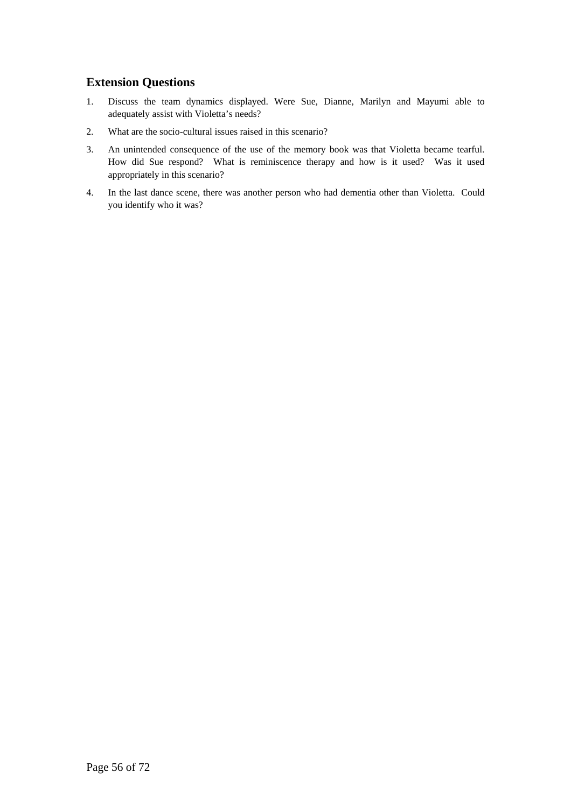## **Extension Questions**

- 1. Discuss the team dynamics displayed. Were Sue, Dianne, Marilyn and Mayumi able to adequately assist with Violetta's needs?
- 2. What are the socio-cultural issues raised in this scenario?
- 3. An unintended consequence of the use of the memory book was that Violetta became tearful. How did Sue respond? What is reminiscence therapy and how is it used? Was it used appropriately in this scenario?
- 4. In the last dance scene, there was another person who had dementia other than Violetta. Could you identify who it was?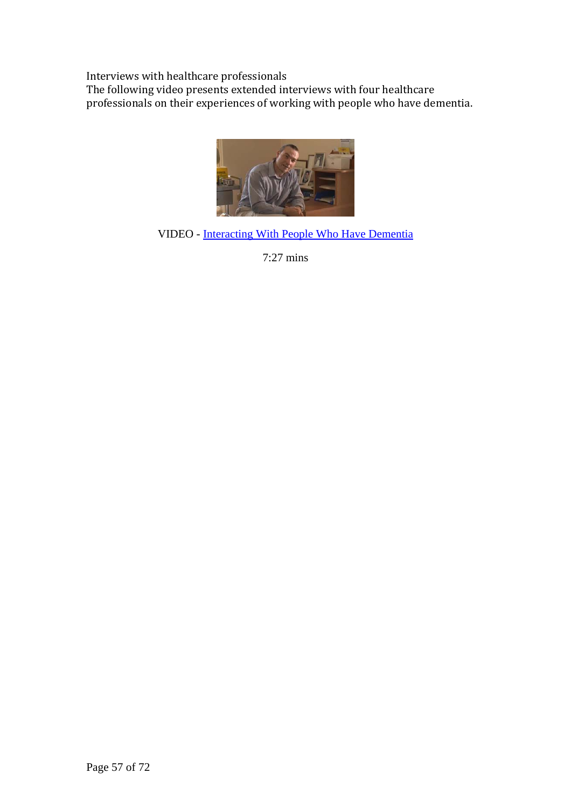Interviews with healthcare professionals

The following video presents extended interviews with four healthcare professionals on their experiences of working with people who have dementia.



VIDEO - [Interacting With People Who Have Dementia](http://nursing.flinders.edu.au/comeintomyworld/media/video.php?video=6) 

7:27 mins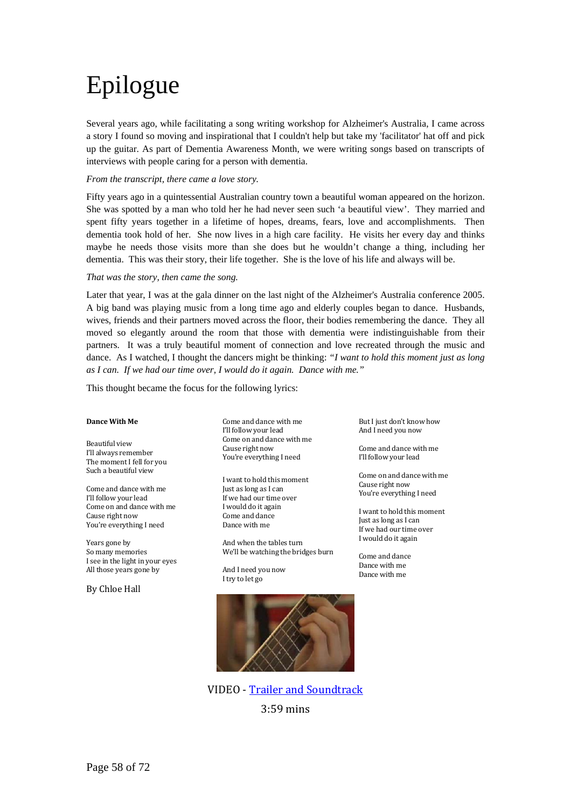# Epilogue

Several years ago, while facilitating a song writing workshop for Alzheimer's Australia, I came across a story I found so moving and inspirational that I couldn't help but take my 'facilitator' hat off and pick up the guitar. As part of Dementia Awareness Month, we were writing songs based on transcripts of interviews with people caring for a person with dementia.

#### *From the transcript, there came a love story.*

Fifty years ago in a quintessential Australian country town a beautiful woman appeared on the horizon. She was spotted by a man who told her he had never seen such 'a beautiful view'. They married and spent fifty years together in a lifetime of hopes, dreams, fears, love and accomplishments. Then dementia took hold of her. She now lives in a high care facility. He visits her every day and thinks maybe he needs those visits more than she does but he wouldn't change a thing, including her dementia. This was their story, their life together. She is the love of his life and always will be.

#### *That was the story, then came the song.*

Later that year, I was at the gala dinner on the last night of the Alzheimer's Australia conference 2005. A big band was playing music from a long time ago and elderly couples began to dance. Husbands, wives, friends and their partners moved across the floor, their bodies remembering the dance. They all moved so elegantly around the room that those with dementia were indistinguishable from their partners. It was a truly beautiful moment of connection and love recreated through the music and dance. As I watched, I thought the dancers might be thinking: *"I want to hold this moment just as long as I can. If we had our time over, I would do it again. Dance with me."* 

This thought became the focus for the following lyrics:

#### **Dance With Me**

Beautiful view I'll always remember The moment I fell for you Such a beautiful view

Come and dance with me I'll follow your lead Come on and dance with me Cause right now You're everything I need

Years gone by So many memories I see in the light in your eyes All those years gone by

By Chloe Hall

Come and dance with me I'll follow your lead Come on and dance with me Cause right now You're everything I need

I want to hold this moment Just as long as I can If we had our time over I would do it again Come and dance Dance with me

And when the tables turn We'll be watching the bridges burn

And I need you now I try to let go



VIDEO - Trailer and Soundtrack 3:59 mins

But I just don't know how And I need you now

Come and dance with me I'll follow your lead

Come on and dance with me Cause right now You're everything I need

I want to hold this moment If we had our time over Just as long as I can I would do it again

Come and dance Dance with me Dance with me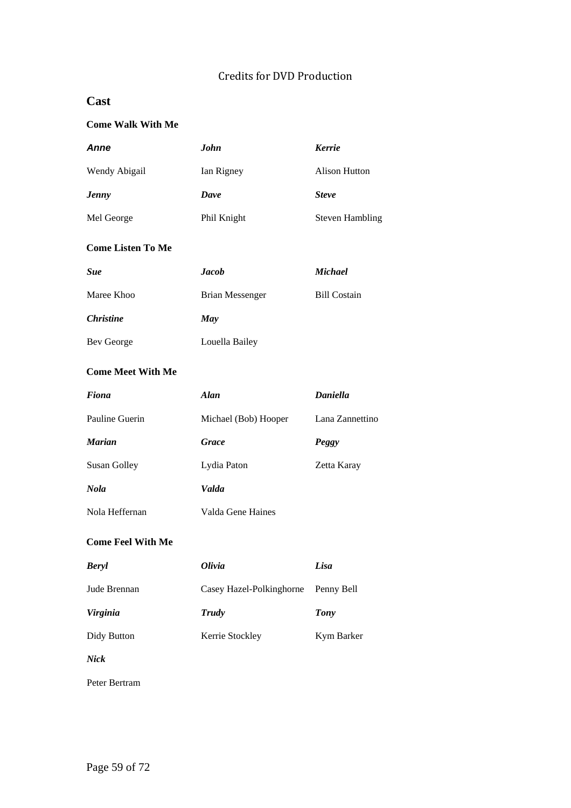# Credits for DVD Production

# **Cast**

# **Come Walk With Me**

| <b>Anne</b>              | <b>John</b>            | <b>Kerrie</b>          |
|--------------------------|------------------------|------------------------|
| Wendy Abigail            | Ian Rigney             | <b>Alison Hutton</b>   |
| <b>Jenny</b>             | Dave                   | <b>Steve</b>           |
| Mel George               | Phil Knight            | <b>Steven Hambling</b> |
| <b>Come Listen To Me</b> |                        |                        |
| <b>Sue</b>               | <b>Jacob</b>           | <b>Michael</b>         |
| Maree Khoo               | <b>Brian Messenger</b> | <b>Bill Costain</b>    |
| <b>Christine</b>         | May                    |                        |
| <b>Bev George</b>        | Louella Bailey         |                        |
| <b>Come Meet With Me</b> |                        |                        |
| <b>Fiona</b>             | <b>Alan</b>            | <b>Daniella</b>        |
| Pauline Guerin           | Michael (Bob) Hooper   | Lana Zannettino        |
| Marian                   | <b>Grace</b>           | Peggy                  |
| <b>Susan Golley</b>      | Lydia Paton            | Zetta Karay            |
| Nola                     | Valda                  |                        |
| Nola Heffernan           | Valda Gene Haines      |                        |
|                          |                        |                        |

# **Come Feel With Me**

| <b>Beryl</b>    | Olivia                   | Lisa       |
|-----------------|--------------------------|------------|
| Jude Brennan    | Casey Hazel-Polkinghorne | Penny Bell |
| <i>Virginia</i> | Trudy                    | Tony       |
| Didy Button     | Kerrie Stockley          | Kym Barker |

*Nick*

Peter Bertram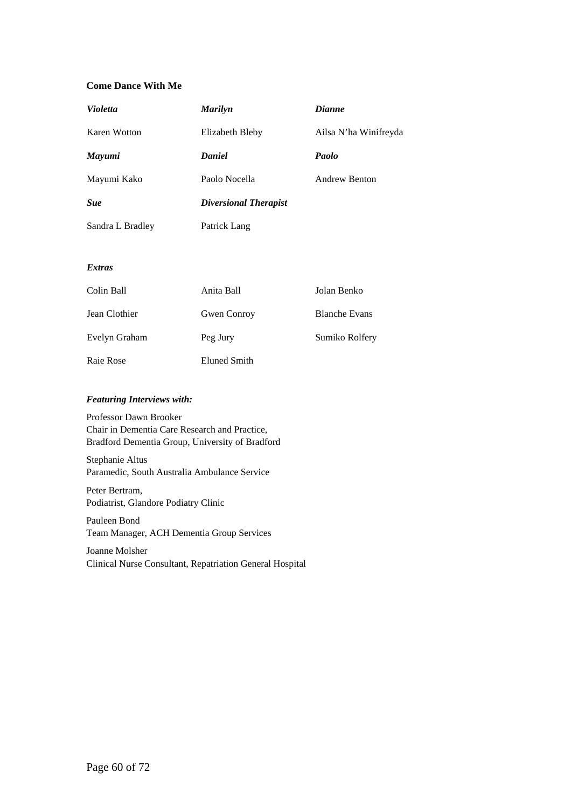#### **Come Dance With Me**

| <b>Violetta</b>  | <b>Marilyn</b>               | <b>Dianne</b>         |
|------------------|------------------------------|-----------------------|
| Karen Wotton     | Elizabeth Bleby              | Ailsa N'ha Winifreyda |
| <b>Mayumi</b>    | <b>Daniel</b>                | Paolo                 |
| Mayumi Kako      | Paolo Nocella                | <b>Andrew Benton</b>  |
| <b>Sue</b>       | <b>Diversional Therapist</b> |                       |
| Sandra L Bradley | Patrick Lang                 |                       |
|                  |                              |                       |
| <b>Extras</b>    |                              |                       |

| Colin Ball    | Anita Ball         | Jolan Benko          |
|---------------|--------------------|----------------------|
| Jean Clothier | <b>Gwen Conroy</b> | <b>Blanche Evans</b> |
| Evelyn Graham | Peg Jury           | Sumiko Rolfery       |
| Raie Rose     | Eluned Smith       |                      |

#### *Featuring Interviews with:*

Professor Dawn Brooker Chair in Dementia Care Research and Practice, Bradford Dementia Group, University of Bradford

Stephanie Altus Paramedic, South Australia Ambulance Service

Peter Bertram, Podiatrist, Glandore Podiatry Clinic

Pauleen Bond Team Manager, ACH Dementia Group Services

#### Joanne Molsher Clinical Nurse Consultant, Repatriation General Hospital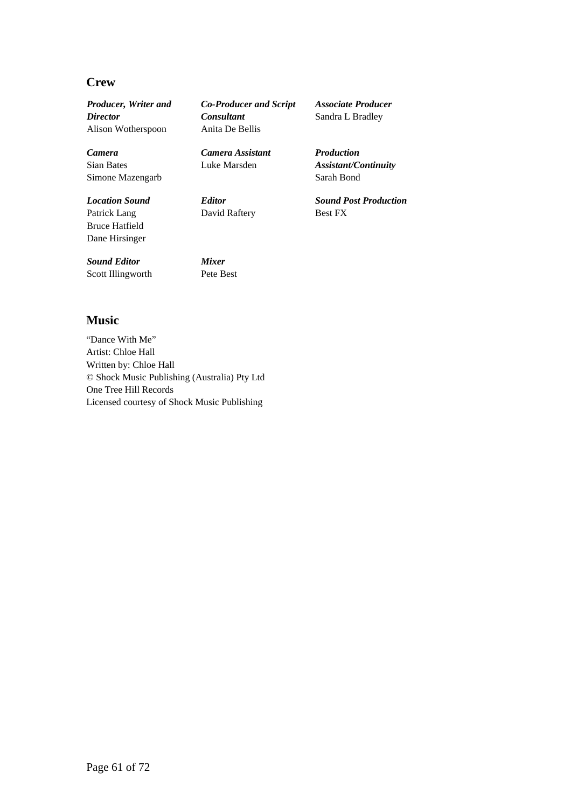## **Crew**

*Producer, Writer and Director* Alison Wotherspoon

*Camera* Sian Bates Simone Mazengarb

*Location Sound* Patrick Lang Bruce Hatfield Dane Hirsinger

*Sound Editor* Scott Illingworth *Co-Producer and Script Consultant* Anita De Bellis

*Camera Assistant* Luke Marsden

*Editor* David Raftery

*Mixer* Pete Best *Associate Producer* Sandra L Bradley

*Production Assistant/Continuity* Sarah Bond

*Sound Post Production* Best FX

**Music** 

"Dance With Me" Artist: Chloe Hall Written by: Chloe Hall © Shock Music Publishing (Australia) Pty Ltd One Tree Hill Records Licensed courtesy of Shock Music Publishing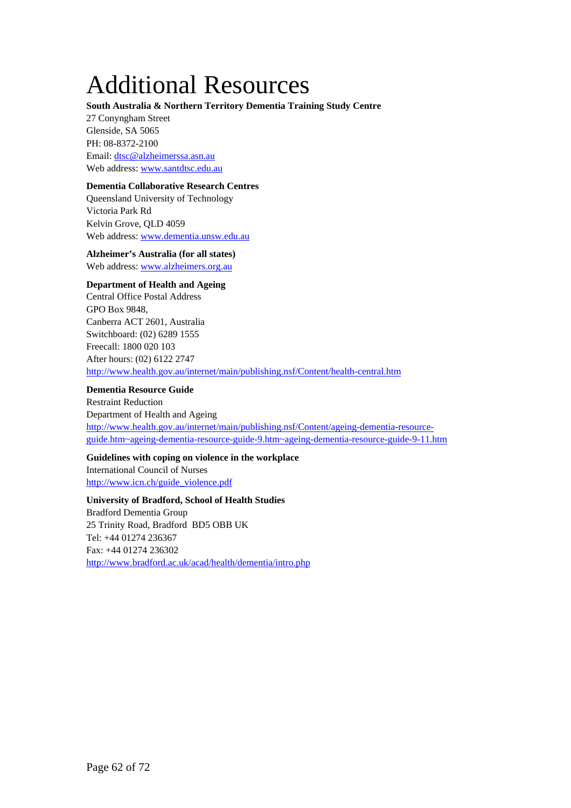# Additional Resources

#### **South Australia & Northern Territory Dementia Training Study Centre**

27 Conyngham Street Glenside, SA 5065 PH: 08-8372-2100 Email: [dtsc@alzheimerssa.asn.au](mailto:dtsc@alzheimerssa.asn.au)  Web address: [www.santdtsc.edu.au](http://www.santdtsc.edu.au/)

#### **Dementia Collaborative Research Centres**

Queensland University of Technology Victoria Park Rd Kelvin Grove, QLD 4059 Web address: [www.dementia.unsw.edu.au](http://www.dementia.unsw.edu.au/)

**Alzheimer's Australia (for all states)** 

Web address: [www.alzheimers.org.au](http://www.alzheimers.org.au/)

#### **Department of Health and Ageing**

Central Office Postal Address GPO Box 9848, Canberra ACT 2601, Australia Switchboard: (02) 6289 1555 Freecall: 1800 020 103 After hours: (02) 6122 2747 <http://www.health.gov.au/internet/main/publishing.nsf/Content/health-central.htm>

# **Dementia Resource Guide**

Restraint Reduction Department of Health and Ageing [http://www.health.gov.au/internet/main/publishing.nsf/Content/ageing-dementia-resource](http://www.health.gov.au/internet/main/publishing.nsf/Content/ageing-dementia-resource-guide.htm%7Eageing-dementia-resource-guide-9.htm%7Eageing-dementia-resource-guide-9-11.htm)[guide.htm~ageing-dementia-resource-guide-9.htm~ageing-dementia-resource-guide-9-11.htm](http://www.health.gov.au/internet/main/publishing.nsf/Content/ageing-dementia-resource-guide.htm%7Eageing-dementia-resource-guide-9.htm%7Eageing-dementia-resource-guide-9-11.htm)

#### **Guidelines with coping on violence in the workplace**

International Council of Nurses [http://www.icn.ch/guide\\_violence.pdf](http://www.icn.ch/guide_violence.pdf)

**University of Bradford, School of Health Studies**  Bradford Dementia Group 25 Trinity Road, Bradford BD5 OBB UK Tel: +44 01274 236367 Fax: +44 01274 236302 <http://www.bradford.ac.uk/acad/health/dementia/intro.php>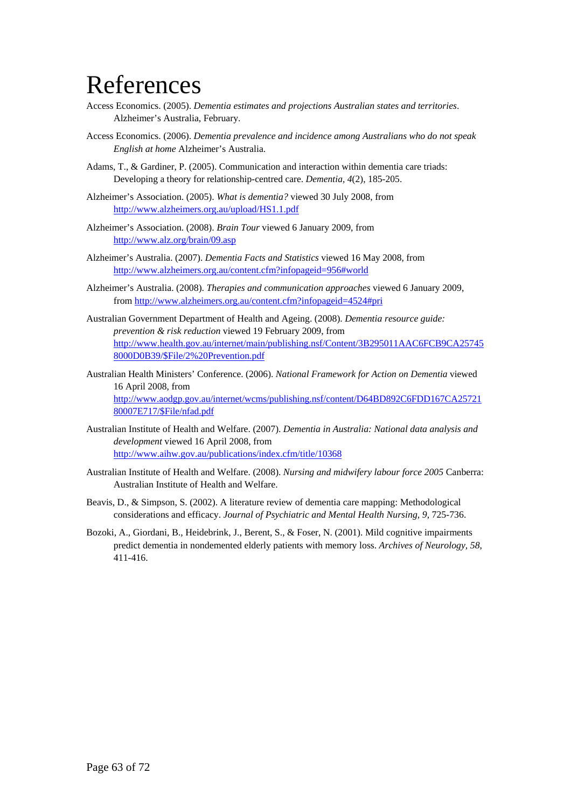# References

- Access Economics. (2005). *Dementia estimates and projections Australian states and territories*. Alzheimer's Australia, February.
- Access Economics. (2006). *Dementia prevalence and incidence among Australians who do not speak English at home* Alzheimer's Australia.
- Adams, T., & Gardiner, P. (2005). Communication and interaction within dementia care triads: Developing a theory for relationship-centred care. *Dementia, 4*(2), 185-205.
- Alzheimer's Association. (2005). *What is dementia?* viewed 30 July 2008, from <http://www.alzheimers.org.au/upload/HS1.1.pdf>
- Alzheimer's Association. (2008). *Brain Tour* viewed 6 January 2009, from <http://www.alz.org/brain/09.asp>
- Alzheimer's Australia. (2007). *Dementia Facts and Statistics* viewed 16 May 2008, from <http://www.alzheimers.org.au/content.cfm?infopageid=956#world>
- Alzheimer's Australia. (2008). *Therapies and communication approaches* viewed 6 January 2009, from<http://www.alzheimers.org.au/content.cfm?infopageid=4524#pri>
- Australian Government Department of Health and Ageing. (2008). *Dementia resource guide: prevention & risk reduction* viewed 19 February 2009, from [http://www.health.gov.au/internet/main/publishing.nsf/Content/3B295011AAC6FCB9CA25745](http://www.health.gov.au/internet/main/publishing.nsf/Content/3B295011AAC6FCB9CA257458000D0B39/$File/2%20Prevention.pdf) [8000D0B39/\\$File/2%20Prevention.pdf](http://www.health.gov.au/internet/main/publishing.nsf/Content/3B295011AAC6FCB9CA257458000D0B39/$File/2%20Prevention.pdf)
- Australian Health Ministers' Conference. (2006). *National Framework for Action on Dementia* viewed 16 April 2008, from [http://www.aodgp.gov.au/internet/wcms/publishing.nsf/content/D64BD892C6FDD167CA25721](http://www.aodgp.gov.au/internet/wcms/publishing.nsf/content/D64BD892C6FDD167CA2572180007E717/$File/nfad.pdf) [80007E717/\\$File/nfad.pdf](http://www.aodgp.gov.au/internet/wcms/publishing.nsf/content/D64BD892C6FDD167CA2572180007E717/$File/nfad.pdf)
- Australian Institute of Health and Welfare. (2007). *Dementia in Australia: National data analysis and development* viewed 16 April 2008, from <http://www.aihw.gov.au/publications/index.cfm/title/10368>
- Australian Institute of Health and Welfare. (2008). *Nursing and midwifery labour force 2005* Canberra: Australian Institute of Health and Welfare.
- Beavis, D., & Simpson, S. (2002). A literature review of dementia care mapping: Methodological considerations and efficacy. *Journal of Psychiatric and Mental Health Nursing, 9*, 725-736.
- Bozoki, A., Giordani, B., Heidebrink, J., Berent, S., & Foser, N. (2001). Mild cognitive impairments predict dementia in nondemented elderly patients with memory loss. *Archives of Neurology, 58*, 411-416.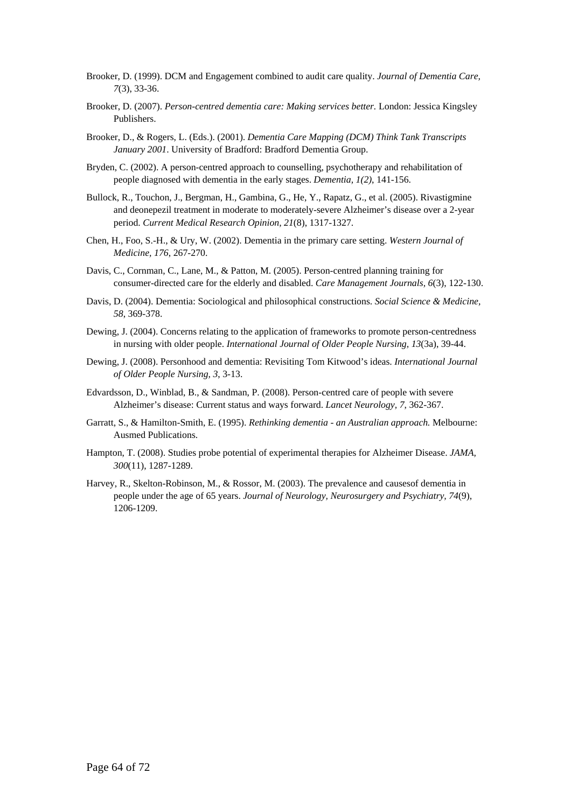- Brooker, D. (1999). DCM and Engagement combined to audit care quality. *Journal of Dementia Care, 7*(3), 33-36.
- Brooker, D. (2007). *Person-centred dementia care: Making services better.* London: Jessica Kingsley Publishers.
- Brooker, D., & Rogers, L. (Eds.). (2001). *Dementia Care Mapping (DCM) Think Tank Transcripts January 2001*. University of Bradford: Bradford Dementia Group.
- Bryden, C. (2002). A person-centred approach to counselling, psychotherapy and rehabilitation of people diagnosed with dementia in the early stages. *Dementia, 1(2)*, 141-156.
- Bullock, R., Touchon, J., Bergman, H., Gambina, G., He, Y., Rapatz, G., et al. (2005). Rivastigmine and deonepezil treatment in moderate to moderately-severe Alzheimer's disease over a 2-year period. *Current Medical Research Opinion, 21*(8), 1317-1327.
- Chen, H., Foo, S.-H., & Ury, W. (2002). Dementia in the primary care setting. *Western Journal of Medicine, 176*, 267-270.
- Davis, C., Cornman, C., Lane, M., & Patton, M. (2005). Person-centred planning training for consumer-directed care for the elderly and disabled. *Care Management Journals, 6*(3), 122-130.
- Davis, D. (2004). Dementia: Sociological and philosophical constructions. *Social Science & Medicine, 58*, 369-378.
- Dewing, J. (2004). Concerns relating to the application of frameworks to promote person-centredness in nursing with older people. *International Journal of Older People Nursing, 13*(3a), 39-44.
- Dewing, J. (2008). Personhood and dementia: Revisiting Tom Kitwood's ideas. *International Journal of Older People Nursing, 3*, 3-13.
- Edvardsson, D., Winblad, B., & Sandman, P. (2008). Person-centred care of people with severe Alzheimer's disease: Current status and ways forward. *Lancet Neurology, 7*, 362-367.
- Garratt, S., & Hamilton-Smith, E. (1995). *Rethinking dementia an Australian approach.* Melbourne: Ausmed Publications.
- Hampton, T. (2008). Studies probe potential of experimental therapies for Alzheimer Disease. *JAMA, 300*(11), 1287-1289.
- Harvey, R., Skelton-Robinson, M., & Rossor, M. (2003). The prevalence and causesof dementia in people under the age of 65 years. *Journal of Neurology, Neurosurgery and Psychiatry, 74*(9), 1206-1209.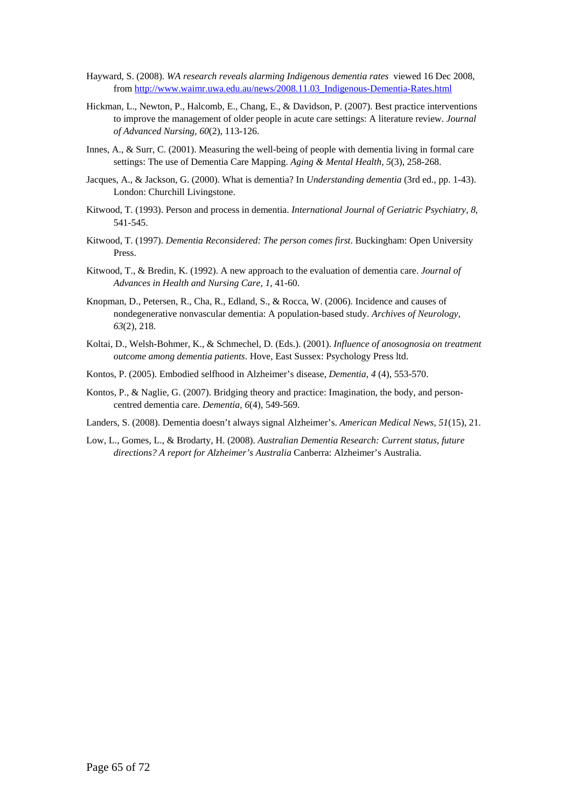- Hayward, S. (2008). *WA research reveals alarming Indigenous dementia rates* viewed 16 Dec 2008, from [http://www.waimr.uwa.edu.au/news/2008.11.03\\_Indigenous-Dementia-Rates.html](http://www.waimr.uwa.edu.au/news/2008.11.03_Indigenous-Dementia-Rates.html)
- Hickman, L., Newton, P., Halcomb, E., Chang, E., & Davidson, P. (2007). Best practice interventions to improve the management of older people in acute care settings: A literature review. *Journal of Advanced Nursing, 60*(2), 113-126.
- Innes, A., & Surr, C. (2001). Measuring the well-being of people with dementia living in formal care settings: The use of Dementia Care Mapping. *Aging & Mental Health, 5*(3), 258-268.
- Jacques, A., & Jackson, G. (2000). What is dementia? In *Understanding dementia* (3rd ed., pp. 1-43). London: Churchill Livingstone.
- Kitwood, T. (1993). Person and process in dementia. *International Journal of Geriatric Psychiatry, 8*, 541-545.
- Kitwood, T. (1997). *Dementia Reconsidered: The person comes first*. Buckingham: Open University Press.
- Kitwood, T., & Bredin, K. (1992). A new approach to the evaluation of dementia care. *Journal of Advances in Health and Nursing Care, 1*, 41-60.
- Knopman, D., Petersen, R., Cha, R., Edland, S., & Rocca, W. (2006). Incidence and causes of nondegenerative nonvascular dementia: A population-based study. *Archives of Neurology, 63*(2), 218.
- Koltai, D., Welsh-Bohmer, K., & Schmechel, D. (Eds.). (2001). *Influence of anosognosia on treatment outcome among dementia patients*. Hove, East Sussex: Psychology Press ltd.
- Kontos, P. (2005). Embodied selfhood in Alzheimer's disease, *Dementia, 4* (4), 553-570.
- Kontos, P., & Naglie, G. (2007). Bridging theory and practice: Imagination, the body, and personcentred dementia care. *Dementia, 6*(4), 549-569.
- Landers, S. (2008). Dementia doesn't always signal Alzheimer's. *American Medical News, 51*(15), 21.
- Low, L., Gomes, L., & Brodarty, H. (2008). *Australian Dementia Research: Current status, future directions? A report for Alzheimer's Australia* Canberra: Alzheimer's Australia.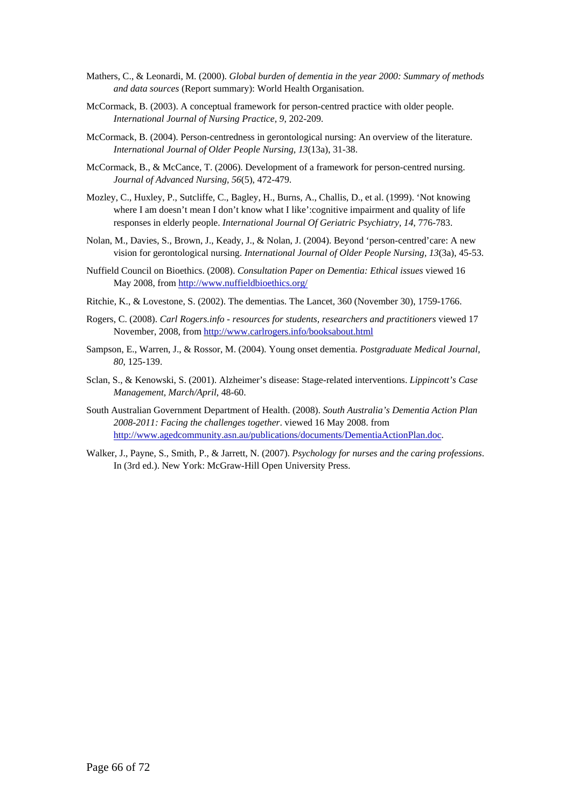- Mathers, C., & Leonardi, M. (2000). *Global burden of dementia in the year 2000: Summary of methods and data sources* (Report summary): World Health Organisation.
- McCormack, B. (2003). A conceptual framework for person-centred practice with older people. *International Journal of Nursing Practice, 9*, 202-209.
- McCormack, B. (2004). Person-centredness in gerontological nursing: An overview of the literature. *International Journal of Older People Nursing, 13*(13a), 31-38.
- McCormack, B., & McCance, T. (2006). Development of a framework for person-centred nursing. *Journal of Advanced Nursing, 56*(5), 472-479.
- Mozley, C., Huxley, P., Sutcliffe, C., Bagley, H., Burns, A., Challis, D., et al. (1999). 'Not knowing where I am doesn't mean I don't know what I like': cognitive impairment and quality of life responses in elderly people. *International Journal Of Geriatric Psychiatry, 14*, 776-783.
- Nolan, M., Davies, S., Brown, J., Keady, J., & Nolan, J. (2004). Beyond 'person-centred'care: A new vision for gerontological nursing. *International Journal of Older People Nursing, 13*(3a), 45-53.
- Nuffield Council on Bioethics. (2008). *Consultation Paper on Dementia: Ethical issues* viewed 16 May 2008, from<http://www.nuffieldbioethics.org/>
- Ritchie, K., & Lovestone, S. (2002). The dementias. The Lancet, 360 (November 30), 1759-1766.
- Rogers, C. (2008). *Carl Rogers.info resources for students, researchers and practitioners* viewed 17 November, 2008, from<http://www.carlrogers.info/booksabout.html>
- Sampson, E., Warren, J., & Rossor, M. (2004). Young onset dementia. *Postgraduate Medical Journal, 80*, 125-139.
- Sclan, S., & Kenowski, S. (2001). Alzheimer's disease: Stage-related interventions. *Lippincott's Case Management, March/April*, 48-60.
- South Australian Government Department of Health. (2008). *South Australia's Dementia Action Plan 2008-2011: Facing the challenges together*. viewed 16 May 2008. from [http://www.agedcommunity.asn.au/publications/documents/DementiaActionPlan.doc.](http://www.agedcommunity.asn.au/publications/documents/DementiaActionPlan.doc)
- Walker, J., Payne, S., Smith, P., & Jarrett, N. (2007). *Psychology for nurses and the caring professions*. In (3rd ed.). New York: McGraw-Hill Open University Press.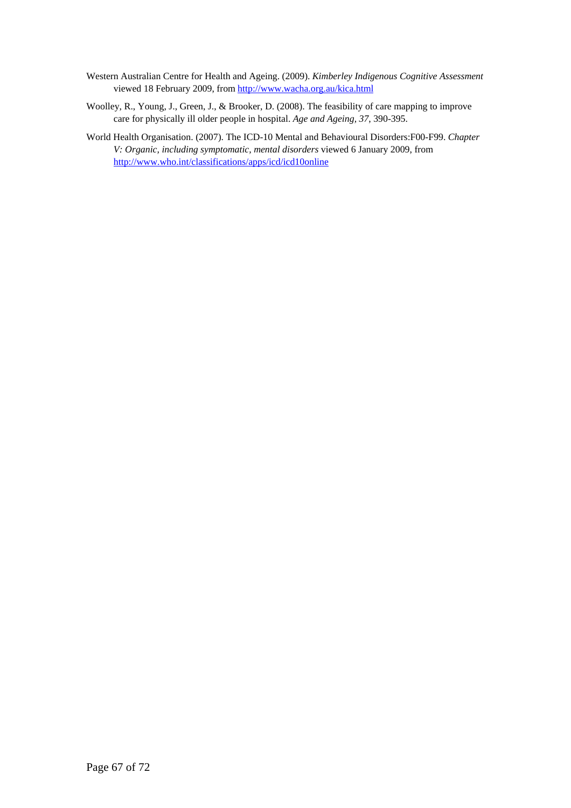- Western Australian Centre for Health and Ageing. (2009). *Kimberley Indigenous Cognitive Assessment* viewed 18 February 2009, from <http://www.wacha.org.au/kica.html>
- Woolley, R., Young, J., Green, J., & Brooker, D. (2008). The feasibility of care mapping to improve care for physically ill older people in hospital. *Age and Ageing, 37*, 390-395.
- World Health Organisation. (2007). The ICD-10 Mental and Behavioural Disorders:F00-F99. *Chapter V: Organic, including symptomatic, mental disorders* viewed 6 January 2009, from <http://www.who.int/classifications/apps/icd/icd10online>